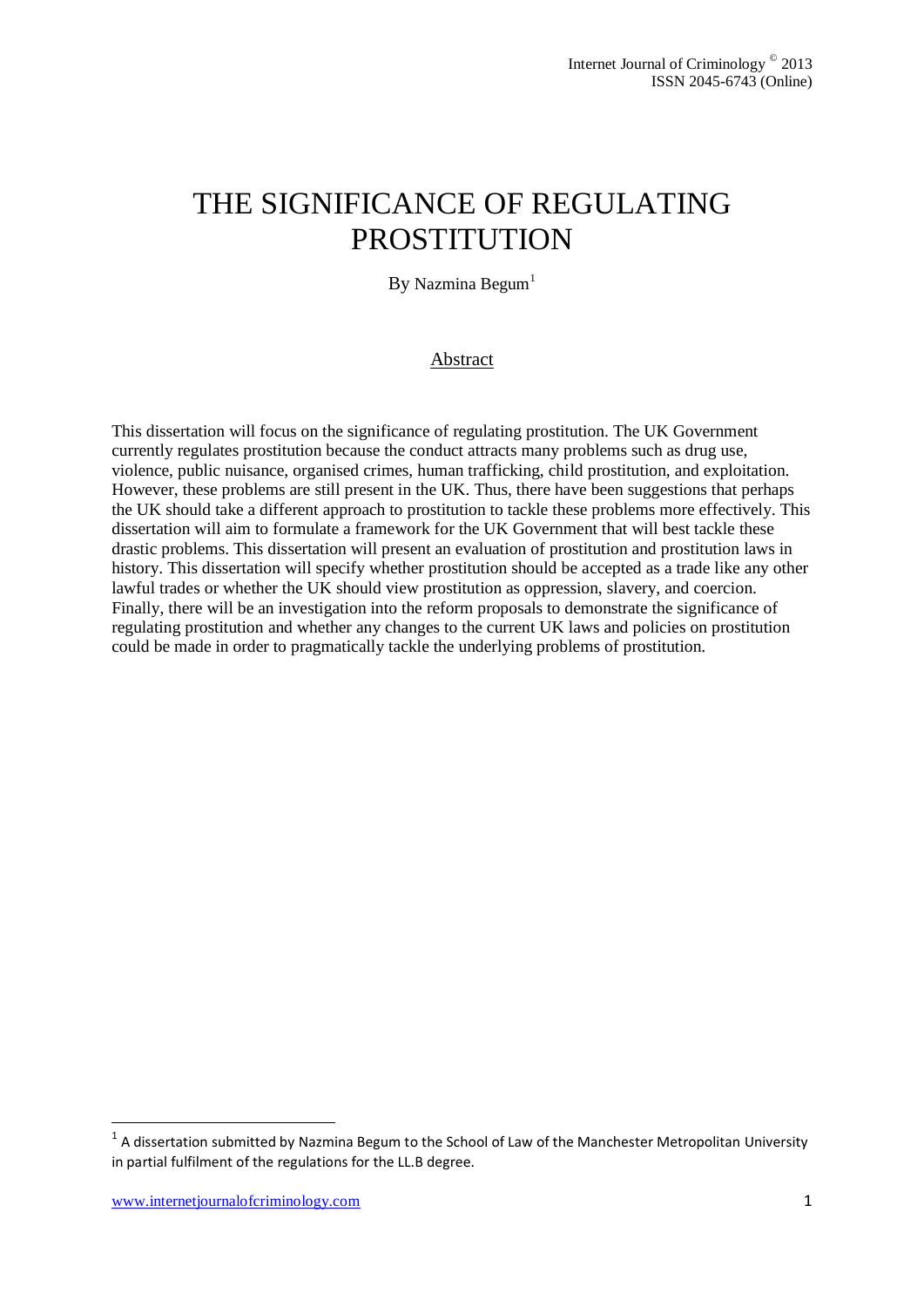# THE SIGNIFICANCE OF REGULATING PROSTITUTION

By Nazmina Begum $<sup>1</sup>$ </sup>

### Abstract

This dissertation will focus on the significance of regulating prostitution. The UK Government currently regulates prostitution because the conduct attracts many problems such as drug use, violence, public nuisance, organised crimes, human trafficking, child prostitution, and exploitation. However, these problems are still present in the UK. Thus, there have been suggestions that perhaps the UK should take a different approach to prostitution to tackle these problems more effectively. This dissertation will aim to formulate a framework for the UK Government that will best tackle these drastic problems. This dissertation will present an evaluation of prostitution and prostitution laws in history. This dissertation will specify whether prostitution should be accepted as a trade like any other lawful trades or whether the UK should view prostitution as oppression, slavery, and coercion. Finally, there will be an investigation into the reform proposals to demonstrate the significance of regulating prostitution and whether any changes to the current UK laws and policies on prostitution could be made in order to pragmatically tackle the underlying problems of prostitution.

1

 $1$  A dissertation submitted by Nazmina Begum to the School of Law of the Manchester Metropolitan University in partial fulfilment of the regulations for the LL.B degree.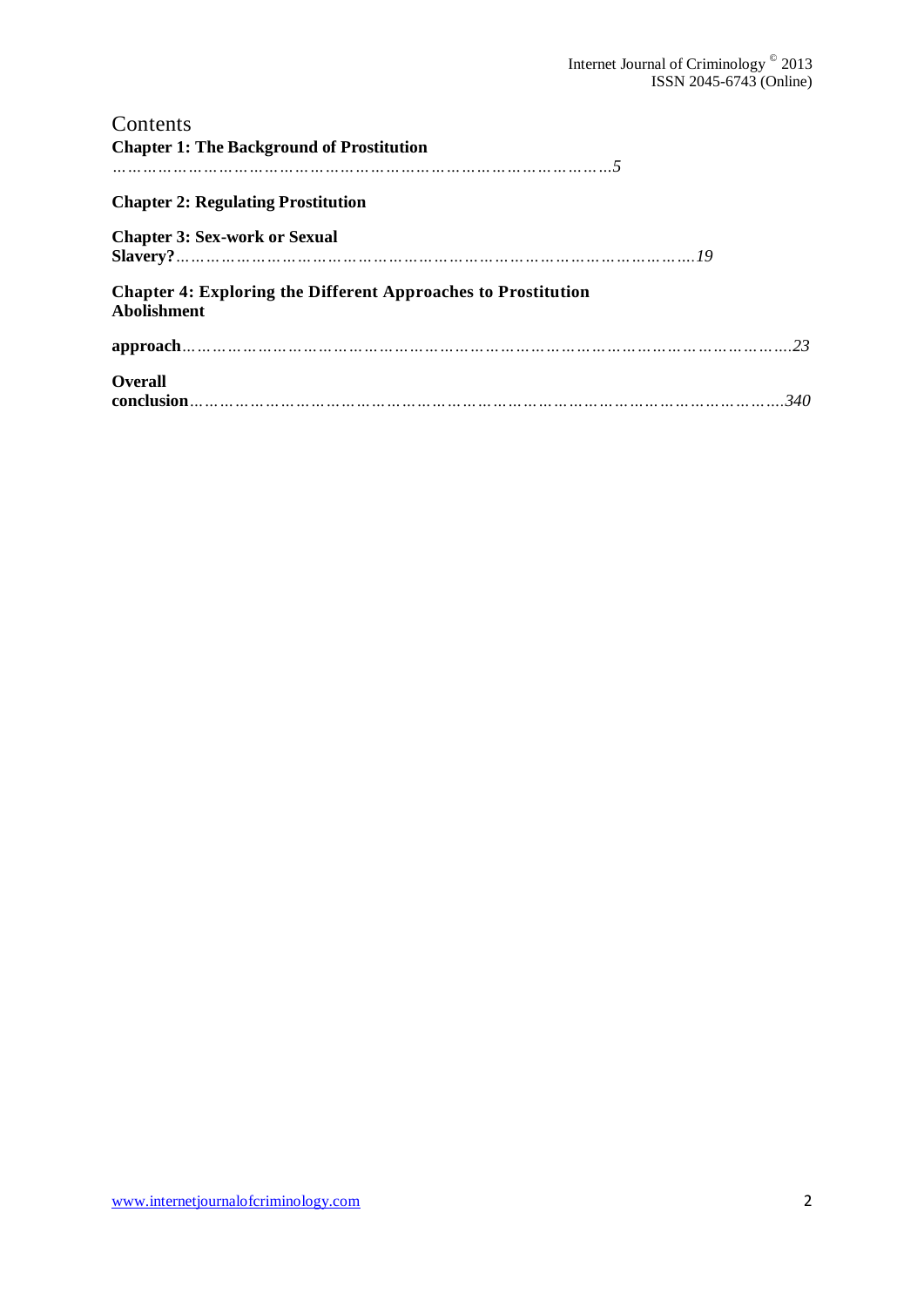| Contents                                                                                   |  |
|--------------------------------------------------------------------------------------------|--|
| <b>Chapter 1: The Background of Prostitution</b>                                           |  |
| .                           5                                                              |  |
| <b>Chapter 2: Regulating Prostitution</b>                                                  |  |
| <b>Chapter 3: Sex-work or Sexual</b>                                                       |  |
| <b>Chapter 4: Exploring the Different Approaches to Prostitution</b><br><b>Abolishment</b> |  |
|                                                                                            |  |
| <b>Overall</b>                                                                             |  |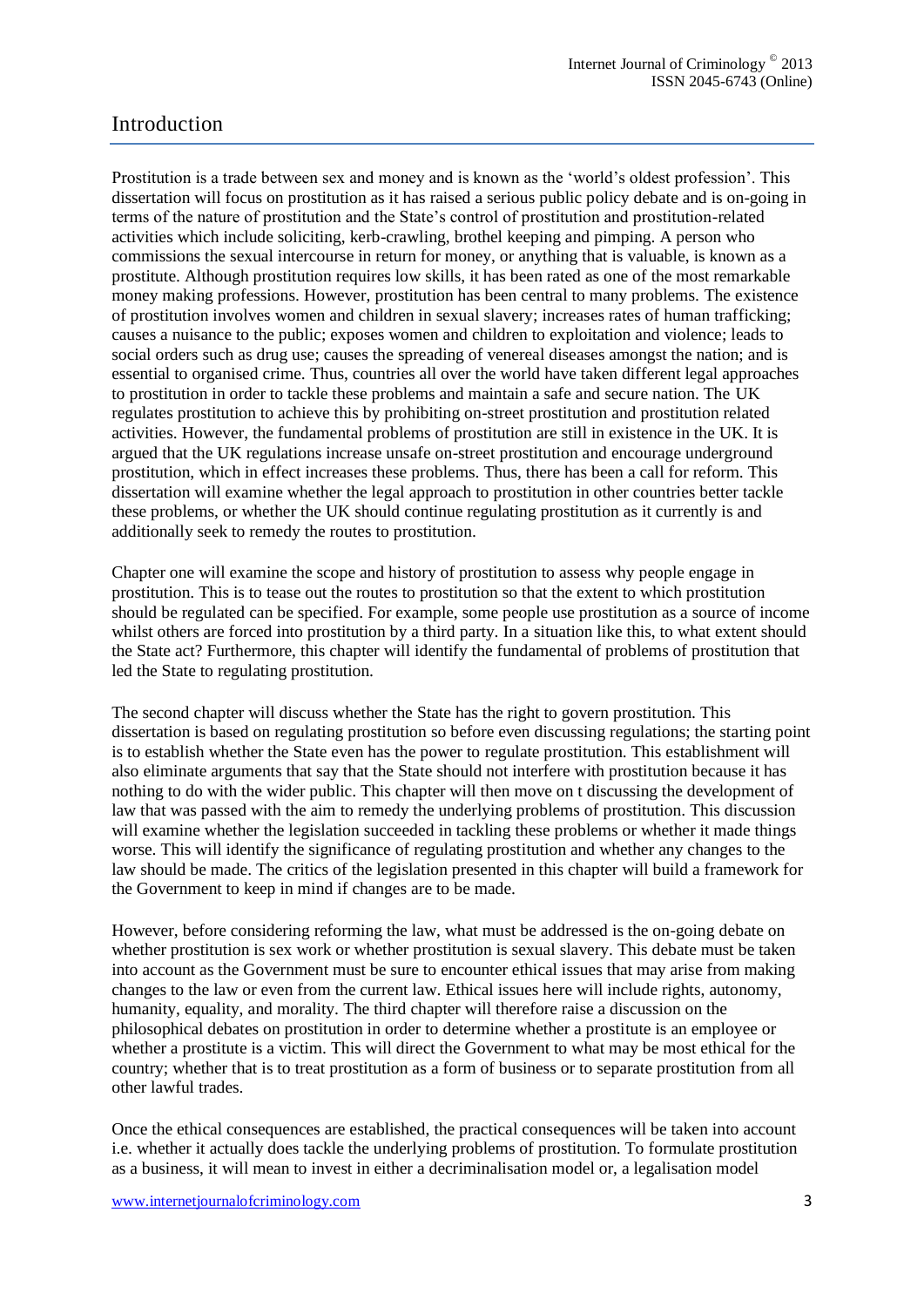# Introduction

Prostitution is a trade between sex and money and is known as the 'world's oldest profession'. This dissertation will focus on prostitution as it has raised a serious public policy debate and is on-going in terms of the nature of prostitution and the State's control of prostitution and prostitution-related activities which include soliciting, kerb-crawling, brothel keeping and pimping. A person who commissions the sexual intercourse in return for money, or anything that is valuable, is known as a prostitute. Although prostitution requires low skills, it has been rated as one of the most remarkable money making professions. However, prostitution has been central to many problems. The existence of prostitution involves women and children in sexual slavery; increases rates of human trafficking; causes a nuisance to the public; exposes women and children to exploitation and violence; leads to social orders such as drug use; causes the spreading of venereal diseases amongst the nation; and is essential to organised crime. Thus, countries all over the world have taken different legal approaches to prostitution in order to tackle these problems and maintain a safe and secure nation. The UK regulates prostitution to achieve this by prohibiting on-street prostitution and prostitution related activities. However, the fundamental problems of prostitution are still in existence in the UK. It is argued that the UK regulations increase unsafe on-street prostitution and encourage underground prostitution, which in effect increases these problems. Thus, there has been a call for reform. This dissertation will examine whether the legal approach to prostitution in other countries better tackle these problems, or whether the UK should continue regulating prostitution as it currently is and additionally seek to remedy the routes to prostitution.

Chapter one will examine the scope and history of prostitution to assess why people engage in prostitution. This is to tease out the routes to prostitution so that the extent to which prostitution should be regulated can be specified. For example, some people use prostitution as a source of income whilst others are forced into prostitution by a third party. In a situation like this, to what extent should the State act? Furthermore, this chapter will identify the fundamental of problems of prostitution that led the State to regulating prostitution.

The second chapter will discuss whether the State has the right to govern prostitution. This dissertation is based on regulating prostitution so before even discussing regulations; the starting point is to establish whether the State even has the power to regulate prostitution. This establishment will also eliminate arguments that say that the State should not interfere with prostitution because it has nothing to do with the wider public. This chapter will then move on t discussing the development of law that was passed with the aim to remedy the underlying problems of prostitution. This discussion will examine whether the legislation succeeded in tackling these problems or whether it made things worse. This will identify the significance of regulating prostitution and whether any changes to the law should be made. The critics of the legislation presented in this chapter will build a framework for the Government to keep in mind if changes are to be made.

However, before considering reforming the law, what must be addressed is the on-going debate on whether prostitution is sex work or whether prostitution is sexual slavery. This debate must be taken into account as the Government must be sure to encounter ethical issues that may arise from making changes to the law or even from the current law. Ethical issues here will include rights, autonomy, humanity, equality, and morality. The third chapter will therefore raise a discussion on the philosophical debates on prostitution in order to determine whether a prostitute is an employee or whether a prostitute is a victim. This will direct the Government to what may be most ethical for the country; whether that is to treat prostitution as a form of business or to separate prostitution from all other lawful trades.

Once the ethical consequences are established, the practical consequences will be taken into account i.e. whether it actually does tackle the underlying problems of prostitution. To formulate prostitution as a business, it will mean to invest in either a decriminalisation model or, a legalisation model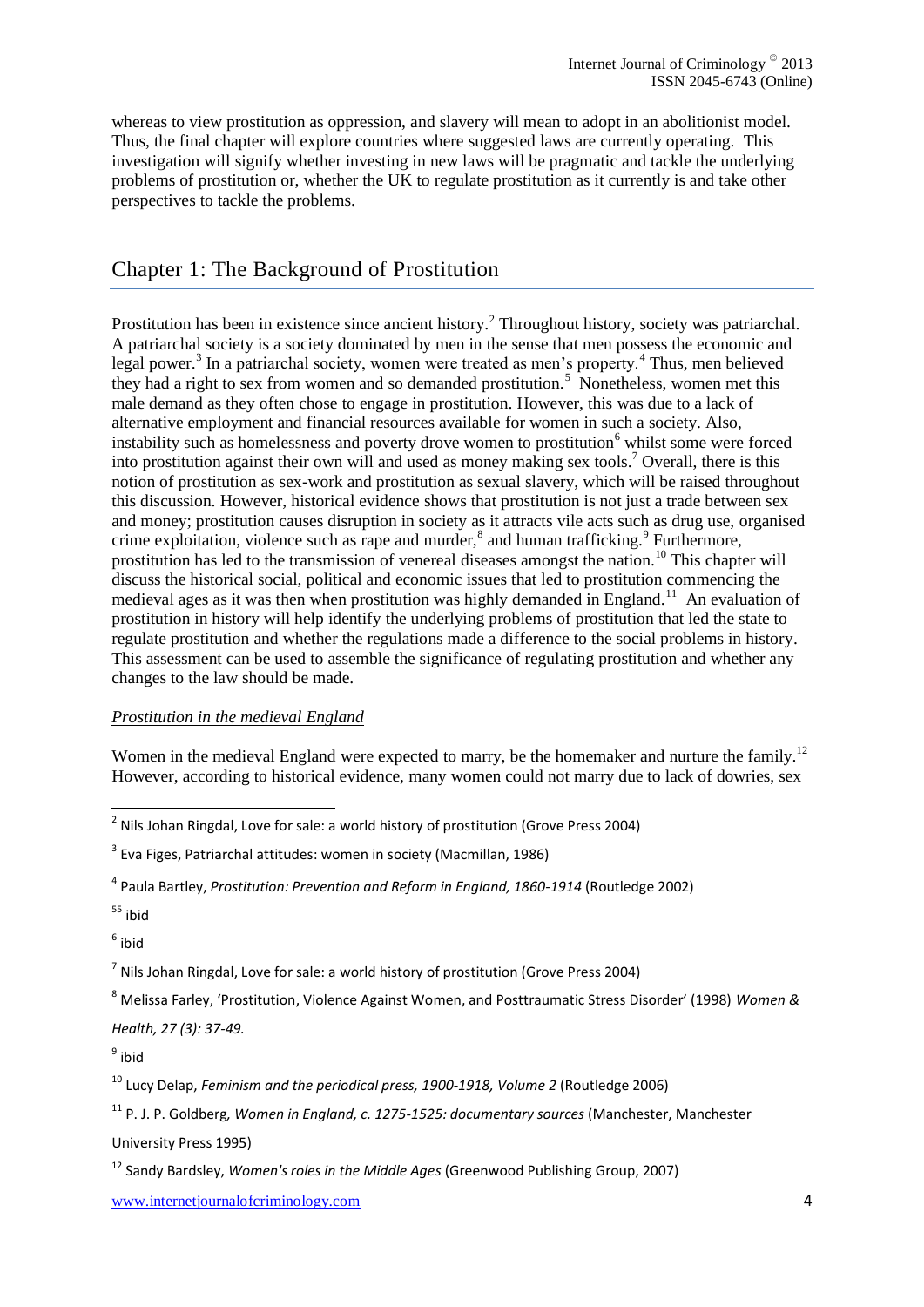whereas to view prostitution as oppression, and slavery will mean to adopt in an abolitionist model. Thus, the final chapter will explore countries where suggested laws are currently operating. This investigation will signify whether investing in new laws will be pragmatic and tackle the underlying problems of prostitution or, whether the UK to regulate prostitution as it currently is and take other perspectives to tackle the problems.

# Chapter 1: The Background of Prostitution

Prostitution has been in existence since ancient history.<sup>2</sup> Throughout history, society was patriarchal. A patriarchal society is a society dominated by men in the sense that men possess the economic and legal power.<sup>3</sup> In a patriarchal society, women were treated as men's property.<sup>4</sup> Thus, men believed they had a right to sex from women and so demanded prostitution.<sup>5</sup> Nonetheless, women met this male demand as they often chose to engage in prostitution. However, this was due to a lack of alternative employment and financial resources available for women in such a society. Also, instability such as homelessness and poverty drove women to prostitution<sup>6</sup> whilst some were forced into prostitution against their own will and used as money making sex tools. <sup>7</sup> Overall, there is this notion of prostitution as sex-work and prostitution as sexual slavery, which will be raised throughout this discussion. However, historical evidence shows that prostitution is not just a trade between sex and money; prostitution causes disruption in society as it attracts vile acts such as drug use, organised crime exploitation, violence such as rape and murder,<sup>8</sup> and human trafficking.<sup>9</sup> Furthermore, prostitution has led to the transmission of venereal diseases amongst the nation.<sup>10</sup> This chapter will discuss the historical social, political and economic issues that led to prostitution commencing the medieval ages as it was then when prostitution was highly demanded in England.<sup>11</sup> An evaluation of prostitution in history will help identify the underlying problems of prostitution that led the state to regulate prostitution and whether the regulations made a difference to the social problems in history. This assessment can be used to assemble the significance of regulating prostitution and whether any changes to the law should be made.

#### *Prostitution in the medieval England*

Women in the medieval England were expected to marry, be the homemaker and nurture the family.<sup>12</sup> However, according to historical evidence, many women could not marry due to lack of dowries, sex

 $<sup>6</sup>$  ibid</sup>

 $^7$  [Nils Johan Ringdal,](http://www.google.co.uk/search?tbo=p&tbm=bks&q=inauthor:%22Nils+Johan+Ringdal%22) Love for sale: a world history of prostitution (Grove Press 2004)

<sup>8</sup> Melissa Farley, 'Prostitution, Violence Against Women, and Posttraumatic Stress Disorder' (1998) *Women &* 

*Health, 27 (3): 37-49.*

9 ibid

<sup>10</sup> Lucy Delap, *Feminism and the periodical press, 1900-1918, Volume 2* (Routledge 2006)

<sup>11</sup> P. J. P. Goldberg*, Women in England, c. 1275-1525: documentary sources* (Manchester, Manchester University Press 1995)

 2 [Nils Johan Ringdal,](http://www.google.co.uk/search?tbo=p&tbm=bks&q=inauthor:%22Nils+Johan+Ringdal%22) Love for sale: a world history of prostitution (Grove Press 2004)

<sup>&</sup>lt;sup>3</sup> [Eva Figes,](http://www.google.co.uk/search?tbo=p&tbm=bks&q=inauthor:%22Eva+Figes%22) Patriarchal attitudes: women in society (Macmillan, 1986)

<sup>&</sup>lt;sup>4</sup> Paula Bartley, *Prostitution: Prevention and Reform in England, 1860-1914* (Routledge 2002)

<sup>55</sup> ibid

<sup>12</sup> Sandy Bardsley, *Women's roles in the Middle Ages* (Greenwood Publishing Group, 2007)

www.internetjournalofcriminology.com 4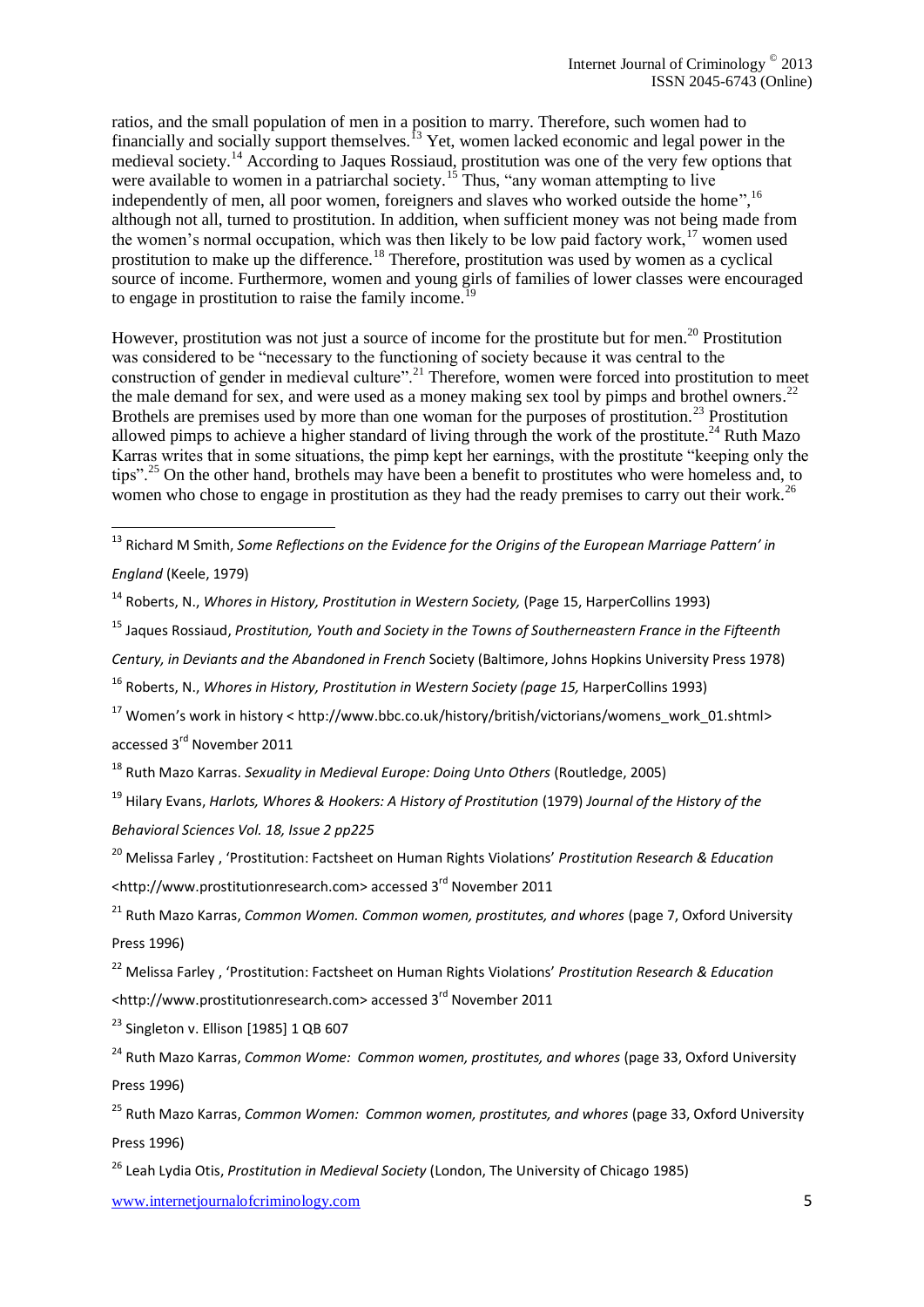ratios, and the small population of men in a position to marry. Therefore, such women had to financially and socially support themselves.<sup>13</sup> Yet, women lacked economic and legal power in the medieval society.<sup>14</sup> According to Jaques Rossiaud, prostitution was one of the very few options that were available to women in a patriarchal society.<sup>15</sup> Thus, "any woman attempting to live independently of men, all poor women, foreigners and slaves who worked outside the home",<sup>16</sup> although not all, turned to prostitution. In addition, when sufficient money was not being made from the women's normal occupation, which was then likely to be low paid factory work,<sup>17</sup> women used prostitution to make up the difference.<sup>18</sup> Therefore, prostitution was used by women as a cyclical source of income. Furthermore, women and young girls of families of lower classes were encouraged to engage in prostitution to raise the family income.<sup>19</sup>

However, prostitution was not just a source of income for the prostitute but for men.<sup>20</sup> Prostitution was considered to be "necessary to the functioning of society because it was central to the construction of gender in medieval culture".<sup>21</sup> Therefore, women were forced into prostitution to meet the male demand for sex, and were used as a money making sex tool by pimps and brothel owners.<sup>22</sup> Brothels are premises used by more than one woman for the purposes of prostitution.<sup>23</sup> Prostitution allowed pimps to achieve a higher standard of living through the work of the prostitute.<sup>24</sup> Ruth Mazo Karras writes that in some situations, the pimp kept her earnings, with the prostitute "keeping only the tips".<sup>25</sup> On the other hand, brothels may have been a benefit to prostitutes who were homeless and, to women who chose to engage in prostitution as they had the ready premises to carry out their work.<sup>26</sup>

- <sup>15</sup> Jaques Rossiaud, *Prostitution, Youth and Society in the Towns of Southerneastern France in the Fifteenth*
- *Century, in Deviants and the Abandoned in French* Society (Baltimore, Johns Hopkins University Press 1978)

<sup>16</sup> Roberts, N., *Whores in History, Prostitution in Western Society (page 15,* HarperCollins 1993)

<sup>17</sup> Women's work in history < [http://www.bbc.co.uk/history/british/victorians/womens\\_work\\_01.shtml>](http://www.bbc.co.uk/history/british/victorians/womens_work_01.shtml) accessed 3<sup>rd</sup> November 2011

<sup>18</sup> Ruth Mazo Karras. *Sexuality in Medieval Europe: Doing Unto Others* (Routledge, 2005)

<sup>19</sup> [Hilary Evans,](http://prostitution.procon.org/viewsource.asp?ID=3493) *Harlots, Whores & Hookers: A History of Prostitution* (1979) *Journal of the History of the Behavioral Sciences Vol. 18, Issue 2 pp225*

<sup>20</sup> Melissa Farley , 'Prostitution: Factsheet on Human Rights Violations' *Prostitution Research & Education* [<http://www.prostitutionresearch.com>](http://www.prostitutionresearch.com/) accessed 3rd November 2011

<sup>21</sup> Ruth Mazo Karras, *Common Women. Common women, prostitutes, and whores* (page 7, Oxford University Press 1996)

<sup>22</sup> Melissa Farley , 'Prostitution: Factsheet on Human Rights Violations' *Prostitution Research & Education* [<http://www.prostitutionresearch.com>](http://www.prostitutionresearch.com/) accessed 3rd November 2011

 $^{23}$  Singleton v. Ellison [1985] 1 QB 607

1

<sup>26</sup> Leah Lydia Otis, *Prostitution in Medieval Society* (London, The University of Chicago 1985)

www.internetjournalofcriminology.com 5

<sup>&</sup>lt;sup>13</sup> Richard M Smith, *Some Reflections on the Evidence for the Origins of the European Marriage Pattern' in England* (Keele, 1979)

<sup>14</sup> Roberts, N., *Whores in History, Prostitution in Western Society,* (Page 15, HarperCollins 1993)

<sup>24</sup> Ruth Mazo Karras, *Common Wome: Common women, prostitutes, and whores* (page 33, Oxford University Press 1996)

<sup>25</sup> Ruth Mazo Karras, *Common Women: Common women, prostitutes, and whores* (page 33, Oxford University Press 1996)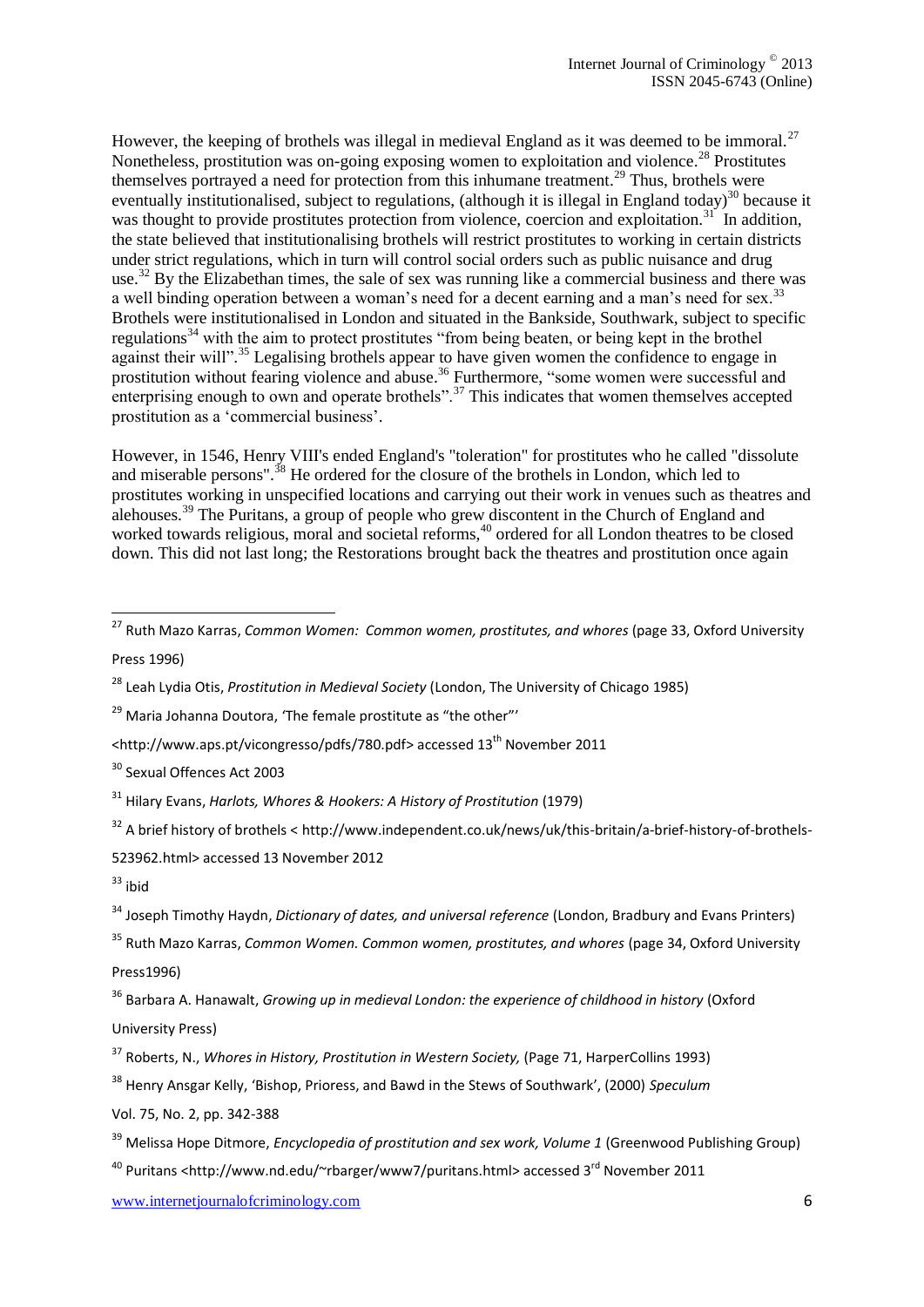However, the keeping of brothels was illegal in medieval England as it was deemed to be immoral.<sup>27</sup> Nonetheless, prostitution was on-going exposing women to exploitation and violence.<sup>28</sup> Prostitutes themselves portrayed a need for protection from this inhumane treatment.<sup>29</sup> Thus, brothels were eventually institutionalised, subject to regulations, (although it is illegal in England today)<sup>30</sup> because it was thought to provide prostitutes protection from violence, coercion and exploitation.<sup>31</sup> In addition, the state believed that institutionalising brothels will restrict prostitutes to working in certain districts under strict regulations, which in turn will control social orders such as public nuisance and drug use.<sup>32</sup> By the Elizabethan times, the sale of sex was running like a commercial business and there was a well binding operation between a woman's need for a decent earning and a man's need for sex.<sup>33</sup> Brothels were institutionalised in London and situated in the Bankside, Southwark, subject to specific regulations<sup>34</sup> with the aim to protect prostitutes "from being beaten, or being kept in the brothel against their will".<sup>35</sup> Legalising brothels appear to have given women the confidence to engage in prostitution without fearing violence and abuse.<sup>36</sup> Furthermore, "some women were successful and enterprising enough to own and operate brothels".<sup>37</sup> This indicates that women themselves accepted prostitution as a 'commercial business'.

However, in 1546, Henry VIII's ended England's "toleration" for prostitutes who he called "dissolute and miserable persons".<sup>38</sup> He ordered for the closure of the brothels in London, which led to prostitutes working in unspecified locations and carrying out their work in venues such as theatres and alehouses.<sup>39</sup> The Puritans, a group of people who grew discontent in the Church of England and worked towards religious, moral and societal reforms,<sup>40</sup> ordered for all London theatres to be closed down. This did not last long; the Restorations brought back the theatres and prostitution once again

<sup>30</sup> Sexual Offences Act 2003

<sup>32</sup> A brief history of brothels < [http://www.independent.co.uk/news/uk/this-britain/a-brief-history-of-brothels-](http://www.independent.co.uk/news/uk/this-britain/a-brief-history-of-brothels-523962.html)

[523962.html>](http://www.independent.co.uk/news/uk/this-britain/a-brief-history-of-brothels-523962.html) accessed 13 November 2012

 $33$  ibid

1

<sup>35</sup> Ruth Mazo Karras, *Common Women. Common women, prostitutes, and whores* (page 34, Oxford University Press1996)

Vol. 75, No. 2, pp. 342-388

www.internetjournalofcriminology.com 6

<sup>27</sup> Ruth Mazo Karras, *Common Women: Common women, prostitutes, and whores* (page 33, Oxford University Press 1996)

<sup>28</sup> Leah Lydia Otis, *Prostitution in Medieval Society* (London, The University of Chicago 1985)

 $29$  Maria Johanna Doutora, 'The female prostitute as "the other"'

[<sup>&</sup>lt;http://www.aps.pt/vicongresso/pdfs/780.pdf>](http://www.aps.pt/vicongresso/pdfs/780.pdf) accessed 13<sup>th</sup> November 2011

<sup>31</sup> [Hilary Evans,](http://prostitution.procon.org/viewsource.asp?ID=3493) *Harlots, Whores & Hookers: A History of Prostitution* (1979)

<sup>34</sup> Joseph Timothy Haydn, *Dictionary of dates, and universal reference* (London, Bradbury and Evans Printers)

<sup>36</sup> Barbara A. Hanawalt, *Growing up in medieval London: the experience of childhood in history* [\(Oxford](http://books.google.co.uk/url?client=ca-print-oxford_us&format=googleprint&num=0&channel=BTB-ca-print-oxford_us+BTB-ISBN:0195093844&q=http://www.oup.com/us/catalog/general/subject/%3Fview%3Dusa%26view%3Dusa%26ci%3D9780195093841%26cp%3D24297&usg=AFQjCNGtxkVdE1ko2UeXSPXtpeuF3NIyPw&source=gbs_buy_r)  [University Press\)](http://books.google.co.uk/url?client=ca-print-oxford_us&format=googleprint&num=0&channel=BTB-ca-print-oxford_us+BTB-ISBN:0195093844&q=http://www.oup.com/us/catalog/general/subject/%3Fview%3Dusa%26view%3Dusa%26ci%3D9780195093841%26cp%3D24297&usg=AFQjCNGtxkVdE1ko2UeXSPXtpeuF3NIyPw&source=gbs_buy_r)

<sup>37</sup> Roberts, N., *Whores in History, Prostitution in Western Society,* (Page 71, HarperCollins 1993)

<sup>38</sup> [Henry Ansgar Kelly,](http://prostitution.procon.org/viewsource.asp?ID=3564) 'Bishop, Prioress, and Bawd in the Stews of Southwark', (2000) *Speculum*

<sup>39</sup> Melissa Hope Ditmore, *Encyclopedia of prostitution and sex work, Volume 1* (Greenwood Publishing Group)

 $40$  Puritans [<http://www.nd.edu/~rbarger/www7/puritans.html>](http://www.nd.edu/~rbarger/www7/puritans.html) accessed 3<sup>rd</sup> November 2011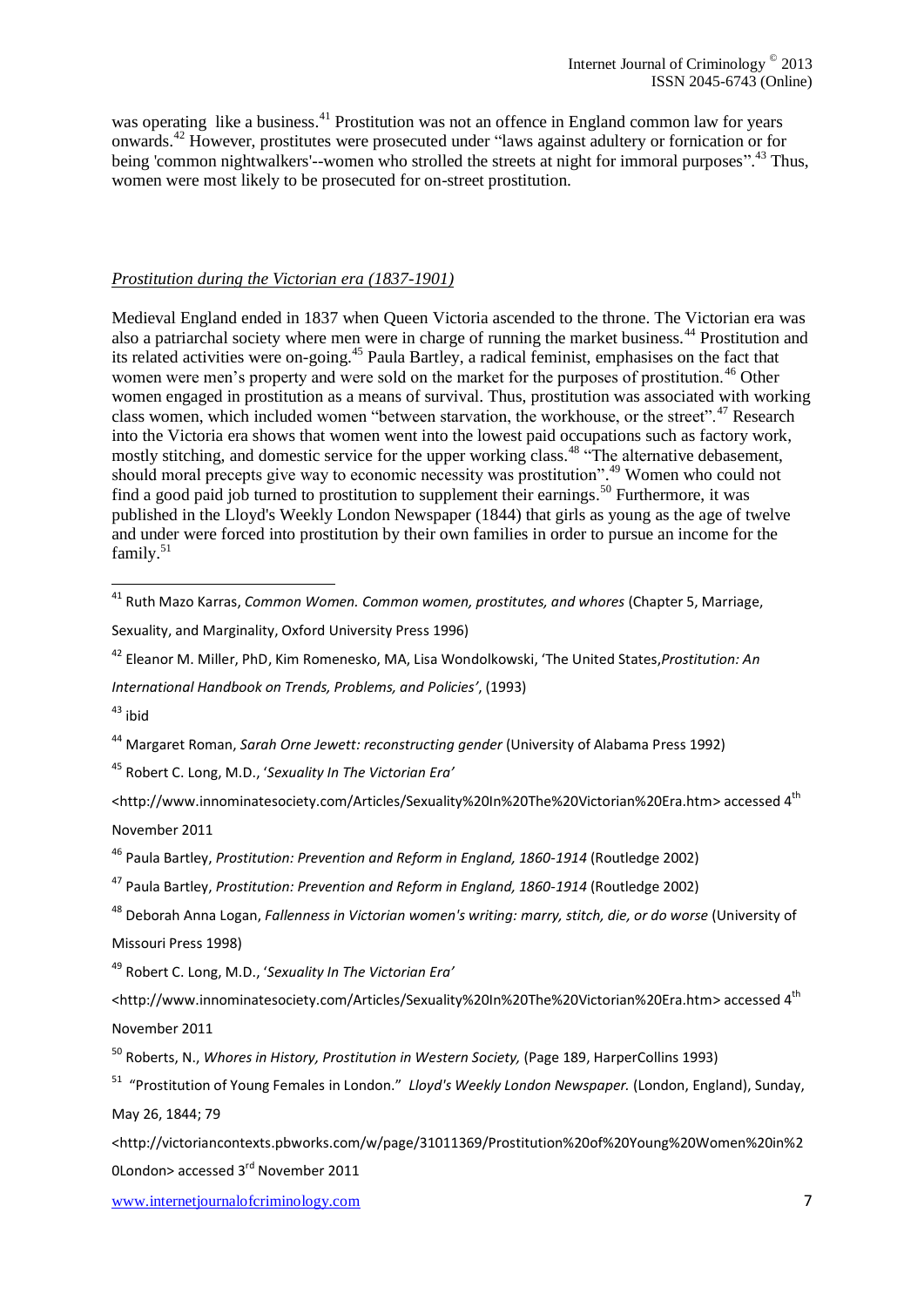was operating like a business.<sup>41</sup> Prostitution was not an offence in England common law for years onwards. <sup>42</sup> However, prostitutes were prosecuted under "laws against adultery or fornication or for being 'common nightwalkers'--women who strolled the streets at night for immoral purposes".<sup>43</sup> Thus, women were most likely to be prosecuted for on-street prostitution.

#### *Prostitution during the Victorian era (1837-1901)*

Medieval England ended in 1837 when Queen Victoria ascended to the throne. The Victorian era was also a patriarchal society where men were in charge of running the market business.<sup>44</sup> Prostitution and its related activities were on-going.<sup>45</sup> Paula Bartley, a radical feminist, emphasises on the fact that women were men's property and were sold on the market for the purposes of prostitution.<sup>46</sup> Other women engaged in prostitution as a means of survival. Thus, prostitution was associated with working class women, which included women "between starvation, the workhouse, or the street".<sup>47</sup> Research into the Victoria era shows that women went into the lowest paid occupations such as factory work, mostly stitching, and domestic service for the upper working class.<sup>48</sup> "The alternative debasement, should moral precepts give way to economic necessity was prostitution". <sup>49</sup> Women who could not find a good paid job turned to prostitution to supplement their earnings.<sup>50</sup> Furthermore, it was published in the Lloyd's Weekly London Newspaper (1844) that girls as young as the age of twelve and under were forced into prostitution by their own families in order to pursue an income for the family.<sup>51</sup>

1

<sup>44</sup> [Margaret Roman,](http://www.google.co.uk/search?tbo=p&tbm=bks&q=inauthor:%22Margaret+Roman%22) *Sarah Orne Jewett: reconstructing gender* (University of Alabama Press 1992)

<sup>45</sup> Robert C. Long, M.D., '*Sexuality In The Victorian Era'* 

[<http://www.innominatesociety.com/Articles/Sexuality%20In%20The%20Victorian%20Era.htm>](http://www.innominatesociety.com/Articles/Sexuality%20In%20The%20Victorian%20Era.htm) accessed 4th November 2011

<sup>46</sup> Paula Bartley, *Prostitution: Prevention and Reform in England, 1860-1914* (Routledge 2002)

<sup>47</sup> Paula Bartley, *Prostitution: Prevention and Reform in England, 1860-1914* (Routledge 2002)

<sup>48</sup> [Deborah Anna Logan,](http://www.google.co.uk/search?tbo=p&tbm=bks&q=inauthor:%22Deborah+Anna+Logan%22) *Fallenness in Victorian women's writing: marry, stitch, die, or do worse* (University of Missouri Press 1998)

<sup>49</sup> Robert C. Long, M.D., '*Sexuality In The Victorian Era'* 

<sup>41</sup> Ruth Mazo Karras, *Common Women. Common women, prostitutes, and whores* (Chapter 5, Marriage,

Sexuality, and Marginality, Oxford University Press 1996)

<sup>42</sup> [Eleanor M. Miller, PhD,](http://prostitution.procon.org/viewsource.asp?ID=7982) [Kim Romenesko, MA,](http://prostitution.procon.org/viewsource.asp?ID=7986) [Lisa Wondolkowski,](http://prostitution.procon.org/viewsource.asp?ID=7987) 'The United States,*Prostitution: An* 

*International Handbook on Trends, Problems, and Policies'*, (1993)

 $43$  ibid

[<sup>&</sup>lt;http://www.innominatesociety.com/Articles/Sexuality%20In%20The%20Victorian%20Era.htm>](http://www.innominatesociety.com/Articles/Sexuality%20In%20The%20Victorian%20Era.htm) accessed 4th November 2011

<sup>50</sup> Roberts, N., *Whores in History, Prostitution in Western Society,* (Page 189, HarperCollins 1993)

<sup>51</sup> "Prostitution of Young Females in London." *Lloyd's Weekly London Newspaper.* (London, England), Sunday, May 26, 1844; 79

[<sup>&</sup>lt;http://victoriancontexts.pbworks.com/w/page/31011369/Prostitution%20of%20Young%20Women%20in%2](http://victoriancontexts.pbworks.com/w/page/31011369/Prostitution%20of%20Young%20Women%20in%20London) [0London>](http://victoriancontexts.pbworks.com/w/page/31011369/Prostitution%20of%20Young%20Women%20in%20London) accessed 3<sup>rd</sup> November 2011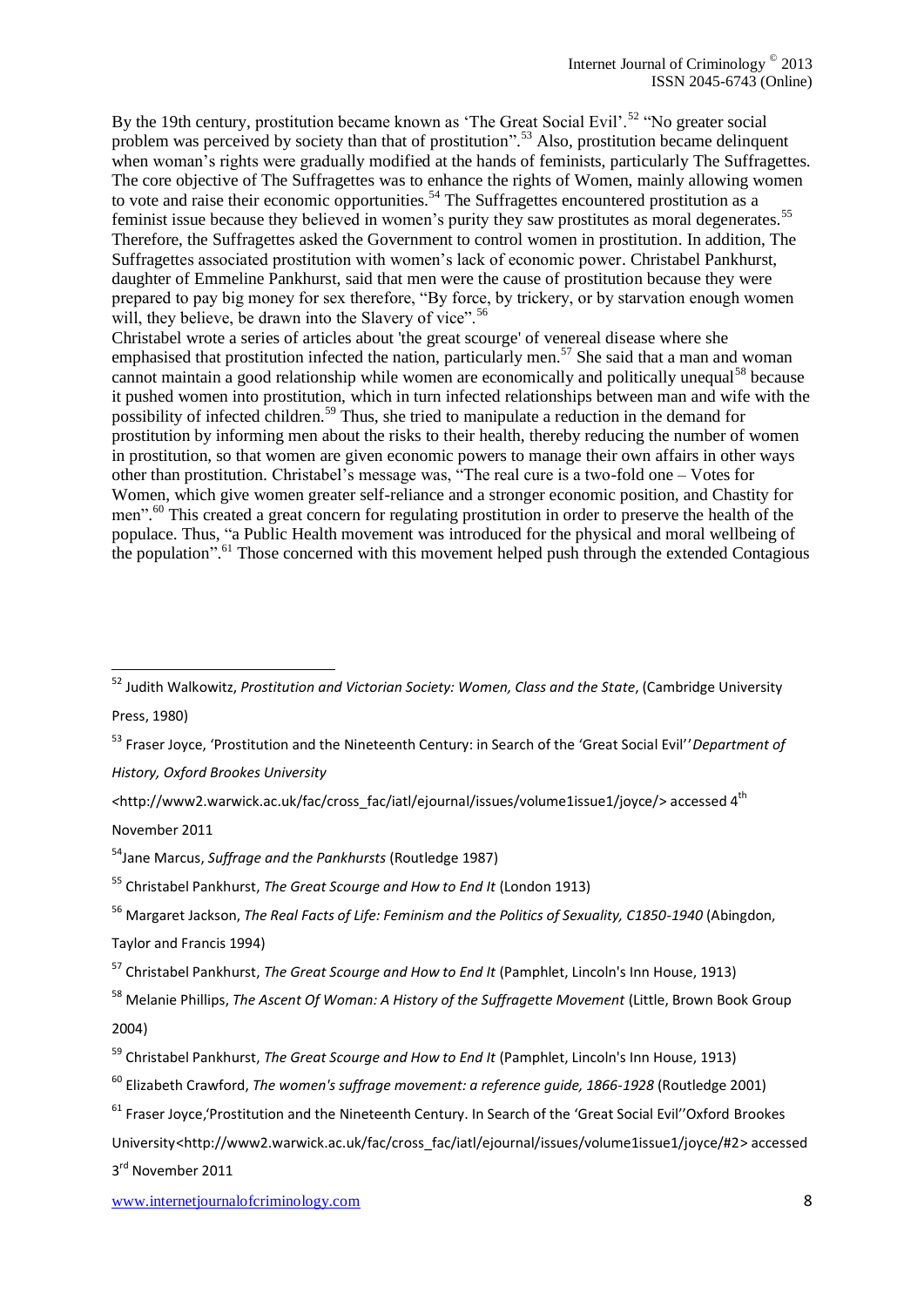By the 19th century, prostitution became known as 'The Great Social Evil'.<sup>52</sup> "No greater social problem was perceived by society than that of prostitution".<sup>53</sup> Also, prostitution became delinquent when woman's rights were gradually modified at the hands of feminists, particularly The Suffragettes. The core objective of The Suffragettes was to enhance the rights of Women, mainly allowing women to vote and raise their economic opportunities.<sup>54</sup> The Suffragettes encountered prostitution as a feminist issue because they believed in women's purity they saw prostitutes as moral degenerates.<sup>55</sup> Therefore, the Suffragettes asked the Government to control women in prostitution. In addition, The Suffragettes associated prostitution with women's lack of economic power. Christabel Pankhurst, daughter of Emmeline Pankhurst, said that men were the cause of prostitution because they were prepared to pay big money for sex therefore, "By force, by trickery, or by starvation enough women will, they believe, be drawn into the Slavery of vice".<sup>56</sup>

Christabel wrote a series of articles about 'the great scourge' of venereal disease where she emphasised that prostitution infected the nation, particularly men.<sup>57</sup> She said that a man and woman cannot maintain a good relationship while women are economically and politically unequal<sup>58</sup> because it pushed women into prostitution, which in turn infected relationships between man and wife with the possibility of infected children.<sup>59</sup> Thus, she tried to manipulate a reduction in the demand for prostitution by informing men about the risks to their health, thereby reducing the number of women in prostitution, so that women are given economic powers to manage their own affairs in other ways other than prostitution. Christabel's message was, "The real cure is a two-fold one – Votes for Women, which give women greater self-reliance and a stronger economic position, and Chastity for men".<sup>60</sup> This created a great concern for regulating prostitution in order to preserve the health of the populace. Thus, "a Public Health movement was introduced for the physical and moral wellbeing of the population".<sup>61</sup> Those concerned with this movement helped push through the extended Contagious

*History, Oxford Brookes University* 

1

<sup>56</sup> Margaret Jackson, *The Real Facts of Life: Feminism and the Politics of Sexuality, C1850-1940* (Abingdon, Taylor and Francis 1994)

3<sup>rd</sup> November 2011

<sup>52</sup> Judith Walkowitz, *Prostitution and Victorian Society: Women, Class and the State*, (Cambridge University Press, 1980)

<sup>53</sup> Fraser Joyce, 'Prostitution and the Nineteenth Century: in Search of the 'Great Social Evil''*Department of* 

*<sup>&</sup>lt;*[http://www2.warwick.ac.uk/fac/cross\\_fac/iatl/ejournal/issues/volume1issue1/joyce/>](http://www2.warwick.ac.uk/fac/cross_fac/iatl/ejournal/issues/volume1issue1/joyce/) accessed 4th November 2011

<sup>54</sup>Jane Marcus, *Suffrage and the Pankhursts* (Routledge 1987)

<sup>55</sup> Christabel Pankhurst, *[The Great Scourge and How to End It](http://www.amazon.co.uk/The-Great-Scourge-How-End/dp/B00283031S/ref=sr_1_1?s=books&ie=UTF8&qid=1333235385&sr=1-1)* (London 1913)

<sup>57</sup> Christabel Pankhurst, *The Great Scourge and How to End It* (Pamphlet, Lincoln's Inn House, 1913)

<sup>&</sup>lt;sup>58</sup> [Melanie Phillips,](http://www.amazon.co.uk/Melanie-Phillips/e/B001K8CD4W/ref=ntt_athr_dp_pel_1/277-1606113-9400016) *The Ascent Of Woman: A History of the Suffragette Movement* (Little, Brown Book Group 2004)

<sup>59</sup> Christabel Pankhurst, *The Great Scourge and How to End It* (Pamphlet, Lincoln's Inn House, 1913)

<sup>60</sup> Elizabeth Crawford, *The women's suffrage movement: a reference guide, 1866-1928* (Routledge 2001)

<sup>&</sup>lt;sup>61</sup> Fraser Joyce, 'Prostitution and the Nineteenth Century. In Search of the 'Great Social Evil''Oxford Brookes University[<http://www2.warwick.ac.uk/fac/cross\\_fac/iatl/ejournal/issues/volume1issue1/joyce/#2>](http://www2.warwick.ac.uk/fac/cross_fac/iatl/ejournal/issues/volume1issue1/joyce/#2) accessed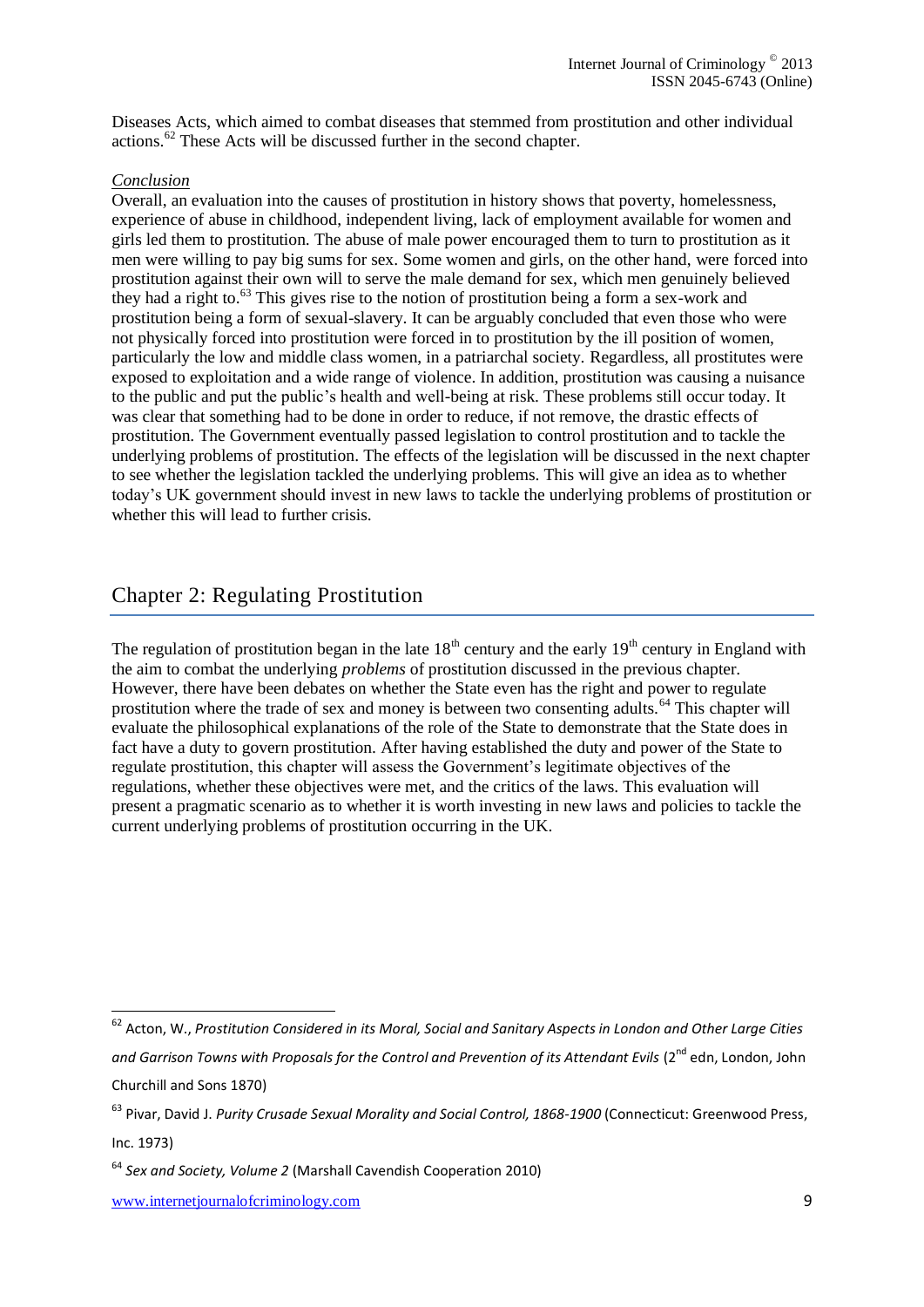Diseases Acts, which aimed to combat diseases that stemmed from prostitution and other individual actions.<sup>62</sup> These Acts will be discussed further in the second chapter.

#### *Conclusion*

Overall, an evaluation into the causes of prostitution in history shows that poverty, homelessness, experience of abuse in childhood, independent living, lack of employment available for women and girls led them to prostitution. The abuse of male power encouraged them to turn to prostitution as it men were willing to pay big sums for sex. Some women and girls, on the other hand, were forced into prostitution against their own will to serve the male demand for sex, which men genuinely believed they had a right to.<sup>63</sup> This gives rise to the notion of prostitution being a form a sex-work and prostitution being a form of sexual-slavery. It can be arguably concluded that even those who were not physically forced into prostitution were forced in to prostitution by the ill position of women, particularly the low and middle class women, in a patriarchal society. Regardless, all prostitutes were exposed to exploitation and a wide range of violence. In addition, prostitution was causing a nuisance to the public and put the public's health and well-being at risk. These problems still occur today. It was clear that something had to be done in order to reduce, if not remove, the drastic effects of prostitution. The Government eventually passed legislation to control prostitution and to tackle the underlying problems of prostitution. The effects of the legislation will be discussed in the next chapter to see whether the legislation tackled the underlying problems. This will give an idea as to whether today's UK government should invest in new laws to tackle the underlying problems of prostitution or whether this will lead to further crisis.

# Chapter 2: Regulating Prostitution

The regulation of prostitution began in the late  $18<sup>th</sup>$  century and the early  $19<sup>th</sup>$  century in England with the aim to combat the underlying *problems* of prostitution discussed in the previous chapter. However, there have been debates on whether the State even has the right and power to regulate prostitution where the trade of sex and money is between two consenting adults.<sup>64</sup> This chapter will evaluate the philosophical explanations of the role of the State to demonstrate that the State does in fact have a duty to govern prostitution. After having established the duty and power of the State to regulate prostitution, this chapter will assess the Government's legitimate objectives of the regulations, whether these objectives were met, and the critics of the laws. This evaluation will present a pragmatic scenario as to whether it is worth investing in new laws and policies to tackle the current underlying problems of prostitution occurring in the UK.

1

<sup>62</sup> Acton, W., *Prostitution Considered in its Moral, Social and Sanitary Aspects in London and Other Large Cities*  and Garrison Towns with Proposals for the Control and Prevention of its Attendant Evils (2<sup>nd</sup> edn, London, John Churchill and Sons 1870)

<sup>63</sup> Pivar, David J. *Purity Crusade Sexual Morality and Social Control, 1868-1900* (Connecticut: Greenwood Press, Inc. 1973)

<sup>64</sup> *Sex and Society, Volume 2* (Marshall Cavendish Cooperation 2010)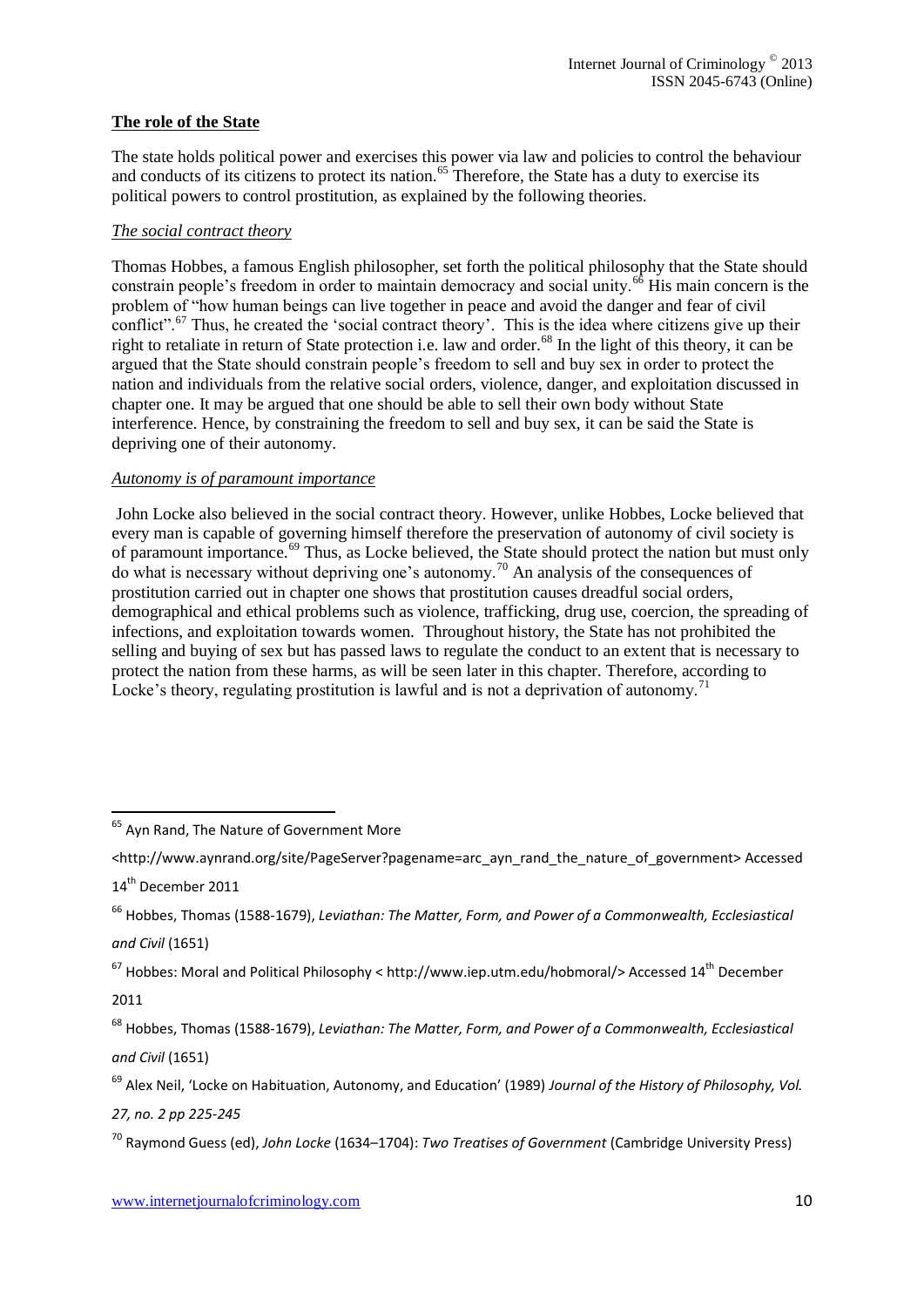### **The role of the State**

The state holds political power and exercises this power via law and policies to control the behaviour and conducts of its citizens to protect its nation.<sup>65</sup> Therefore, the State has a duty to exercise its political powers to control prostitution, as explained by the following theories.

#### *The social contract theory*

Thomas Hobbes, a famous English philosopher, set forth the political philosophy that the State should constrain people's freedom in order to maintain democracy and social unity.<sup>66</sup> His main concern is the problem of "how human beings can live together in peace and avoid the danger and fear of civil conflict".<sup>67</sup> Thus, he created the 'social contract theory'. This is the idea where citizens give up their right to retaliate in return of State protection i.e. law and order.<sup>68</sup> In the light of this theory, it can be argued that the State should constrain people's freedom to sell and buy sex in order to protect the nation and individuals from the relative social orders, violence, danger, and exploitation discussed in chapter one. It may be argued that one should be able to sell their own body without State interference. Hence, by constraining the freedom to sell and buy sex, it can be said the State is depriving one of their autonomy.

#### *Autonomy is of paramount importance*

John Locke also believed in the social contract theory. However, unlike Hobbes, Locke believed that every man is capable of governing himself therefore the preservation of autonomy of civil society is of paramount importance.<sup>69</sup> Thus, as Locke believed, the State should protect the nation but must only do what is necessary without depriving one's autonomy.<sup>70</sup> An analysis of the consequences of prostitution carried out in chapter one shows that prostitution causes dreadful social orders, demographical and ethical problems such as violence, trafficking, drug use, coercion, the spreading of infections, and exploitation towards women. Throughout history, the State has not prohibited the selling and buying of sex but has passed laws to regulate the conduct to an extent that is necessary to protect the nation from these harms, as will be seen later in this chapter. Therefore, according to Locke's theory, regulating prostitution is lawful and is not a deprivation of autonomy.<sup>71</sup>

 $67$  Hobbes: Moral and Political Philosophy < [http://www.iep.utm.edu/hobmoral/>](http://www.iep.utm.edu/hobmoral/) Accessed 14<sup>th</sup> December 2011

<sup>68</sup> Hobbes, Thomas (1588-1679), *Leviathan: The Matter, Form, and Power of a Commonwealth, Ecclesiastical and Civil* (1651)

<sup>69</sup> Alex Neil, 'Locke on Habituation, Autonomy, and Education' (1989) *Journal of the History of Philosophy, Vol.* 

*27, no. 2 pp 225-245*

1

<sup>&</sup>lt;sup>65</sup> Ayn Rand, The Nature of Government More

<sup>&</sup>lt;http://www.aynrand.org/site/PageServer?pagename=arc\_ayn\_rand\_the\_nature\_of\_government> Accessed 14<sup>th</sup> December 2011

<sup>66</sup> Hobbes, Thomas (1588-1679), *Leviathan: The Matter, Form, and Power of a Commonwealth, Ecclesiastical and Civil* (1651)

<sup>70</sup> Raymond Guess (ed), *John Locke* (1634–1704): *[Two Treatises of Government](http://www.google.co.uk/url?sa=t&rct=j&q=Two+Treatises+of+Government+john+locke%23&source=web&cd=3&ved=0CEMQFjAC&url=http%3A%2F%2Fwww.sparknotes.com%2Fphilosophy%2Fjohnlocke%2Fsection2.rhtml&ei=x72KT-SxK4zE8QOqqsXsCQ&usg=AFQjCNEGndnkxtsElslq39rf4Y3PGETlkA)* (Cambridge University Press)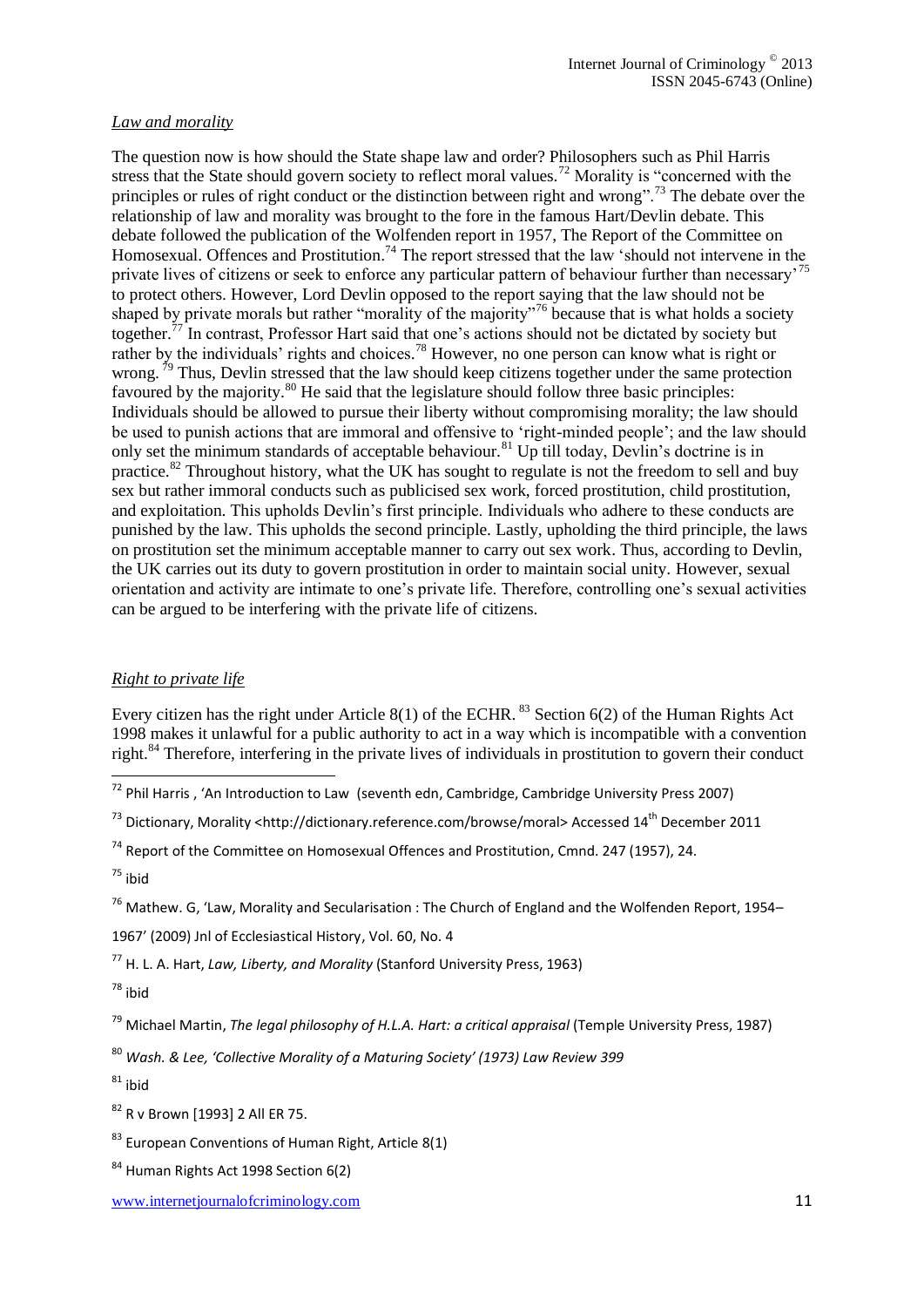#### *Law and morality*

The question now is how should the State shape law and order? Philosophers such as Phil Harris stress that the State should govern society to reflect moral values.<sup>72</sup> Morality is "concerned with the principles or rules of right conduct or the distinction between right and wrong".<sup>73</sup> The debate over the relationship of law and morality was brought to the fore in the famous Hart/Devlin debate. This debate followed the publication of the Wolfenden report in 1957, The Report of the Committee on Homosexual. Offences and Prostitution.<sup>74</sup> The report stressed that the law 'should not intervene in the private lives of citizens or seek to enforce any particular pattern of behaviour further than necessary' to protect others. However, Lord Devlin opposed to the report saying that the law should not be shaped by private morals but rather "morality of the majority"<sup>76</sup> because that is what holds a society together.<sup>77</sup> In contrast, Professor Hart said that one's actions should not be dictated by society but rather by the individuals' rights and choices.<sup>78</sup> However, no one person can know what is right or wrong.<sup>79</sup> Thus, Devlin stressed that the law should keep citizens together under the same protection favoured by the majority.<sup>80</sup> He said that the legislature should follow three basic principles: Individuals should be allowed to pursue their liberty without compromising morality; the law should be used to punish actions that are immoral and offensive to 'right-minded people'; and the law should only set the minimum standards of acceptable behaviour.<sup>81</sup> Up till today, Devlin's doctrine is in practice.<sup>82</sup> Throughout history, what the UK has sought to regulate is not the freedom to sell and buy sex but rather immoral conducts such as publicised sex work, forced prostitution, child prostitution, and exploitation. This upholds Devlin's first principle. Individuals who adhere to these conducts are punished by the law. This upholds the second principle. Lastly, upholding the third principle, the laws on prostitution set the minimum acceptable manner to carry out sex work. Thus, according to Devlin, the UK carries out its duty to govern prostitution in order to maintain social unity. However, sexual orientation and activity are intimate to one's private life. Therefore, controlling one's sexual activities can be argued to be interfering with the private life of citizens.

#### *Right to private life*

Every citizen has the right under Article 8(1) of the ECHR.  $^{83}$  Section 6(2) of the Human Rights Act 1998 makes it unlawful for a public authority to act in a way which is incompatible with a convention right.<sup>84</sup> Therefore, interfering in the private lives of individuals in prostitution to govern their conduct

<sup>74</sup> Report of the Committee on Homosexual Offences and Prostitution, Cmnd. 247 (1957), 24.

1

<sup>76</sup> Mathew. G, 'Law, Morality and Secularisation : The Church of England and the Wolfenden Report, 1954–

1967' (2009) Jnl of Ecclesiastical History, Vol. 60, No. 4

<sup>77</sup> [H. L. A. Hart,](http://www.google.co.uk/search?tbo=p&tbm=bks&q=inauthor:%22H.+L.+A.+Hart%22) *Law, Liberty, and Morality* (Stanford University Press, 1963)

<sup>78</sup> ibid

<sup>79</sup> [Michael Martin,](http://www.google.co.uk/search?tbo=p&tbm=bks&q=inauthor:%22Michael+Martin%22) *The legal philosophy of H.L.A. Hart: a critical appraisal* (Temple University Press, 1987)

<sup>80</sup> *Wash. & Lee, 'Collective Morality of a Maturing Society' (1973) Law Review 399*

 $81$  ibid

<sup>82</sup> R v Brown [1993] 2 All ER 75.

 $83$  European Conventions of Human Right, Article 8(1)

 $^{72}$  Phil Harris, 'An Introduction to Law (seventh edn, Cambridge, Cambridge University Press 2007)

 $^{73}$  Dictionary, Morality [<http://dictionary.reference.com/browse/moral>](http://dictionary.reference.com/browse/moral) Accessed 14<sup>th</sup> December 2011

 $75$  ibid

<sup>84</sup> Human Rights Act 1998 Section 6(2)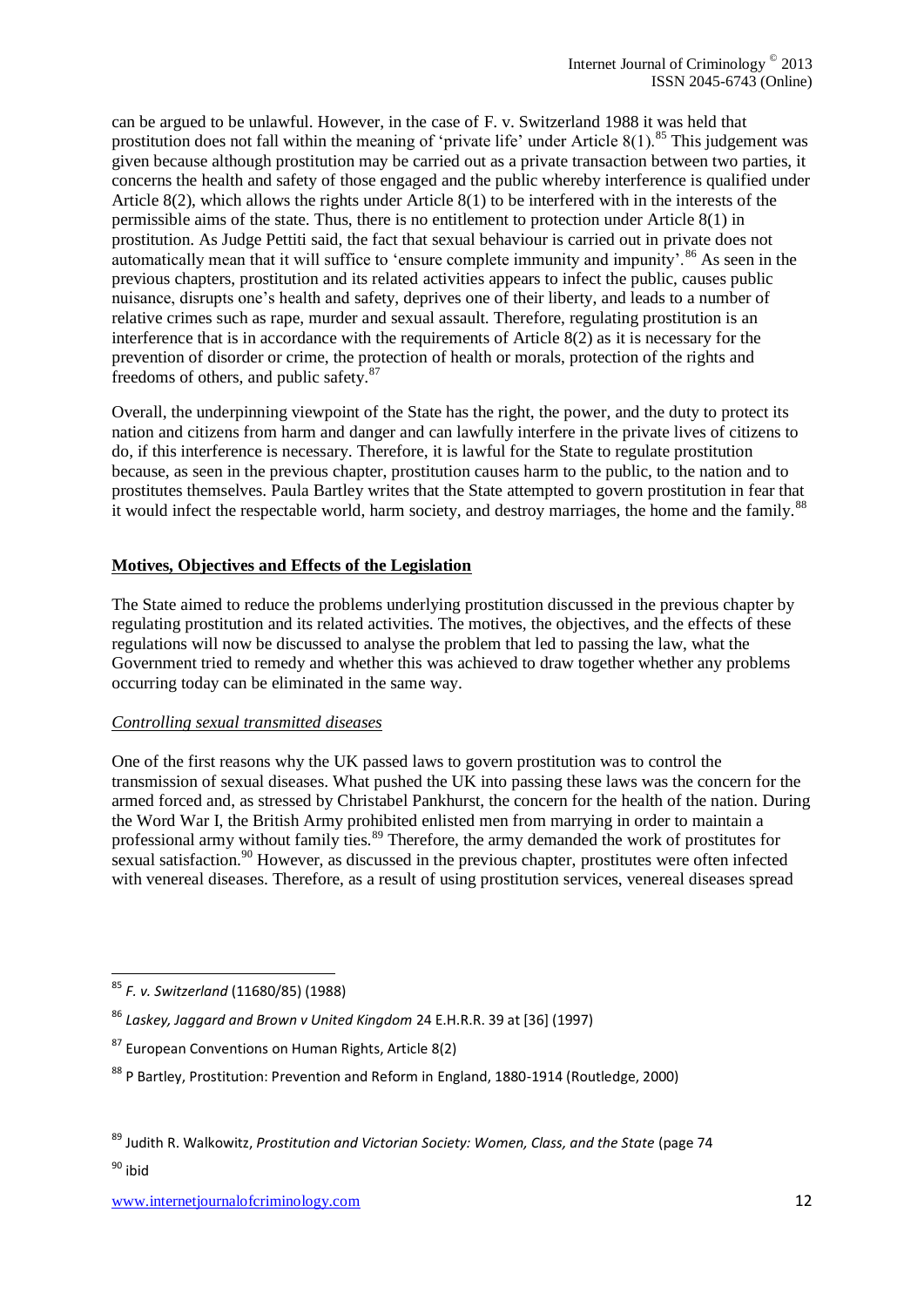can be argued to be unlawful. However, in the case of F. v. Switzerland 1988 it was held that prostitution does not fall within the meaning of 'private life' under Article  $8(1)$ .<sup>85</sup> This judgement was given because although prostitution may be carried out as a private transaction between two parties, it concerns the health and safety of those engaged and the public whereby interference is qualified under Article 8(2), which allows the rights under Article 8(1) to be interfered with in the interests of the permissible aims of the state. Thus, there is no entitlement to protection under Article 8(1) in prostitution. As Judge Pettiti said, the fact that sexual behaviour is carried out in private does not automatically mean that it will suffice to 'ensure complete immunity and impunity'.<sup>86</sup> As seen in the previous chapters, prostitution and its related activities appears to infect the public, causes public nuisance, disrupts one's health and safety, deprives one of their liberty, and leads to a number of relative crimes such as rape, murder and sexual assault. Therefore, regulating prostitution is an interference that is in accordance with the requirements of Article 8(2) as it is necessary for the prevention of disorder or crime, the protection of health or morals, protection of the rights and freedoms of others, and public safety.<sup>87</sup>

Overall, the underpinning viewpoint of the State has the right, the power, and the duty to protect its nation and citizens from harm and danger and can lawfully interfere in the private lives of citizens to do, if this interference is necessary. Therefore, it is lawful for the State to regulate prostitution because, as seen in the previous chapter, prostitution causes harm to the public, to the nation and to prostitutes themselves. Paula Bartley writes that the State attempted to govern prostitution in fear that it would infect the respectable world, harm society, and destroy marriages, the home and the family.<sup>88</sup>

### **Motives, Objectives and Effects of the Legislation**

The State aimed to reduce the problems underlying prostitution discussed in the previous chapter by regulating prostitution and its related activities. The motives, the objectives, and the effects of these regulations will now be discussed to analyse the problem that led to passing the law, what the Government tried to remedy and whether this was achieved to draw together whether any problems occurring today can be eliminated in the same way.

#### *Controlling sexual transmitted diseases*

One of the first reasons why the UK passed laws to govern prostitution was to control the transmission of sexual diseases. What pushed the UK into passing these laws was the concern for the armed forced and, as stressed by Christabel Pankhurst, the concern for the health of the nation. During the Word War I, the British Army prohibited enlisted men from marrying in order to maintain a professional army without family ties.<sup>89</sup> Therefore, the army demanded the work of prostitutes for sexual satisfaction.<sup>90</sup> However, as discussed in the previous chapter, prostitutes were often infected with venereal diseases. Therefore, as a result of using prostitution services, venereal diseases spread

 $90$  ibid

<sup>1</sup> <sup>85</sup> *F. v. Switzerland* (11680/85) (1988)

<sup>86</sup> *Laskey, Jaggard and Brown v United Kingdom* 24 E.H.R.R. 39 at [36] (1997)

 $87$  European Conventions on Human Rights, Article 8(2)

<sup>88</sup> P Bartley, Prostitution: Prevention and Reform in England, 1880-1914 (Routledge, 2000)

<sup>89</sup> Judith R. Walkowitz, *Prostitution and Victorian Society: Women, Class, and the State* (page 74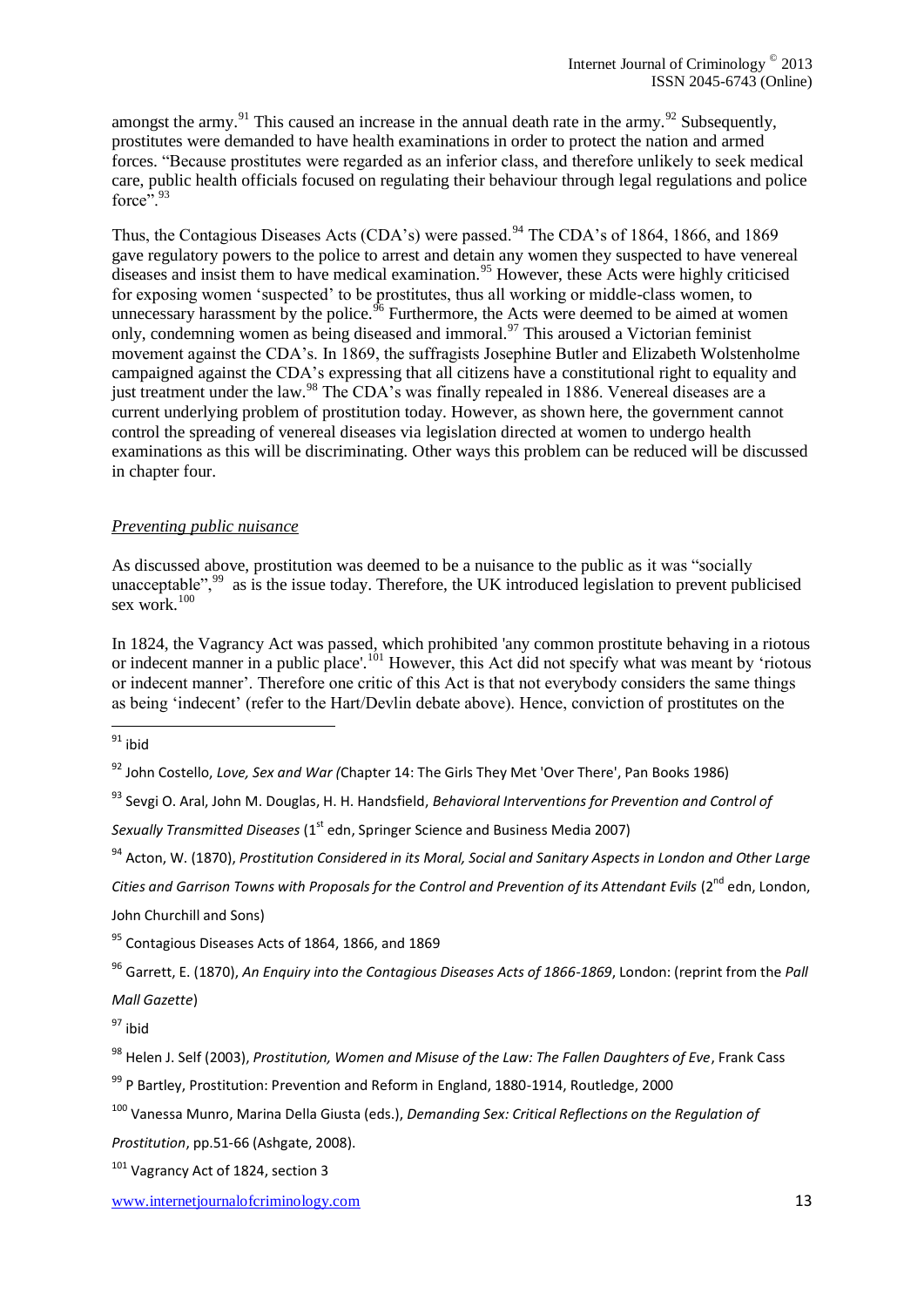amongst the army.<sup>91</sup> This caused an increase in the annual death rate in the army.<sup>92</sup> Subsequently, prostitutes were demanded to have health examinations in order to protect the nation and armed forces. "Because prostitutes were regarded as an inferior class, and therefore unlikely to seek medical care, public health officials focused on regulating their behaviour through legal regulations and police force $\cdot$ <sup>5, 93</sup>

Thus, the Contagious Diseases Acts (CDA's) were passed.<sup>94</sup> The CDA's of 1864, 1866, and 1869 gave regulatory powers to the police to arrest and detain any women they suspected to have venereal diseases and insist them to have medical examination.<sup>95</sup> However, these Acts were highly criticised for exposing women 'suspected' to be prostitutes, thus all working or middle-class women, to unnecessary harassment by the police.<sup>96</sup> Furthermore, the Acts were deemed to be aimed at women only, condemning women as being diseased and immoral.<sup>97</sup> This aroused a Victorian feminist movement against the CDA's. In 1869, the suffragists Josephine Butler and [Elizabeth Wolstenholme](http://www.spartacus.schoolnet.co.uk/Welmy.htm) campaigned against the CDA's expressing that all citizens have a constitutional right to equality and just treatment under the law.<sup>98</sup> The CDA's was finally repealed in 1886. Venereal diseases are a current underlying problem of prostitution today. However, as shown here, the government cannot control the spreading of venereal diseases via legislation directed at women to undergo health examinations as this will be discriminating. Other ways this problem can be reduced will be discussed in chapter four.

#### *Preventing public nuisance*

As discussed above, prostitution was deemed to be a nuisance to the public as it was "socially unacceptable",<sup>99</sup> as is the issue today. Therefore, the UK introduced legislation to prevent publicised sex work. $100$ 

In 1824, the Vagrancy Act was passed, which prohibited 'any common prostitute behaving in a riotous or indecent manner in a public place'.<sup>101</sup> However, this Act did not specify what was meant by 'riotous or indecent manner'. Therefore one critic of this Act is that not everybody considers the same things as being 'indecent' (refer to the Hart/Devlin debate above). Hence, conviction of prostitutes on the

<sup>93</sup> Sevgi O. Aral, John M. Douglas, H. H. Handsfield, *Behavioral Interventions for Prevention and Control of Sexually Transmitted Diseases* (1<sup>st</sup> edn, Springer Science and Business Media 2007)

<sup>94</sup> Acton, W. (1870), *Prostitution Considered in its Moral, Social and Sanitary Aspects in London and Other Large Cities and Garrison Towns with Proposals for the Control and Prevention of its Attendant Evils* (2<sup>nd</sup> edn. London. John Churchill and Sons)

<sup>95</sup> Contagious Diseases Acts of 1864, 1866, and 1869

<sup>96</sup> Garrett, E. (1870), *An Enquiry into the Contagious Diseases Acts of 1866-1869*, London: (reprint from the *Pall Mall Gazette*)

<sup>1</sup>  $^{91}$  ibid

<sup>92</sup> John Costello, *Love, Sex and War (*Chapter 14: The Girls They Met 'Over There', Pan Books 1986)

 $97$  ibid

<sup>98</sup> Helen J. Self (2003), *Prostitution, Women and Misuse of the Law: The Fallen Daughters of Eve*, Frank Cass

<sup>99</sup> P Bartley, Prostitution: Prevention and Reform in England, 1880-1914, Routledge, 2000

<sup>100</sup> Vanessa Munro, Marina Della Giusta (eds.), *Demanding Sex: Critical Reflections on the Regulation of Prostitution*, pp.51-66 (Ashgate, 2008).

<sup>&</sup>lt;sup>101</sup> Vagrancy Act of 1824, section 3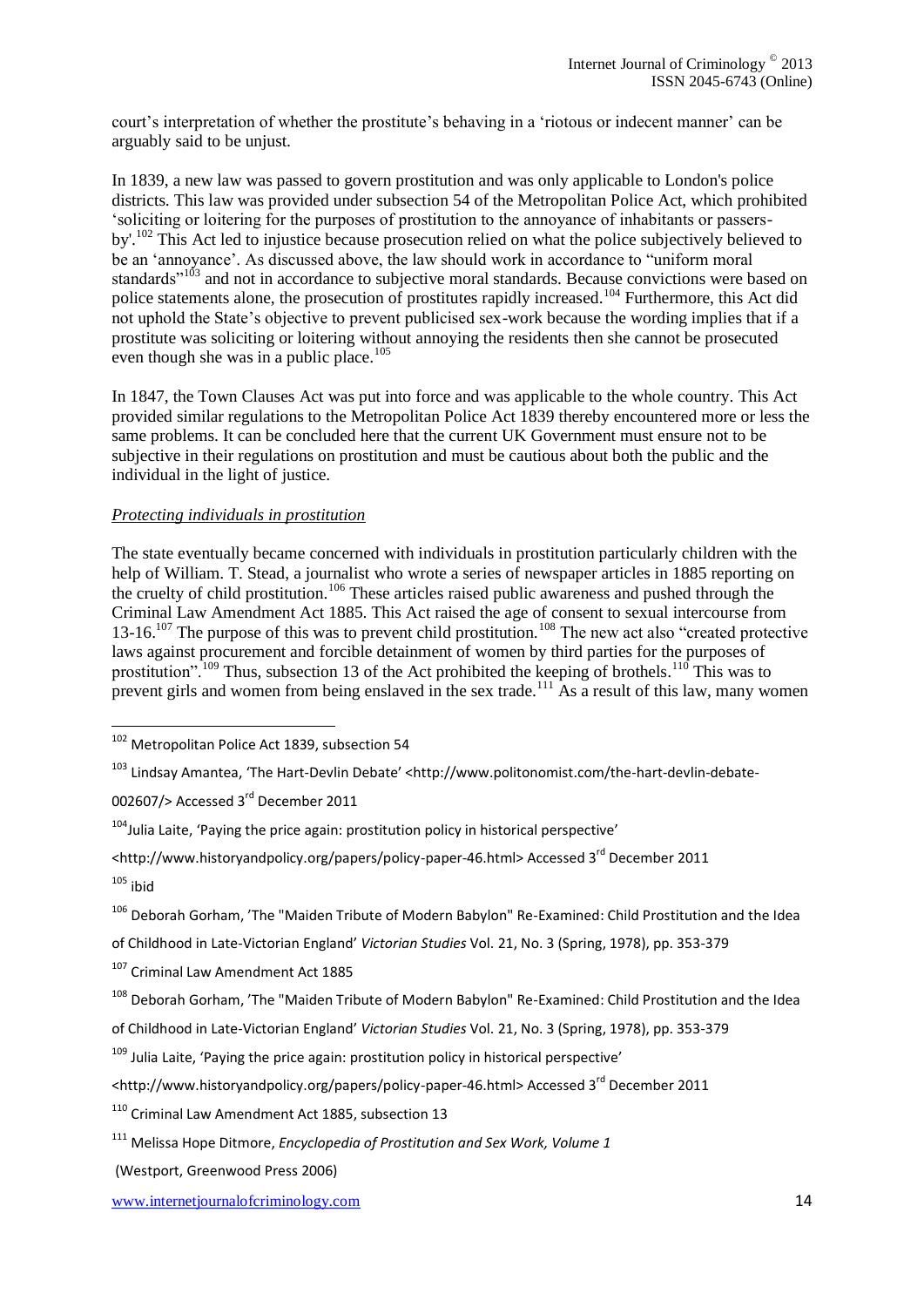court's interpretation of whether the prostitute's behaving in a 'riotous or indecent manner' can be arguably said to be unjust.

In 1839, a new law was passed to govern prostitution and was only applicable to London's police districts. This law was provided under subsection 54 of the Metropolitan Police Act, which prohibited 'soliciting or loitering for the purposes of prostitution to the annoyance of inhabitants or passersby'.<sup>102</sup> This Act led to injustice because prosecution relied on what the police subjectively believed to be an 'annoyance'. As discussed above, the law should work in accordance to "uniform moral standards<sup>"103</sup> and not in accordance to subjective moral standards. Because convictions were based on police statements alone, the prosecution of prostitutes rapidly increased.<sup>104</sup> Furthermore, this Act did not uphold the State's objective to prevent publicised sex-work because the wording implies that if a prostitute was soliciting or loitering without annoying the residents then she cannot be prosecuted even though she was in a public place.<sup>105</sup>

In 1847, the Town Clauses Act was put into force and was applicable to the whole country. This Act provided similar regulations to the Metropolitan Police Act 1839 thereby encountered more or less the same problems. It can be concluded here that the current UK Government must ensure not to be subjective in their regulations on prostitution and must be cautious about both the public and the individual in the light of justice.

### *Protecting individuals in prostitution*

The state eventually became concerned with individuals in prostitution particularly children with the help of William. T. Stead, a journalist who wrote a series of newspaper articles in 1885 reporting on the cruelty of child prostitution.<sup>106</sup> These articles raised public awareness and pushed through the Criminal Law Amendment Act 1885. This Act raised the age of consent to sexual intercourse from 13-16.<sup>107</sup> The purpose of this was to prevent child prostitution.<sup>108</sup> The new act also "created protective" laws against procurement and forcible detainment of women by third parties for the purposes of prostitution".<sup>109</sup> Thus, subsection 13 of the Act prohibited the keeping of brothels.<sup>110</sup> This was to prevent girls and women from being enslaved in the sex trade.<sup>111</sup> As a result of this law, many women

[002607/>](http://www.politonomist.com/the-hart-devlin-debate-002607/) Accessed 3<sup>rd</sup> December 2011

of Childhood in Late-Victorian England' *Victorian Studies* Vol. 21, No. 3 (Spring, 1978), pp. 353-379

107 Criminal Law Amendment Act 1885

<sup>1</sup> <sup>102</sup> Metropolitan Police Act 1839, subsection 54

<sup>103</sup> [Lindsay Amantea](http://www.politonomist.com/author/lamantea/), 'The Hart-Devlin Debate' <[http://www.politonomist.com/the-hart-devlin-debate-](http://www.politonomist.com/the-hart-devlin-debate-002607/)

 $104$ Julia Laite, 'Paying the price again: prostitution policy in historical perspective'

[<sup>&</sup>lt;http://www.historyandpolicy.org/papers/policy-paper-46.html>](http://www.historyandpolicy.org/papers/policy-paper-46.html) Accessed 3rd December 2011  $105$  ibid

<sup>106</sup> Deborah Gorham, 'The "Maiden Tribute of Modern Babylon" Re-Examined: Child Prostitution and the Idea

<sup>108</sup> Deborah Gorham, 'The "Maiden Tribute of Modern Babylon" Re-Examined: Child Prostitution and the Idea of Childhood in Late-Victorian England' *Victorian Studies* Vol. 21, No. 3 (Spring, 1978), pp. 353-379

<sup>&</sup>lt;sup>109</sup> Julia Laite, 'Paying the price again: prostitution policy in historical perspective'

[<sup>&</sup>lt;http://www.historyandpolicy.org/papers/policy-paper-46.html>](http://www.historyandpolicy.org/papers/policy-paper-46.html) Accessed 3rd December 2011

<sup>110</sup> Criminal Law Amendment Act 1885, subsection 13

<sup>111</sup> Melissa Hope Ditmore, *Encyclopedia of Prostitution and Sex Work, Volume 1*

<sup>(</sup>Westport, Greenwood Press 2006)

www.internetjournalofcriminology.com 14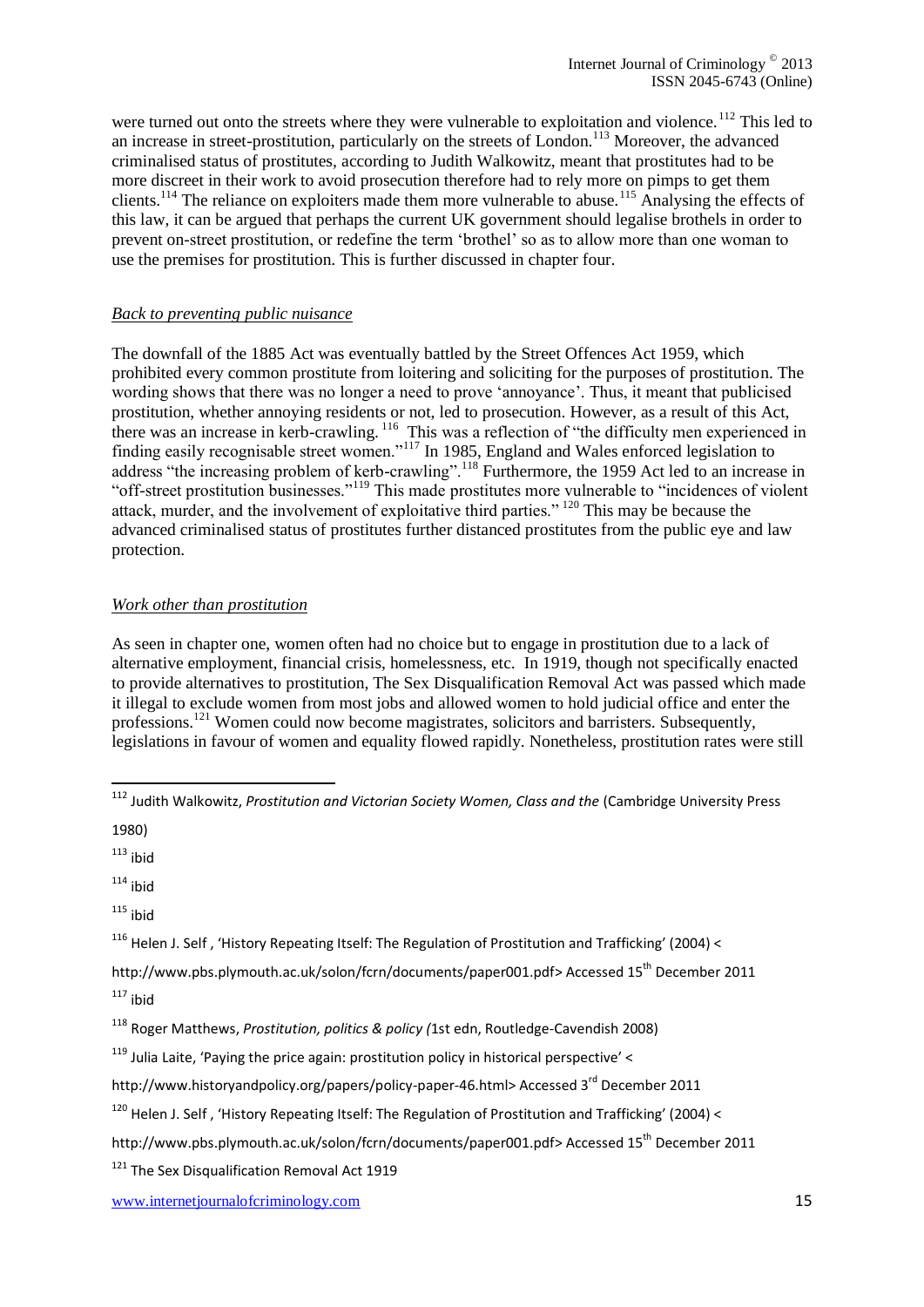were turned out onto the streets where they were vulnerable to exploitation and violence.<sup>112</sup> This led to an increase in street-prostitution, particularly on the streets of London.<sup>113</sup> Moreover, the advanced criminalised status of prostitutes, according to Judith Walkowitz, meant that prostitutes had to be more discreet in their work to avoid prosecution therefore had to rely more on pimps to get them clients.<sup>114</sup> The reliance on exploiters made them more vulnerable to abuse.<sup>115</sup> Analysing the effects of this law, it can be argued that perhaps the current UK government should legalise brothels in order to prevent on-street prostitution, or redefine the term 'brothel' so as to allow more than one woman to use the premises for prostitution. This is further discussed in chapter four.

#### *Back to preventing public nuisance*

The downfall of the 1885 Act was eventually battled by the Street Offences Act 1959, which prohibited every common prostitute from loitering and soliciting for the purposes of prostitution. The wording shows that there was no longer a need to prove 'annoyance'. Thus, it meant that publicised prostitution, whether annoying residents or not, led to prosecution. However, as a result of this Act, there was an increase in kerb-crawling.<sup>116</sup> This was a reflection of "the difficulty men experienced in finding easily recognisable street women."<sup>117</sup> In 1985, England and Wales enforced legislation to address "the increasing problem of kerb-crawling".<sup>118</sup> Furthermore, the 1959 Act led to an increase in "off-street prostitution businesses."<sup>119</sup> This made prostitutes more vulnerable to "incidences of violent attack, murder, and the involvement of exploitative third parties." <sup>120</sup> This may be because the advanced criminalised status of prostitutes further distanced prostitutes from the public eye and law protection.

#### *Work other than prostitution*

As seen in chapter one, women often had no choice but to engage in prostitution due to a lack of alternative employment, financial crisis, homelessness, etc. In 1919, though not specifically enacted to provide alternatives to prostitution, The Sex Disqualification Removal Act was passed which made it illegal to exclude women from most jobs and allowed women to hold judicial office and enter the professions.<sup>121</sup> Women could now become magistrates, solicitors and barristers. Subsequently, legislations in favour of women and equality flowed rapidly. Nonetheless, prostitution rates were still

1980)

1

 $113$  ibid

 $114$  ibid

 $115$  ibid

<sup>116</sup> Helen J. Self, 'History Repeating Itself: The Regulation of Prostitution and Trafficking' (2004) <

<sup>&</sup>lt;sup>112</sup> Judith Walkowitz, Prostitution and Victorian Society Women, Class and the (Cambridge University Press

[http://www.pbs.plymouth.ac.uk/solon/fcrn/documents/paper001.pdf>](http://www.pbs.plymouth.ac.uk/solon/fcrn/documents/paper001.pdf) Accessed 15<sup>th</sup> December 2011  $117$  ihid

<sup>118</sup> Roger Matthews, *Prostitution, politics & policy (*1st edn, Routledge-Cavendish 2008)

<sup>&</sup>lt;sup>119</sup> Julia Laite, 'Paying the price again: prostitution policy in historical perspective' <

[http://www.historyandpolicy.org/papers/policy-paper-46.html>](http://www.historyandpolicy.org/papers/policy-paper-46.html) Accessed 3<sup>rd</sup> December 2011

<sup>120</sup> Helen J. Self , 'History Repeating Itself: The Regulation of Prostitution and Trafficking' (2004) <

[http://www.pbs.plymouth.ac.uk/solon/fcrn/documents/paper001.pdf>](http://www.pbs.plymouth.ac.uk/solon/fcrn/documents/paper001.pdf) Accessed 15<sup>th</sup> December 2011

<sup>&</sup>lt;sup>121</sup> The Sex Disqualification Removal Act 1919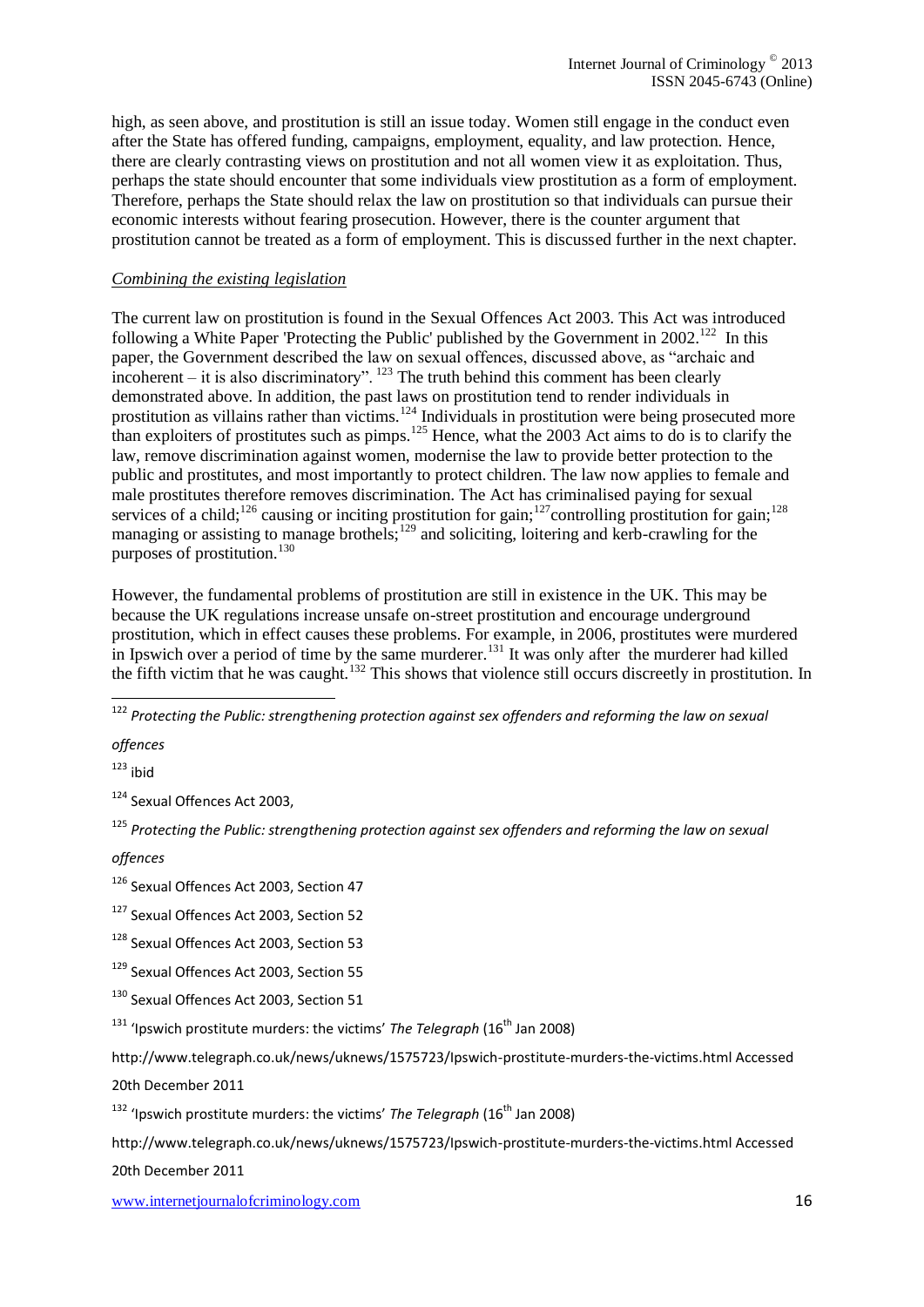high, as seen above, and prostitution is still an issue today. Women still engage in the conduct even after the State has offered funding, campaigns, employment, equality, and law protection. Hence, there are clearly contrasting views on prostitution and not all women view it as exploitation. Thus, perhaps the state should encounter that some individuals view prostitution as a form of employment. Therefore, perhaps the State should relax the law on prostitution so that individuals can pursue their economic interests without fearing prosecution. However, there is the counter argument that prostitution cannot be treated as a form of employment. This is discussed further in the next chapter.

#### *Combining the existing legislation*

The current law on prostitution is found in the Sexual Offences Act 2003. This Act was introduced following a White Paper 'Protecting the Public' published by the Government in  $2002$ <sup>122</sup>. In this paper, the Government described the law on sexual offences, discussed above, as "archaic and incoherent – it is also discriminatory".  $^{123}$  The truth behind this comment has been clearly demonstrated above. In addition, the past laws on prostitution tend to render individuals in prostitution as villains rather than victims.<sup>124</sup> Individuals in prostitution were being prosecuted more than exploiters of prostitutes such as pimps.<sup>125</sup> Hence, what the 2003 Act aims to do is to clarify the law, remove discrimination against women, modernise the law to provide better protection to the public and prostitutes, and most importantly to protect children. The law now applies to female and male prostitutes therefore removes discrimination. The Act has criminalised paying for sexual services of a child;<sup>126</sup> causing or inciting prostitution for gain;<sup>127</sup>controlling prostitution for gain;<sup>128</sup> managing or assisting to manage brothels; $^{129}$  and soliciting, loitering and kerb-crawling for the purposes of prostitution.<sup>130</sup>

However, the fundamental problems of prostitution are still in existence in the UK. This may be because the UK regulations increase unsafe on-street prostitution and encourage underground prostitution, which in effect causes these problems. For example, in 2006, prostitutes were murdered in Ipswich over a period of time by the same murderer.<sup>131</sup> It was only after the murderer had killed the fifth victim that he was caught.<sup>132</sup> This shows that violence still occurs discreetly in prostitution. In

<sup>122</sup> *Protecting the Public: strengthening protection against sex offenders and reforming the law on sexual* 

*offences* 

1

 $123$  ibid

<sup>124</sup> Sexual Offences Act 2003,

<sup>125</sup> *Protecting the Public: strengthening protection against sex offenders and reforming the law on sexual* 

#### *offences*

<sup>126</sup> Sexual Offences Act 2003, Section 47

- <sup>127</sup> Sexual Offences Act 2003, Section 52
- <sup>128</sup> Sexual Offences Act 2003, Section 53
- 129 Sexual Offences Act 2003, Section 55
- 130 Sexual Offences Act 2003, Section 51
- <sup>131</sup> 'Ipswich prostitute murders: the victims' The Telegraph (16<sup>th</sup> Jan 2008)

<http://www.telegraph.co.uk/news/uknews/1575723/Ipswich-prostitute-murders-the-victims.html> Accessed

20th December 2011

<sup>132</sup> 'Ipswich prostitute murders: the victims' The Telegraph (16<sup>th</sup> Jan 2008)

<http://www.telegraph.co.uk/news/uknews/1575723/Ipswich-prostitute-murders-the-victims.html> Accessed

20th December 2011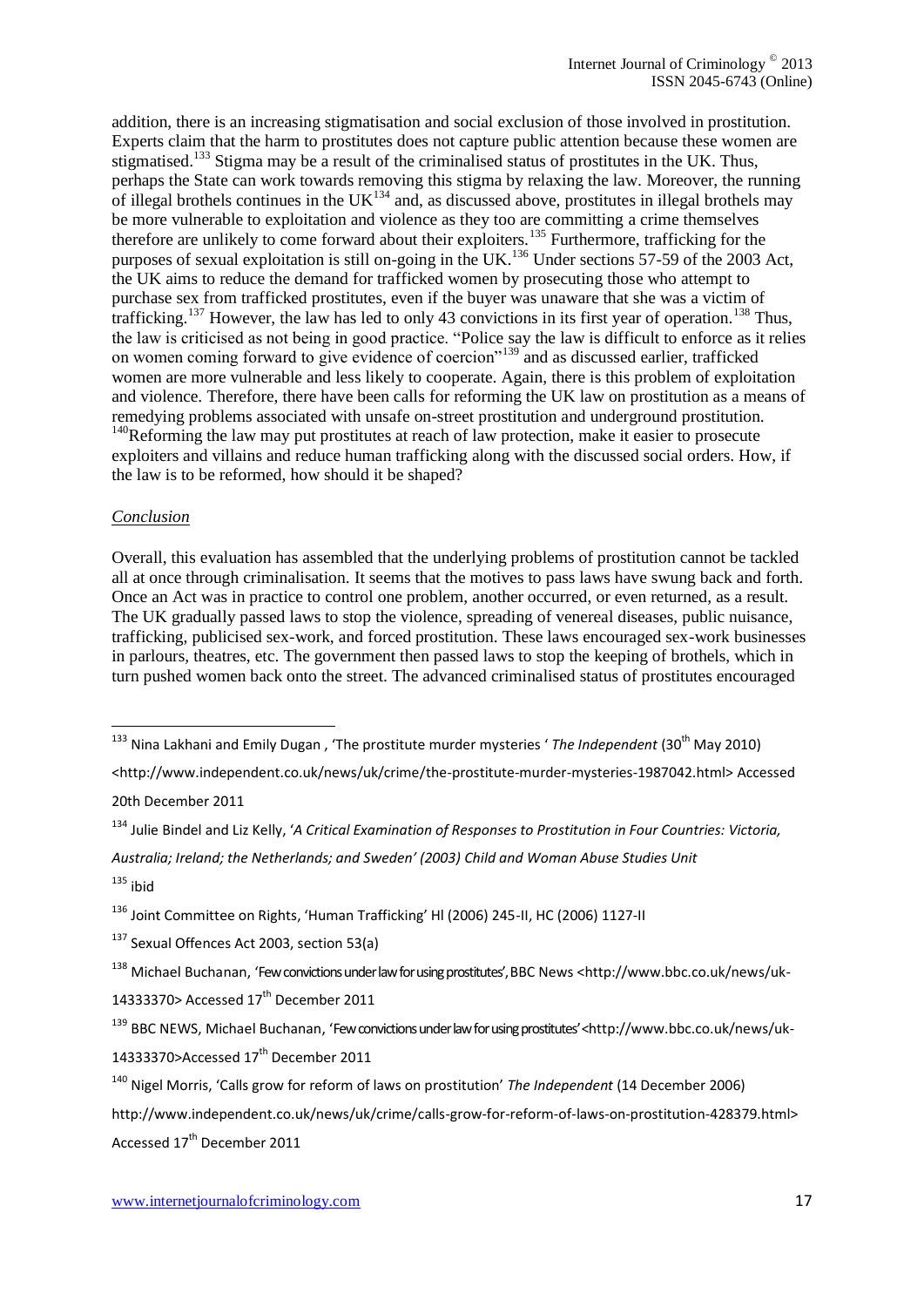addition, there is an increasing stigmatisation and social exclusion of those involved in prostitution. Experts claim that the harm to prostitutes does not capture public attention because these women are stigmatised.<sup>133</sup> Stigma may be a result of the criminalised status of prostitutes in the UK. Thus, perhaps the State can work towards removing this stigma by relaxing the law. Moreover, the running of illegal brothels continues in the UK<sup>134</sup> and, as discussed above, prostitutes in illegal brothels may be more vulnerable to exploitation and violence as they too are committing a crime themselves therefore are unlikely to come forward about their exploiters.<sup>135</sup> Furthermore, trafficking for the purposes of sexual exploitation is still on-going in the UK.<sup>136</sup> Under sections 57-59 of the 2003 Act, the UK aims to reduce the demand for trafficked women by prosecuting those who attempt to purchase sex from trafficked prostitutes, even if the buyer was unaware that she was a victim of trafficking.<sup>137</sup> However, the law has led to only 43 convictions in its first year of operation.<sup>138</sup> Thus, the law is criticised as not being in good practice. "Police say the law is difficult to enforce as it relies on women coming forward to give evidence of coercion"<sup>139</sup> and as discussed earlier, trafficked women are more vulnerable and less likely to cooperate. Again, there is this problem of exploitation and violence. Therefore, there have been calls for reforming the UK law on prostitution as a means of remedying problems associated with unsafe on-street prostitution and underground prostitution.  $140$ Reforming the law may put prostitutes at reach of law protection, make it easier to prosecute exploiters and villains and reduce human trafficking along with the discussed social orders. How, if

the law is to be reformed, how should it be shaped?

#### *Conclusion*

Overall, this evaluation has assembled that the underlying problems of prostitution cannot be tackled all at once through criminalisation. It seems that the motives to pass laws have swung back and forth. Once an Act was in practice to control one problem, another occurred, or even returned, as a result. The UK gradually passed laws to stop the violence, spreading of venereal diseases, public nuisance, trafficking, publicised sex-work, and forced prostitution. These laws encouraged sex-work businesses in parlours, theatres, etc. The government then passed laws to stop the keeping of brothels, which in turn pushed women back onto the street. The advanced criminalised status of prostitutes encouraged

[<http://www.independent.co.uk/news/uk/crime/the-prostitute-murder-mysteries-1987042.html>](http://www.independent.co.uk/news/uk/crime/the-prostitute-murder-mysteries-1987042.html) Accessed

20th December 2011

1

*Australia; Ireland; the Netherlands; and Sweden' (2003) Child and Woman Abuse Studies Unit*  $135$  ibid

[14333370>](http://www.bbc.co.uk/news/uk-14333370)Accessed 17<sup>th</sup> December 2011

<sup>&</sup>lt;sup>133</sup> Nina Lakhani and Emily Dugan , 'The prostitute murder mysteries ' *The Independent* (30<sup>th</sup> May 2010)

<sup>134</sup> Julie Bindel and Liz Kelly, '*A Critical Examination of Responses to Prostitution in Four Countries: Victoria,* 

<sup>136</sup> Joint Committee on Rights, 'Human Trafficking' Hl (2006) 245-II, HC (2006) 1127-II

<sup>&</sup>lt;sup>137</sup> Sexual Offences Act 2003, section 53(a)

<sup>138</sup> Michael Buchanan, 'Few convictions under law for using prostitutes', BBC News [<http://www.bbc.co.uk/news/uk-](http://www.bbc.co.uk/news/uk-14333370)[14333370>](http://www.bbc.co.uk/news/uk-14333370) Accessed 17<sup>th</sup> December 2011

<sup>139</sup> BBC NEWS, Michael Buchanan, 'Few convictions under law for using prostitutes' <[http://www.bbc.co.uk/news/uk-](http://www.bbc.co.uk/news/uk-14333370)

<sup>140</sup> Nigel Morris, 'Calls grow for reform of laws on prostitution' *The Independent* (14 December 2006)

[http://www.independent.co.uk/news/uk/crime/calls-grow-for-reform-of-laws-on-prostitution-428379.html>](http://www.independent.co.uk/news/uk/crime/calls-grow-for-reform-of-laws-on-prostitution-428379.html) Accessed 17<sup>th</sup> December 2011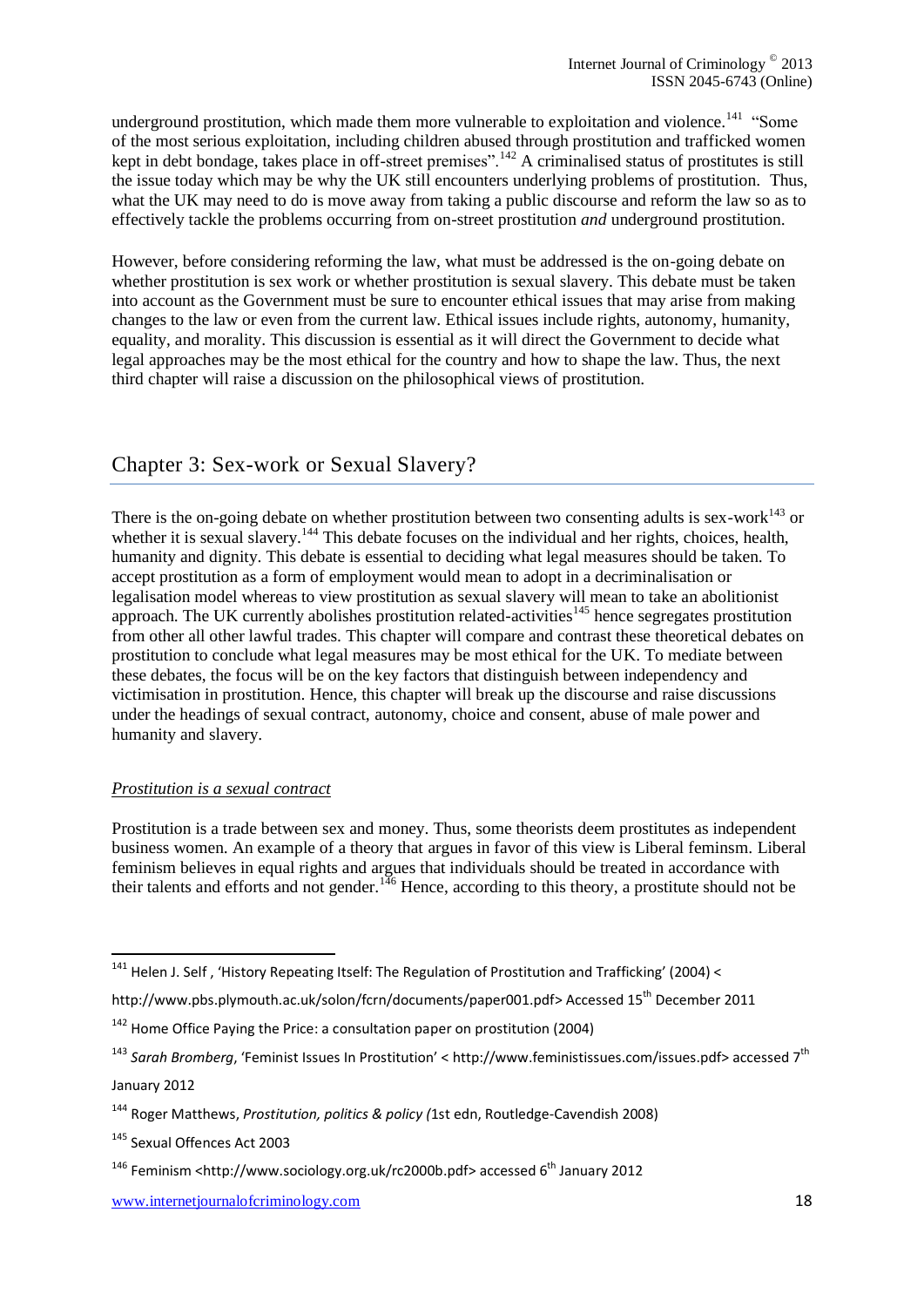underground prostitution, which made them more vulnerable to exploitation and violence.<sup>141</sup> "Some of the most serious exploitation, including children abused through prostitution and trafficked women kept in debt bondage, takes place in off-street premises".<sup>142</sup> A criminalised status of prostitutes is still the issue today which may be why the UK still encounters underlying problems of prostitution. Thus, what the UK may need to do is move away from taking a public discourse and reform the law so as to effectively tackle the problems occurring from on-street prostitution *and* underground prostitution.

However, before considering reforming the law, what must be addressed is the on-going debate on whether prostitution is sex work or whether prostitution is sexual slavery. This debate must be taken into account as the Government must be sure to encounter ethical issues that may arise from making changes to the law or even from the current law. Ethical issues include rights, autonomy, humanity, equality, and morality. This discussion is essential as it will direct the Government to decide what legal approaches may be the most ethical for the country and how to shape the law. Thus, the next third chapter will raise a discussion on the philosophical views of prostitution.

# Chapter 3: Sex-work or Sexual Slavery?

There is the on-going debate on whether prostitution between two consenting adults is sex-work $^{143}$  or whether it is sexual slavery.<sup>144</sup> This debate focuses on the individual and her rights, choices, health, humanity and dignity. This debate is essential to deciding what legal measures should be taken. To accept prostitution as a form of employment would mean to adopt in a decriminalisation or legalisation model whereas to view prostitution as sexual slavery will mean to take an abolitionist approach. The UK currently abolishes prostitution related-activities<sup>145</sup> hence segregates prostitution from other all other lawful trades. This chapter will compare and contrast these theoretical debates on prostitution to conclude what legal measures may be most ethical for the UK. To mediate between these debates, the focus will be on the key factors that distinguish between independency and victimisation in prostitution. Hence, this chapter will break up the discourse and raise discussions under the headings of sexual contract, autonomy, choice and consent, abuse of male power and humanity and slavery.

#### *Prostitution is a sexual contract*

Prostitution is a trade between sex and money. Thus, some theorists deem prostitutes as independent business women. An example of a theory that argues in favor of this view is Liberal feminsm. Liberal feminism believes in equal rights and argues that individuals should be treated in accordance with their talents and efforts and not gender.<sup>146</sup> Hence, according to this theory, a prostitute should not be

[http://www.pbs.plymouth.ac.uk/solon/fcrn/documents/paper001.pdf>](http://www.pbs.plymouth.ac.uk/solon/fcrn/documents/paper001.pdf) Accessed 15<sup>th</sup> December 2011

1

<sup>&</sup>lt;sup>141</sup> Helen J. Self, 'History Repeating Itself: The Regulation of Prostitution and Trafficking' (2004) <

 $142$  Home Office Paying the Price: a consultation paper on prostitution (2004)

<sup>143</sup> *Sarah Bromberg*, 'Feminist Issues In Prostitution' < [http://www.feministissues.com/issues.pdf>](http://www.feministissues.com/issues.pdf) accessed 7th January 2012

<sup>144</sup> Roger Matthews, *Prostitution, politics & policy (*1st edn, Routledge-Cavendish 2008)

<sup>145</sup> Sexual Offences Act 2003

 $146$  Feminism [<http://www.sociology.org.uk/rc2000b.pdf>](http://www.sociology.org.uk/rc2000b.pdf) accessed 6<sup>th</sup> January 2012

www.internetjournalofcriminology.com 18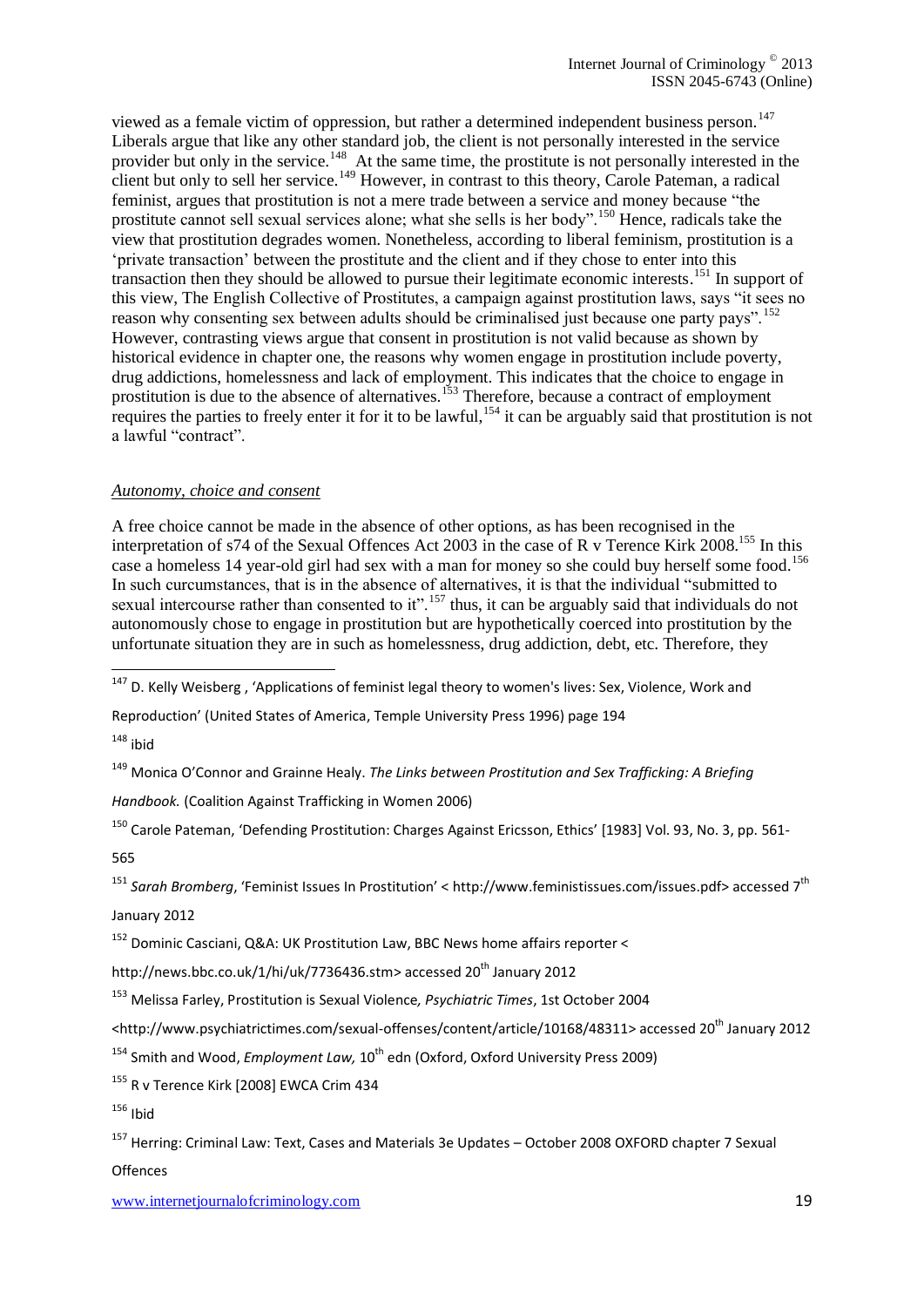viewed as a female victim of oppression, but rather a determined independent business person.<sup>147</sup> Liberals argue that like any other standard job, the client is not personally interested in the service provider but only in the service.<sup>148</sup> At the same time, the prostitute is not personally interested in the client but only to sell her service.<sup>149</sup> However, in contrast to this theory, Carole Pateman, a radical feminist, argues that prostitution is not a mere trade between a service and money because "the prostitute cannot sell sexual services alone; what she sells is her body".<sup>150</sup> Hence, radicals take the view that prostitution degrades women. Nonetheless, according to liberal feminism, prostitution is a 'private transaction' between the prostitute and the client and if they chose to enter into this transaction then they should be allowed to pursue their legitimate economic interests. <sup>151</sup> In support of this view, The English Collective of Prostitutes, a campaign against prostitution laws, says "it sees no reason why consenting sex between adults should be criminalised just because one party pays".<sup>152</sup> However, contrasting views argue that consent in prostitution is not valid because as shown by historical evidence in chapter one, the reasons why women engage in prostitution include poverty, drug addictions, homelessness and lack of employment. This indicates that the choice to engage in prostitution is due to the absence of alternatives.<sup>153</sup> Therefore, because a contract of employment requires the parties to freely enter it for it to be lawful,<sup>154</sup> it can be arguably said that prostitution is not a lawful "contract".

#### *Autonomy, choice and consent*

A free choice cannot be made in the absence of other options, as has been recognised in the interpretation of s74 of the Sexual Offences Act 2003 in the case of R v Terence Kirk 2008.<sup>155</sup> In this case a homeless 14 year-old girl had sex with a man for money so she could buy herself some food.<sup>156</sup> In such curcumstances, that is in the absence of alternatives, it is that the individual "submitted to sexual intercourse rather than consented to it".<sup>157</sup> thus, it can be arguably said that individuals do not autonomously chose to engage in prostitution but are hypothetically coerced into prostitution by the unfortunate situation they are in such as homelessness, drug addiction, debt, etc. Therefore, they

 $148$  ibid

1

<sup>149</sup> Monica O'Connor and Grainne Healy. *The Links between Prostitution and Sex Trafficking: A Briefing* 

*Handbook.* (Coalition Against Trafficking in Women 2006)

<sup>150</sup> Carole Pateman, 'Defending Prostitution: Charges Against Ericsson[, Ethics](http://www.jstor.org/action/showPublication?journalCode=ethics)' [1983] Vol. 93, No. 3, pp. 561-

565

<sup>151</sup> *Sarah Bromberg*, 'Feminist Issues In Prostitution' < [http://www.feministissues.com/issues.pdf>](http://www.feministissues.com/issues.pdf) accessed 7th

January 2012

<sup>152</sup> Dominic Casciani, Q&A: UK Prostitution Law, BBC News home affairs reporter <

[http://news.bbc.co.uk/1/hi/uk/7736436.stm>](http://news.bbc.co.uk/1/hi/uk/7736436.stm) accessed 20<sup>th</sup> January 2012

<sup>153</sup> Melissa Farley, Prostitution is Sexual Violence*, Psychiatric Times*, 1st October 2004

[<http://www.psychiatrictimes.com/sexual-offenses/content/article/10168/48311>](http://www.psychiatrictimes.com/sexual-offenses/content/article/10168/48311) accessed 20<sup>th</sup> January 2012

<sup>154</sup> Smith and Wood, *Employment Law*, 10<sup>th</sup> edn (Oxford, Oxford University Press 2009)

<sup>155</sup> R v Terence Kirk [2008] EWCA Crim 434

 $156$  Ibid

<sup>157</sup> Herring: Criminal Law: Text, Cases and Materials 3e Updates – October 2008 OXFORD chapter 7 Sexual

**Offences** 

<sup>&</sup>lt;sup>147</sup> D. Kelly Weisberg, 'Applications of feminist legal theory to women's lives: Sex, Violence, Work and

Reproduction' (United States of America, Temple University Press 1996) page 194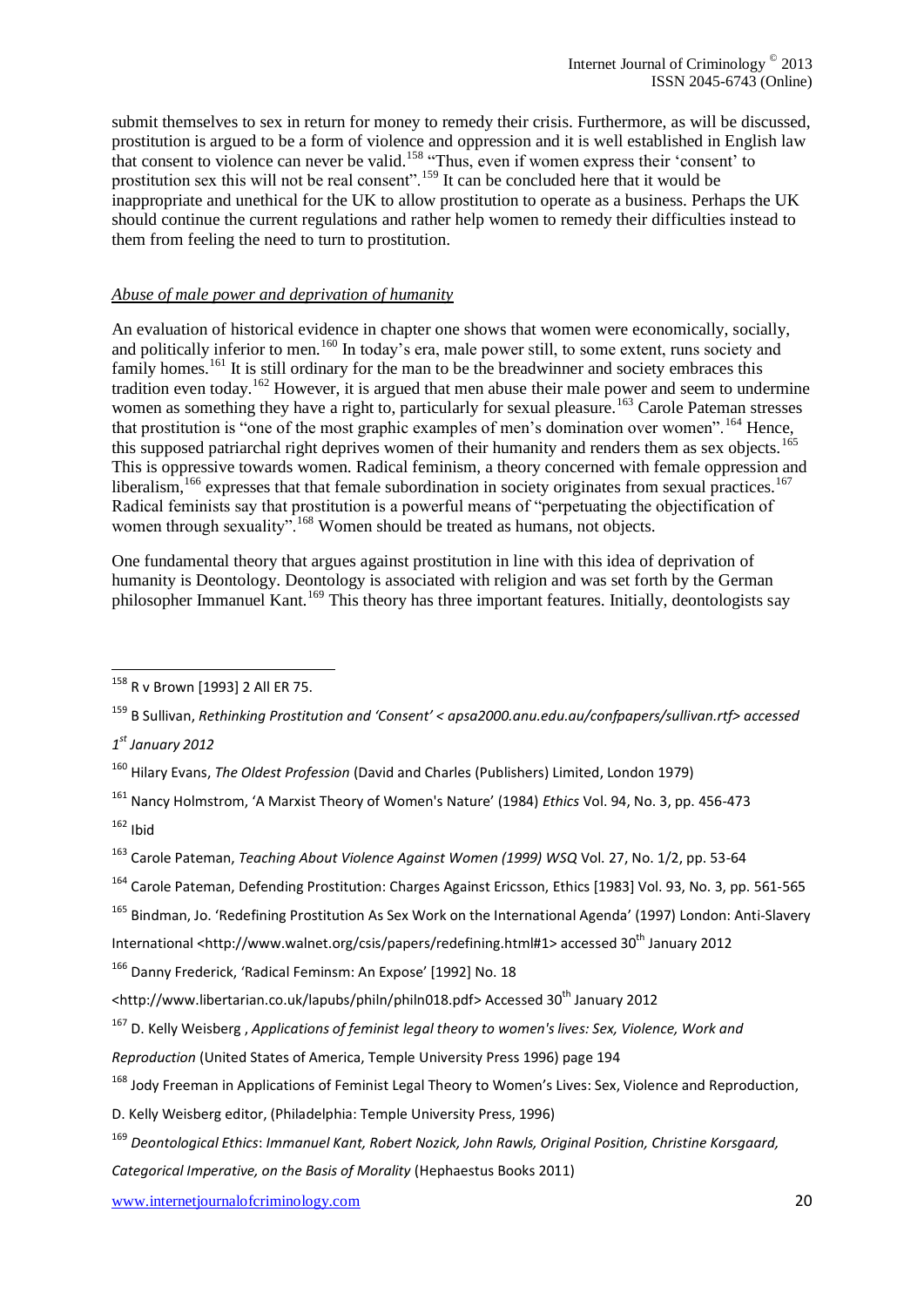submit themselves to sex in return for money to remedy their crisis. Furthermore, as will be discussed, prostitution is argued to be a form of violence and oppression and it is well established in English law that consent to violence can never be valid.<sup>158</sup> "Thus, even if women express their 'consent' to prostitution sex this will not be real consent".<sup>159</sup> It can be concluded here that it would be inappropriate and unethical for the UK to allow prostitution to operate as a business. Perhaps the UK should continue the current regulations and rather help women to remedy their difficulties instead to them from feeling the need to turn to prostitution.

#### *Abuse of male power and deprivation of humanity*

An evaluation of historical evidence in chapter one shows that women were economically, socially, and politically inferior to men.<sup>160</sup> In today's era, male power still, to some extent, runs society and family homes.<sup>161</sup> It is still ordinary for the man to be the breadwinner and society embraces this tradition even today.<sup>162</sup> However, it is argued that men abuse their male power and seem to undermine women as something they have a right to, particularly for sexual pleasure.<sup>163</sup> Carole Pateman stresses that prostitution is "one of the most graphic examples of men's domination over women".<sup>164</sup> Hence, this supposed patriarchal right deprives women of their humanity and renders them as sex objects.<sup>165</sup> This is oppressive towards women. Radical feminism, a theory concerned with female oppression and liberalism, $166$  expresses that that female subordination in society originates from sexual practices.<sup>167</sup> Radical feminists say that prostitution is a powerful means of "perpetuating the objectification of women through sexuality".<sup>168</sup> Women should be treated as humans, not objects.

One fundamental theory that argues against prostitution in line with this idea of deprivation of humanity is Deontology. Deontology is associated with religion and was set forth by the German philosopher Immanuel Kant.<sup>169</sup> This theory has three important features. Initially, deontologists say

1

*Categorical Imperative, on the Basis of Morality* (Hephaestus Books 2011)

www.internetjournalofcriminology.com 20

<sup>&</sup>lt;sup>158</sup> R v Brown [1993] 2 All ER 75.

<sup>159</sup> B Sullivan, *Rethinking Prostitution and 'Consent' < apsa2000.anu.edu.au/confpapers/sullivan.rtf> accessed* 

*<sup>1</sup> st January 2012*

<sup>160</sup> Hilary Evans, *The Oldest Profession* (David and Charles (Publishers) Limited, London 1979)

<sup>161</sup> Nancy Holmstrom, 'A Marxist Theory of Women's Nature' (1984) *Ethics* Vol. 94, No. 3, pp. 456-473

 $162$  Ibid

<sup>163</sup> Carole Pateman, *Teaching About Violence Against Women (1999) WSQ* Vol. 27, No. 1/2, pp. 53-64

<sup>164</sup> Carole Pateman, Defending Prostitution: Charges Against Ericsson, [Ethics](http://www.jstor.org/action/showPublication?journalCode=ethics) [1983] Vol. 93, No. 3, pp. 561-565

<sup>165</sup> Bindman, Jo. 'Redefining Prostitution As Sex Work on the International Agenda' (1997) London: Anti-Slavery International [<http://www.walnet.org/csis/papers/redefining.html#1>](http://www.walnet.org/csis/papers/redefining.html#1) accessed 30<sup>th</sup> January 2012

<sup>166</sup> Danny Frederick, 'Radical Feminsm: An Expose' [1992] No. 18

[<sup>&</sup>lt;http://www.libertarian.co.uk/lapubs/philn/philn018.pdf>](http://www.libertarian.co.uk/lapubs/philn/philn018.pdf) Accessed 30<sup>th</sup> January 2012

<sup>167</sup> D. Kelly Weisberg , *Applications of feminist legal theory to women's lives: Sex, Violence, Work and* 

*Reproduction* (United States of America, Temple University Press 1996) page 194

<sup>&</sup>lt;sup>168</sup> Jody Freeman in Applications of Feminist Legal Theory to Women's Lives: Sex, Violence and Reproduction,

D. Kelly Weisberg editor, (Philadelphia: Temple University Press, 1996)

<sup>169</sup> *Deontological Ethics*: *Immanuel Kant, Robert Nozick, John Rawls, Original Position, Christine Korsgaard,*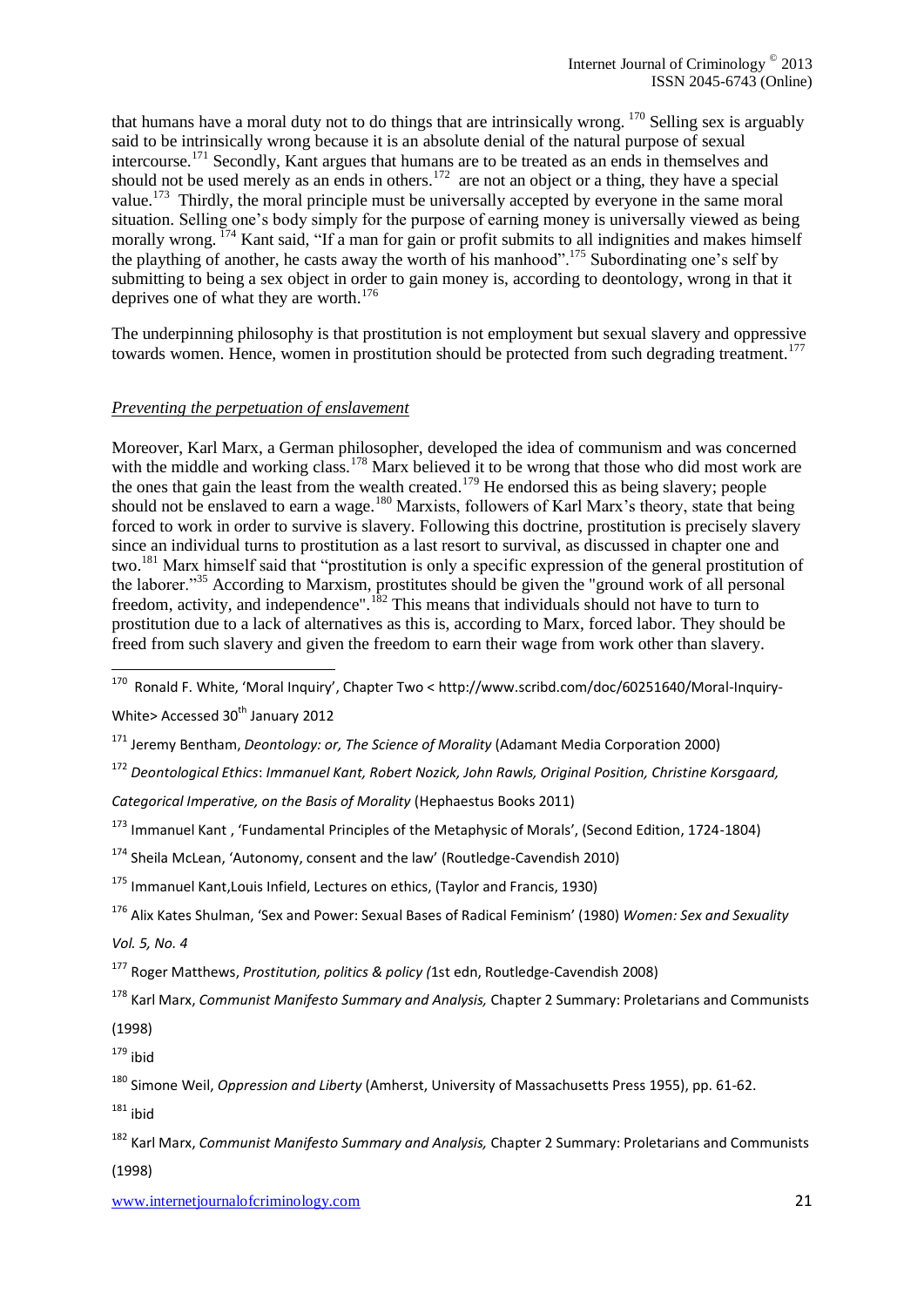that humans have a moral duty not to do things that are intrinsically wrong.  $170$  Selling sex is arguably said to be intrinsically wrong because it is an absolute denial of the natural purpose of sexual intercourse.<sup>171</sup> Secondly, Kant argues that humans are to be treated as an ends in themselves and should not be used merely as an ends in others.<sup>172</sup> are not an object or a thing, they have a special value.<sup>173</sup> Thirdly, the moral principle must be universally accepted by everyone in the same moral situation. Selling one's body simply for the purpose of earning money is universally viewed as being morally wrong. <sup>174</sup> Kant said, "If a man for gain or profit submits to all indignities and makes himself the plaything of another, he casts away the worth of his manhood".<sup>175</sup> Subordinating one's self by submitting to being a sex object in order to gain money is, according to deontology, wrong in that it deprives one of what they are worth. 176

The underpinning philosophy is that prostitution is not employment but sexual slavery and oppressive towards women. Hence, women in prostitution should be protected from such degrading treatment.<sup>177</sup>

#### *Preventing the perpetuation of enslavement*

Moreover, Karl Marx, a German philosopher, developed the idea of communism and was concerned with the middle and working class.<sup>178</sup> Marx believed it to be wrong that those who did most work are the ones that gain the least from the wealth created.<sup>179</sup> He endorsed this as being slavery; people should not be enslaved to earn a wage.<sup>180</sup> Marxists, followers of Karl Marx's theory, state that being forced to work in order to survive is slavery. Following this doctrine, prostitution is precisely slavery since an individual turns to prostitution as a last resort to survival, as discussed in chapter one and two.<sup>181</sup> Marx himself said that "prostitution is only a specific expression of the general prostitution of the laborer."<sup>35</sup> According to Marxism, prostitutes should be given the "ground work of all personal freedom, activity, and independence".<sup>182</sup> This means that individuals should not have to turn to prostitution due to a lack of alternatives as this is, according to Marx, forced labor. They should be freed from such slavery and given the freedom to earn their wage from work other than slavery.

170 Ronald F. White, 'Moral Inquiry', Chapter Two < [http://www.scribd.com/doc/60251640/Moral-Inquiry-](http://www.scribd.com/doc/60251640/Moral-Inquiry-White)

[White>](http://www.scribd.com/doc/60251640/Moral-Inquiry-White) Accessed  $30<sup>th</sup>$  January 2012

<sup>172</sup> *Deontological Ethics*: *Immanuel Kant, Robert Nozick, John Rawls, Original Position, Christine Korsgaard,* 

 $181$  ibid

<sup>171</sup> Jeremy Bentham, *Deontology: or, The Science of Morality* (Adamant Media Corporation 2000)

*Categorical Imperative, on the Basis of Morality* (Hephaestus Books 2011)

<sup>173</sup> Immanuel Kant , 'Fundamental Principles of the Metaphysic of Morals', (Second Edition, 1724-1804)

 $174$  Sheila McLean, 'Autonomy, consent and the law' (Routledge-Cavendish 2010)

 $175$  Immanuel Kant, Louis Infield, Lectures on ethics, (Taylor and Francis, 1930)

<sup>176</sup> Alix Kates Shulman, 'Sex and Power: Sexual Bases of Radical Feminism' (1980) *Women: Sex and Sexuality Vol. 5, No. 4*

<sup>177</sup> Roger Matthews, *Prostitution, politics & policy (*1st edn, Routledge-Cavendish 2008)

<sup>178</sup> [Karl Marx,](http://www.gradesaver.com/author/karl-marx/) *Communist Manifesto Summary and Analysis,* Chapter 2 Summary: Proletarians and Communists (1998)

 $179$  ibid

<sup>180</sup> Simone Weil, *Oppression and Liberty* (Amherst, University of Massachusetts Press 1955), pp. 61-62.

<sup>182</sup> [Karl Marx,](http://www.gradesaver.com/author/karl-marx/) *Communist Manifesto Summary and Analysis,* Chapter 2 Summary: Proletarians and Communists (1998)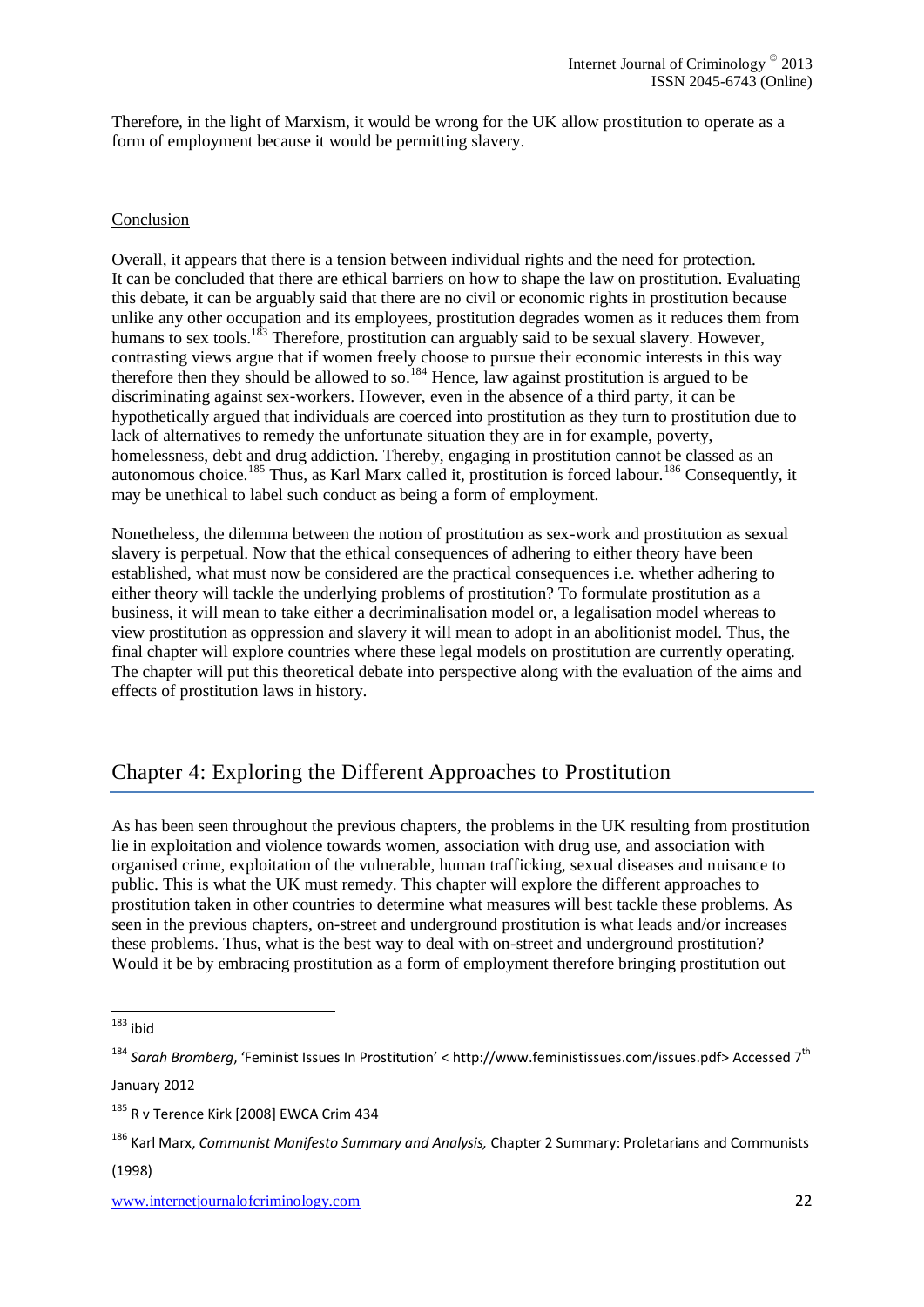Therefore, in the light of Marxism, it would be wrong for the UK allow prostitution to operate as a form of employment because it would be permitting slavery.

#### Conclusion

Overall, it appears that there is a tension between individual rights and the need for protection. It can be concluded that there are ethical barriers on how to shape the law on prostitution. Evaluating this debate, it can be arguably said that there are no civil or economic rights in prostitution because unlike any other occupation and its employees, prostitution degrades women as it reduces them from humans to sex tools.<sup>183</sup> Therefore, prostitution can arguably said to be sexual slavery. However, contrasting views argue that if women freely choose to pursue their economic interests in this way therefore then they should be allowed to so.<sup>184</sup> Hence, law against prostitution is argued to be discriminating against sex-workers. However, even in the absence of a third party, it can be hypothetically argued that individuals are coerced into prostitution as they turn to prostitution due to lack of alternatives to remedy the unfortunate situation they are in for example, poverty, homelessness, debt and drug addiction. Thereby, engaging in prostitution cannot be classed as an autonomous choice.<sup>185</sup> Thus, as Karl Marx called it, prostitution is forced labour.<sup>186</sup> Consequently, it may be unethical to label such conduct as being a form of employment.

Nonetheless, the dilemma between the notion of prostitution as sex-work and prostitution as sexual slavery is perpetual. Now that the ethical consequences of adhering to either theory have been established, what must now be considered are the practical consequences i.e. whether adhering to either theory will tackle the underlying problems of prostitution? To formulate prostitution as a business, it will mean to take either a decriminalisation model or, a legalisation model whereas to view prostitution as oppression and slavery it will mean to adopt in an abolitionist model. Thus, the final chapter will explore countries where these legal models on prostitution are currently operating. The chapter will put this theoretical debate into perspective along with the evaluation of the aims and effects of prostitution laws in history.

# Chapter 4: Exploring the Different Approaches to Prostitution

As has been seen throughout the previous chapters, the problems in the UK resulting from prostitution lie in exploitation and violence towards women, association with drug use, and association with organised crime, exploitation of the vulnerable, human trafficking, sexual diseases and nuisance to public. This is what the UK must remedy. This chapter will explore the different approaches to prostitution taken in other countries to determine what measures will best tackle these problems. As seen in the previous chapters, on-street and underground prostitution is what leads and/or increases these problems. Thus, what is the best way to deal with on-street and underground prostitution? Would it be by embracing prostitution as a form of employment therefore bringing prostitution out

January 2012

(1998)

<sup>1</sup>  $183$  ibid

<sup>184</sup> *Sarah Bromberg*, 'Feminist Issues In Prostitution' < [http://www.feministissues.com/issues.pdf>](http://www.feministissues.com/issues.pdf) Accessed 7th

<sup>185</sup> R v Terence Kirk [2008] EWCA Crim 434

<sup>186</sup> [Karl Marx,](http://www.gradesaver.com/author/karl-marx/) *Communist Manifesto Summary and Analysis,* Chapter 2 Summary: Proletarians and Communists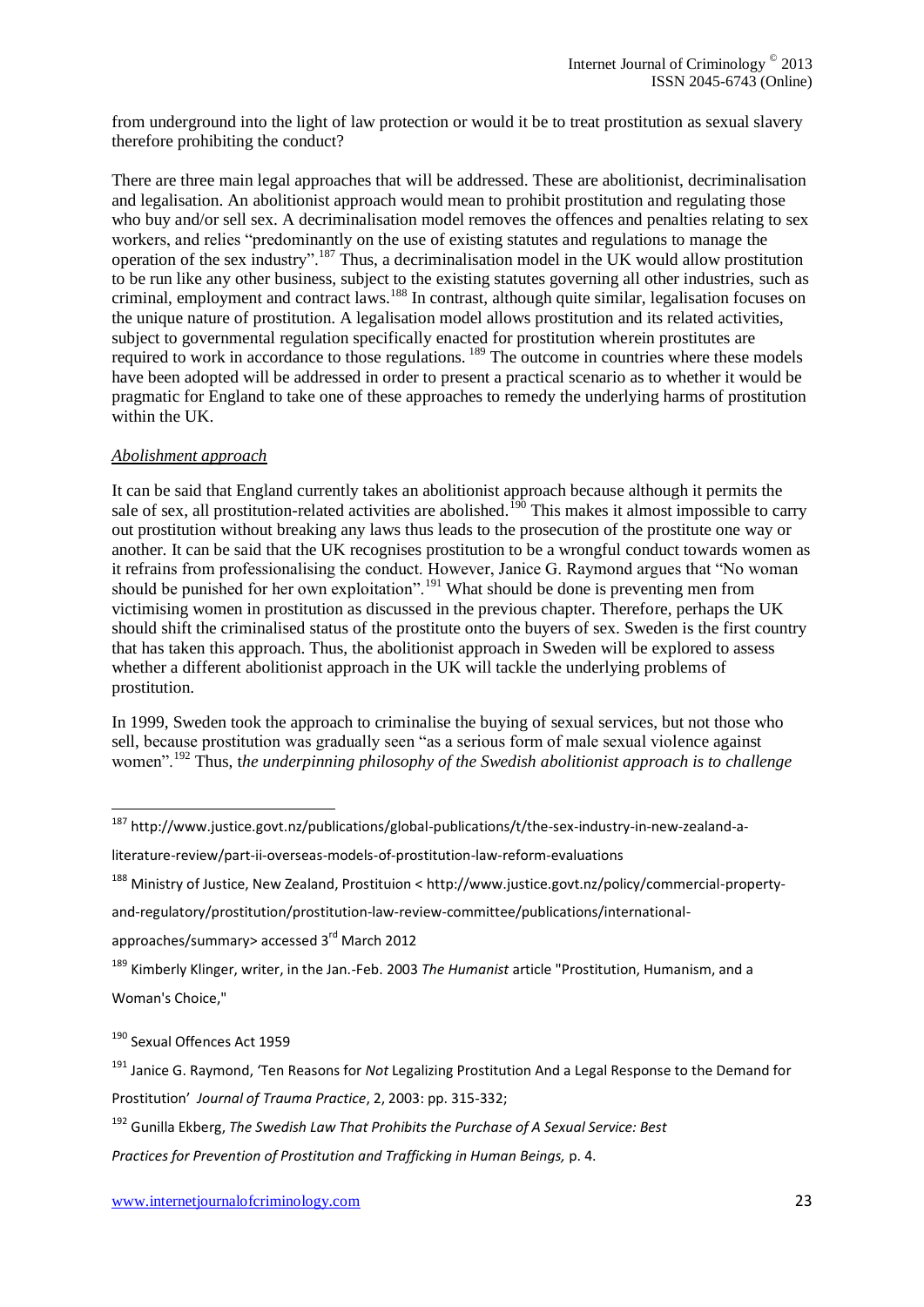from underground into the light of law protection or would it be to treat prostitution as sexual slavery therefore prohibiting the conduct?

There are three main legal approaches that will be addressed. These are abolitionist, decriminalisation and legalisation. An abolitionist approach would mean to prohibit prostitution and regulating those who buy and/or sell sex. A decriminalisation model removes the offences and penalties relating to sex workers, and relies "predominantly on the use of existing statutes and regulations to manage the operation of the sex industry".<sup>187</sup> Thus, a decriminalisation model in the UK would allow prostitution to be run like any other business, subject to the existing statutes governing all other industries, such as criminal, employment and contract laws.<sup>188</sup> In contrast, although quite similar, legalisation focuses on the unique nature of prostitution. A legalisation model allows prostitution and its related activities, subject to governmental regulation specifically enacted for prostitution wherein prostitutes are required to work in accordance to those regulations. <sup>189</sup> The outcome in countries where these models have been adopted will be addressed in order to present a practical scenario as to whether it would be pragmatic for England to take one of these approaches to remedy the underlying harms of prostitution within the UK.

#### *Abolishment approach*

It can be said that England currently takes an abolitionist approach because although it permits the sale of sex, all prostitution-related activities are abolished.<sup>190</sup> This makes it almost impossible to carry out prostitution without breaking any laws thus leads to the prosecution of the prostitute one way or another. It can be said that the UK recognises prostitution to be a wrongful conduct towards women as it refrains from professionalising the conduct. However, Janice G. Raymond argues that "No woman should be punished for her own exploitation".<sup>191</sup> What should be done is preventing men from victimising women in prostitution as discussed in the previous chapter. Therefore, perhaps the UK should shift the criminalised status of the prostitute onto the buyers of sex. Sweden is the first country that has taken this approach. Thus, the abolitionist approach in Sweden will be explored to assess whether a different abolitionist approach in the UK will tackle the underlying problems of prostitution.

In 1999, Sweden took the approach to criminalise the buying of sexual services, but not those who sell, because prostitution was gradually seen "as a serious form of male sexual violence against women".<sup>192</sup> Thus, t*he underpinning philosophy of the Swedish abolitionist approach is to challenge* 

[and-regulatory/prostitution/prostitution-law-review-committee/publications/international-](http://www.justice.govt.nz/policy/commercial-property-and-regulatory/prostitution/prostitution-law-review-committee/publications/international-approaches/summary)

[approaches/summary>](http://www.justice.govt.nz/policy/commercial-property-and-regulatory/prostitution/prostitution-law-review-committee/publications/international-approaches/summary) accessed 3<sup>rd</sup> March 2012

<sup>189</sup> Kimberly Klinger, writer, in the Jan.-Feb. 2003 *The Humanist* article "Prostitution, Humanism, and a Woman's Choice,"

<sup>190</sup> Sexual Offences Act 1959

1

<sup>191</sup> Janice G. Raymond, 'Ten Reasons for *Not* Legalizing Prostitution And a Legal Response to the Demand for Prostitution' *Journal of Trauma Practice*, 2, 2003: pp. 315-332;

<sup>192</sup> Gunilla Ekberg, *The Swedish Law That Prohibits the Purchase of A Sexual Service: Best*

*Practices for Prevention of Prostitution and Trafficking in Human Beings,* p. 4.

<sup>&</sup>lt;sup>187</sup> http://www.justice.govt.nz/publications/global-publications/t/the-sex-industry-in-new-zealand-a-

literature-review/part-ii-overseas-models-of-prostitution-law-reform-evaluations

<sup>188</sup> Ministry of Justice, New Zealand, Prostituion [< http://www.justice.govt.nz/policy/commercial-property-](http://www.justice.govt.nz/policy/commercial-property-and-regulatory/prostitution/prostitution-law-review-committee/publications/international-approaches/summary)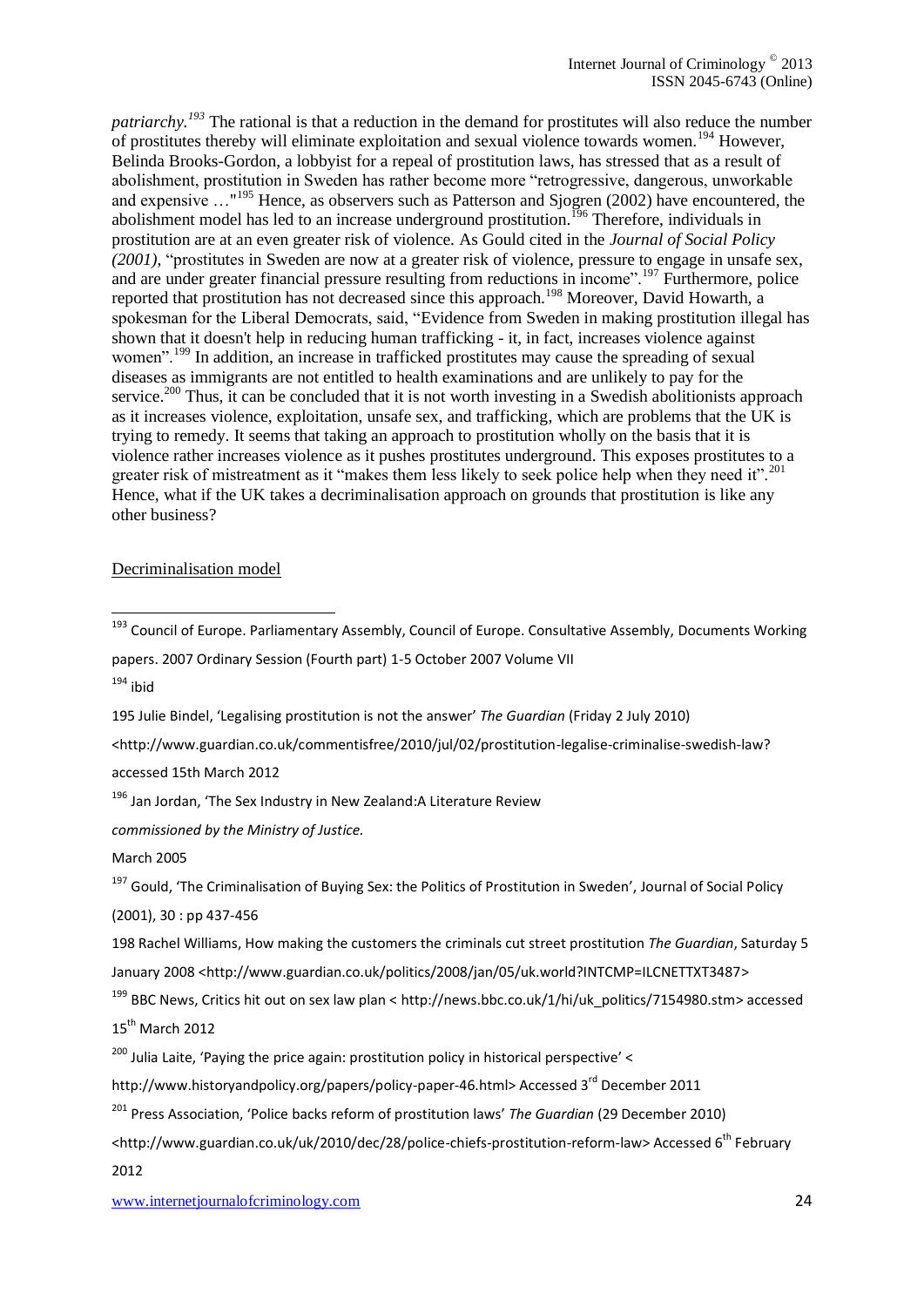*patriarchy.<sup>193</sup>* The rational is that a reduction in the demand for prostitutes will also reduce the number of prostitutes thereby will eliminate exploitation and sexual violence towards women.<sup>194</sup> However, [Belinda Brooks-Gordon,](http://www.bbk.ac.uk/psyc/staff/academic/bbrooks-gordon) a lobbyist for a repeal of prostitution laws, has stressed that as a result of abolishment, prostitution in Sweden has rather become more "retrogressive, dangerous, unworkable and expensive …"<sup>195</sup> Hence, as observers such as Patterson and Sjogren (2002) have encountered, the abolishment model has led to an increase underground prostitution.<sup>196</sup> Therefore, individuals in prostitution are at an even greater risk of violence. As Gould cited in the *[Journal of Social Policy](http://journals.cambridge.org/action/displayJournal?jid=JSP) (2001)*, "prostitutes in Sweden are now at a greater risk of violence, pressure to engage in unsafe sex, and are under greater financial pressure resulting from reductions in income".<sup>197</sup> Furthermore, police reported that prostitution has not decreased since this approach.<sup>198</sup> Moreover, David Howarth, a spokesman for the Liberal Democrats, said, "Evidence from Sweden in making prostitution illegal has shown that it doesn't help in reducing human trafficking - it, in fact, increases violence against women".<sup>199</sup> In addition, an increase in trafficked prostitutes may cause the spreading of sexual diseases as immigrants are not entitled to health examinations and are unlikely to pay for the service.<sup>200</sup> Thus, it can be concluded that it is not worth investing in a Swedish abolitionists approach as it increases violence, exploitation, unsafe sex, and trafficking, which are problems that the UK is trying to remedy. It seems that taking an approach to prostitution wholly on the basis that it is violence rather increases violence as it pushes prostitutes underground. This exposes prostitutes to a greater risk of mistreatment as it "makes them less likely to seek police help when they need it".<sup>201</sup> Hence, what if the UK takes a decriminalisation approach on grounds that prostitution is like any other business?

#### Decriminalisation model

papers. 2007 Ordinary Session (Fourth part) 1-5 October 2007 Volume VII  $194$  ibid

195 [Julie Bindel](http://www.guardian.co.uk/profile/juliebindel), 'Legalising prostitution is not the answer' *The Guardian* (Friday 2 July 2010)

<http://www.guardian.co.uk/commentisfree/2010/jul/02/prostitution-legalise-criminalise-swedish-law?

accessed 15th March 2012

<sup>196</sup> Jan Jordan, 'The Sex Industry in New Zealand:A Literature Review

*commissioned by the Ministry of Justice.*

March 2005

<sup>197</sup> Gould, 'The Criminalisation of Buying Sex: the Politics of Prostitution in Sweden', [Journal of Social Policy](http://journals.cambridge.org/action/displayJournal?jid=JSP)

(2001), 30 : pp 437-456

198 [Rachel Williams,](http://www.guardian.co.uk/profile/rachelwilliams) How making the customers the criminals cut street prostitution *[The Guardian](http://www.guardian.co.uk/theguardian)*, Saturday 5 January 2008 [<http://www.guardian.co.uk/politics/2008/jan/05/uk.world?INTCMP=ILCNETTXT3487>](http://www.guardian.co.uk/politics/2008/jan/05/uk.world?INTCMP=ILCNETTXT3487)

<sup>199</sup> BBC News, Critics hit out on sex law plan < [http://news.bbc.co.uk/1/hi/uk\\_politics/7154980.stm>](http://news.bbc.co.uk/1/hi/uk_politics/7154980.stm) accessed 15<sup>th</sup> March 2012

 $200$  Julia Laite, 'Paying the price again: prostitution policy in historical perspective' <

[http://www.historyandpolicy.org/papers/policy-paper-46.html>](http://www.historyandpolicy.org/papers/policy-paper-46.html) Accessed 3<sup>rd</sup> December 2011

<sup>201</sup> Press Association, 'Police backs reform of prostitution laws' *The Guardian* [\(29 December 2010\)](http://www.guardian.co.uk/theguardian/2010/dec/29)

<http://www.guardian.co.uk/uk/2010/dec/28/police-chiefs-prostitution-reform-law> Accessed 6<sup>th</sup> February 2012

<sup>1</sup> <sup>193</sup> Council of Europe. Parliamentary Assembly, Council of Europe. Consultative Assembly, Documents Working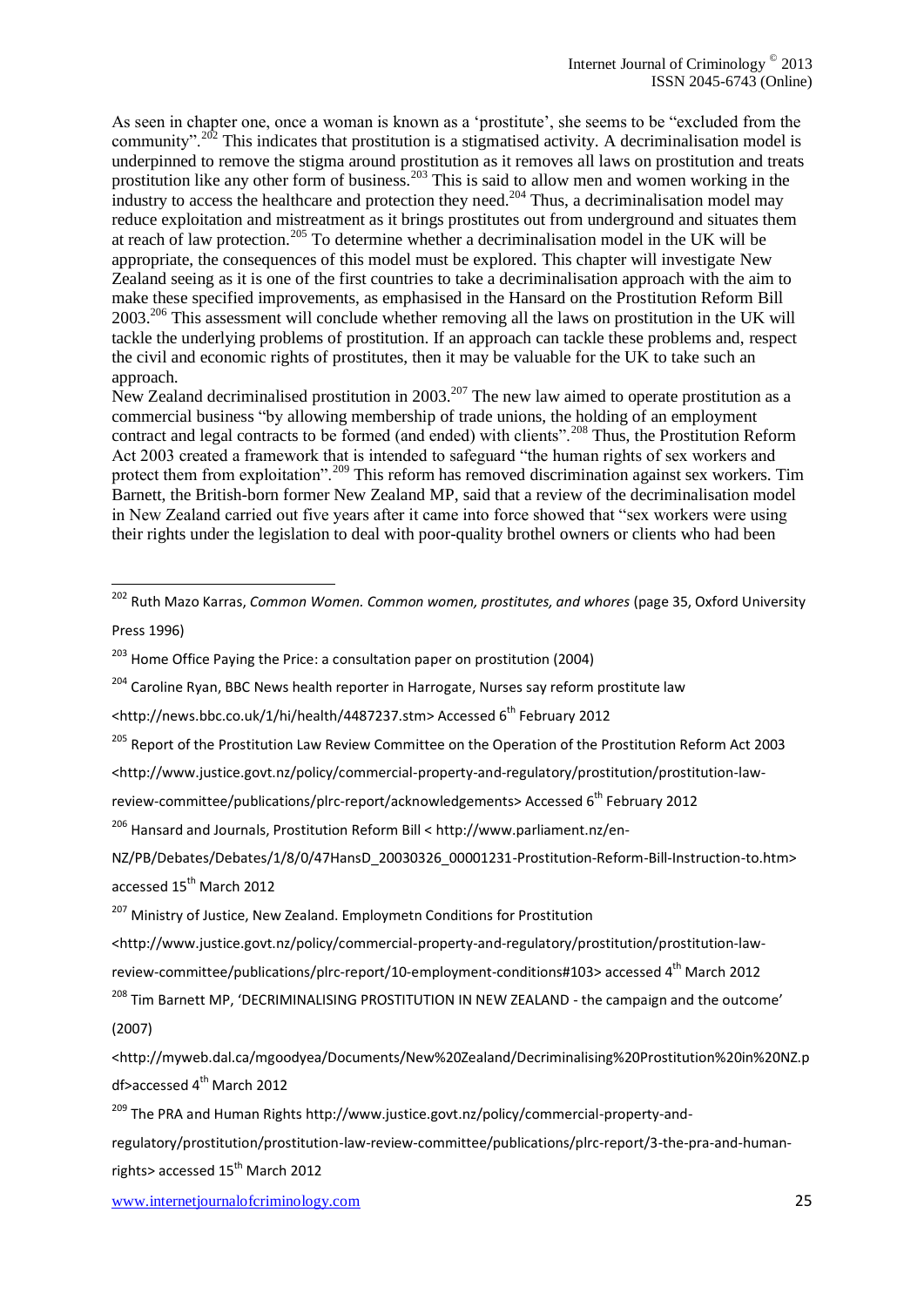As seen in chapter one, once a woman is known as a 'prostitute', she seems to be "excluded from the community".<sup>202</sup> This indicates that prostitution is a stigmatised activity. A decriminalisation model is underpinned to remove the stigma around prostitution as it removes all laws on prostitution and treats prostitution like any other form of business.<sup>203</sup> This is said to allow men and women working in the industry to access the healthcare and protection they need.<sup>204</sup> Thus, a decriminalisation model may reduce exploitation and mistreatment as it brings prostitutes out from underground and situates them at reach of law protection.<sup>205</sup> To determine whether a decriminalisation model in the UK will be appropriate, the consequences of this model must be explored. This chapter will investigate New Zealand seeing as it is one of the first countries to take a decriminalisation approach with the aim to make these specified improvements, as emphasised in the Hansard on the Prostitution Reform Bill  $2003<sup>206</sup>$  This assessment will conclude whether removing all the laws on prostitution in the UK will tackle the underlying problems of prostitution. If an approach can tackle these problems and, respect the civil and economic rights of prostitutes, then it may be valuable for the UK to take such an approach.

New Zealand decriminalised prostitution in  $2003$ <sup>207</sup>. The new law aimed to operate prostitution as a commercial business "by allowing membership of trade unions, the holding of an employment contract and legal contracts to be formed (and ended) with clients".<sup>208</sup> Thus, the Prostitution Reform Act 2003 created a framework that is intended to safeguard "the human rights of sex workers and protect them from exploitation".<sup>209</sup> This reform has removed discrimination against sex workers. Tim Barnett, the British-born former New Zealand MP, said that a review of the decriminalisation model in New Zealand carried out five years after it came into force showed that "sex workers were using their rights under the legislation to deal with poor-quality brothel owners or clients who had been

1

<sup>204</sup> Caroline Ryan, BBC News health reporter in Harrogate, Nurses say reform prostitute law

[<http://news.bbc.co.uk/1/hi/health/4487237.stm>](http://news.bbc.co.uk/1/hi/health/4487237.stm) Accessed 6<sup>th</sup> February 2012

<sup>205</sup> Report of the Prostitution Law Review Committee on the Operation of the Prostitution Reform Act 2003

<http://www.justice.govt.nz/policy/commercial-property-and-regulatory/prostitution/prostitution-law-

review-committee/publications/plrc-report/acknowledgements> Accessed 6<sup>th</sup> February 2012

<sup>206</sup> Hansard and Journals, Prostitution Reform Bill [< http://www.parliament.nz/en-](http://www.parliament.nz/en-NZ/PB/Debates/Debates/1/8/0/47HansD_20030326_00001231-Prostitution-Reform-Bill-Instruction-to.htm)

[NZ/PB/Debates/Debates/1/8/0/47HansD\\_20030326\\_00001231-Prostitution-Reform-Bill-Instruction-to.htm>](http://www.parliament.nz/en-NZ/PB/Debates/Debates/1/8/0/47HansD_20030326_00001231-Prostitution-Reform-Bill-Instruction-to.htm) accessed 15<sup>th</sup> March 2012

<sup>207</sup> Ministry of Justice, New Zealand. Employmetn Conditions for Prostitution

[<http://www.justice.govt.nz/policy/commercial-property-and-regulatory/prostitution/prostitution-law-](http://www.justice.govt.nz/policy/commercial-property-and-regulatory/prostitution/prostitution-law-review-committee/publications/plrc-report/10-employment-conditions#103)

[review-committee/publications/plrc-report/10-employment-conditions#103>](http://www.justice.govt.nz/policy/commercial-property-and-regulatory/prostitution/prostitution-law-review-committee/publications/plrc-report/10-employment-conditions#103) accessed 4<sup>th</sup> March 2012

<sup>208</sup> Tim Barnett MP, 'DECRIMINALISING PROSTITUTION IN NEW ZEALAND - the campaign and the outcome' (2007)

[<http://myweb.dal.ca/mgoodyea/Documents/New%20Zealand/Decriminalising%20Prostitution%20in%20NZ.p](http://myweb.dal.ca/mgoodyea/Documents/New%20Zealand/Decriminalising%20Prostitution%20in%20NZ.pdf)  $df$ >accessed  $4<sup>th</sup>$  March 2012

<sup>209</sup> The PRA and Human Right[s http://www.justice.govt.nz/policy/commercial-property-and-](http://www.justice.govt.nz/policy/commercial-property-and-regulatory/prostitution/prostitution-law-review-committee/publications/plrc-report/3-the-pra-and-human-rights)

[regulatory/prostitution/prostitution-law-review-committee/publications/plrc-report/3-the-pra-and-human-](http://www.justice.govt.nz/policy/commercial-property-and-regulatory/prostitution/prostitution-law-review-committee/publications/plrc-report/3-the-pra-and-human-rights)

[rights>](http://www.justice.govt.nz/policy/commercial-property-and-regulatory/prostitution/prostitution-law-review-committee/publications/plrc-report/3-the-pra-and-human-rights) accessed 15<sup>th</sup> March 2012

<sup>202</sup> Ruth Mazo Karras, *Common Women. Common women, prostitutes, and whores* (page 35, Oxford University Press 1996)

 $203$  Home Office Paying the Price: a consultation paper on prostitution (2004)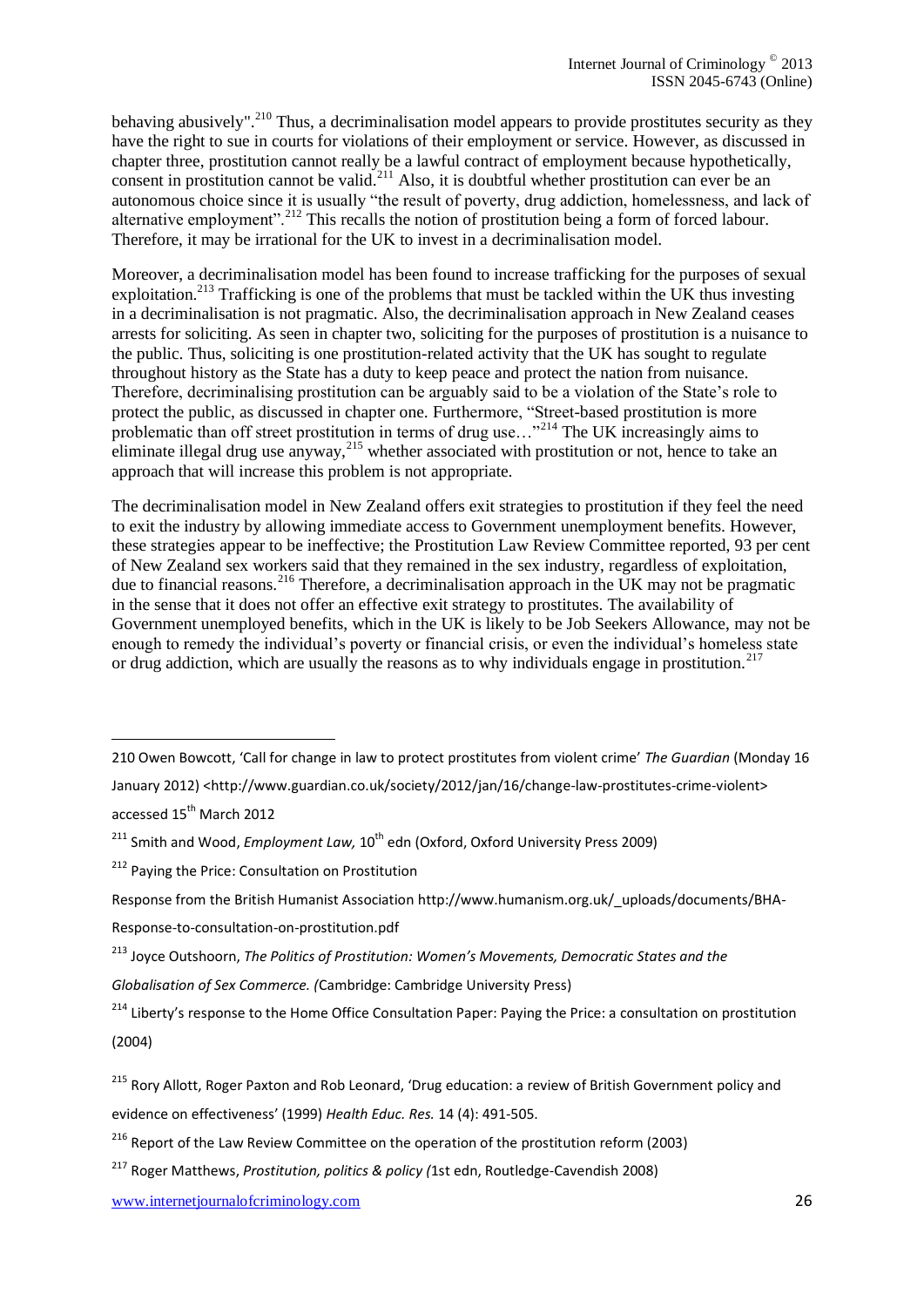behaving abusively".<sup>210</sup> Thus, a decriminalisation model appears to provide prostitutes security as they have the right to sue in courts for violations of their employment or service. However, as discussed in chapter three, prostitution cannot really be a lawful contract of employment because hypothetically, consent in prostitution cannot be valid.<sup>211</sup> Also, it is doubtful whether prostitution can ever be an autonomous choice since it is usually "the result of poverty, drug addiction, homelessness, and lack of alternative employment".<sup>212</sup> This recalls the notion of prostitution being a form of forced labour. Therefore, it may be irrational for the UK to invest in a decriminalisation model.

Moreover, a decriminalisation model has been found to increase trafficking for the purposes of sexual exploitation.<sup>213</sup> Trafficking is one of the problems that must be tackled within the UK thus investing in a decriminalisation is not pragmatic. Also, the decriminalisation approach in New Zealand ceases arrests for soliciting. As seen in chapter two, soliciting for the purposes of prostitution is a nuisance to the public. Thus, soliciting is one prostitution-related activity that the UK has sought to regulate throughout history as the State has a duty to keep peace and protect the nation from nuisance. Therefore, decriminalising prostitution can be arguably said to be a violation of the State's role to protect the public, as discussed in chapter one. Furthermore, "Street-based prostitution is more problematic than off street prostitution in terms of drug use..."<sup>214</sup> The UK increasingly aims to eliminate illegal drug use anyway,  $^{215}$  whether associated with prostitution or not, hence to take an approach that will increase this problem is not appropriate.

The decriminalisation model in New Zealand offers exit strategies to prostitution if they feel the need to exit the industry by allowing immediate access to Government unemployment benefits. However, these strategies appear to be ineffective; the Prostitution Law Review Committee reported, 93 per cent of New Zealand sex workers said that they remained in the sex industry, regardless of exploitation, due to financial reasons.<sup>216</sup> Therefore, a decriminalisation approach in the UK may not be pragmatic in the sense that it does not offer an effective exit strategy to prostitutes. The availability of Government unemployed benefits, which in the UK is likely to be Job Seekers Allowance, may not be enough to remedy the individual's poverty or financial crisis, or even the individual's homeless state or drug addiction, which are usually the reasons as to why individuals engage in prostitution.<sup>217</sup>

accessed 15<sup>th</sup> March 2012

1

*Globalisation of Sex Commerce. (*Cambridge: Cambridge University Press)

<sup>210</sup> [Owen Bowcott](http://www.guardian.co.uk/profile/owenbowcott), 'Call for change in law to protect prostitutes from violent crime' *The Guardian* (Monday 16 January 2012) [<http://www.guardian.co.uk/society/2012/jan/16/change-law-prostitutes-crime-violent>](http://www.guardian.co.uk/society/2012/jan/16/change-law-prostitutes-crime-violent)

<sup>&</sup>lt;sup>211</sup> Smith and Wood, *Employment Law*, 10<sup>th</sup> edn (Oxford, Oxford University Press 2009)

<sup>&</sup>lt;sup>212</sup> Paying the Price: Consultation on Prostitution

Response from the British Humanist Association [http://www.humanism.org.uk/\\_uploads/documents/BHA-](http://www.humanism.org.uk/_uploads/documents/BHA-Response-to-consultation-on-prostitution.pdf)

[Response-to-consultation-on-prostitution.pdf](http://www.humanism.org.uk/_uploads/documents/BHA-Response-to-consultation-on-prostitution.pdf)

<sup>213</sup> Joyce Outshoorn, *The Politics of Prostitution: Women's Movements, Democratic States and the* 

<sup>&</sup>lt;sup>214</sup> Liberty's response to the Home Office Consultation Paper: Paying the Price: a consultation on prostitution (2004)

<sup>&</sup>lt;sup>215</sup> [Rory Allott,](http://her.oxfordjournals.org/search?author1=Rory+Allott&sortspec=date&submit=Submit) [Roger Paxton](http://her.oxfordjournals.org/search?author1=Roger+Paxton&sortspec=date&submit=Submit) an[d Rob Leonard](http://her.oxfordjournals.org/search?author1=Rob+Leonard&sortspec=date&submit=Submit), 'Drug education: a review of British Government policy and

evidence on effectiveness' (1999) *Health Educ. Res.* 14 (4): 491-505.

 $216$  Report of the Law Review Committee on the operation of the prostitution reform (2003)

<sup>217</sup> Roger Matthews, *Prostitution, politics & policy (*1st edn, Routledge-Cavendish 2008)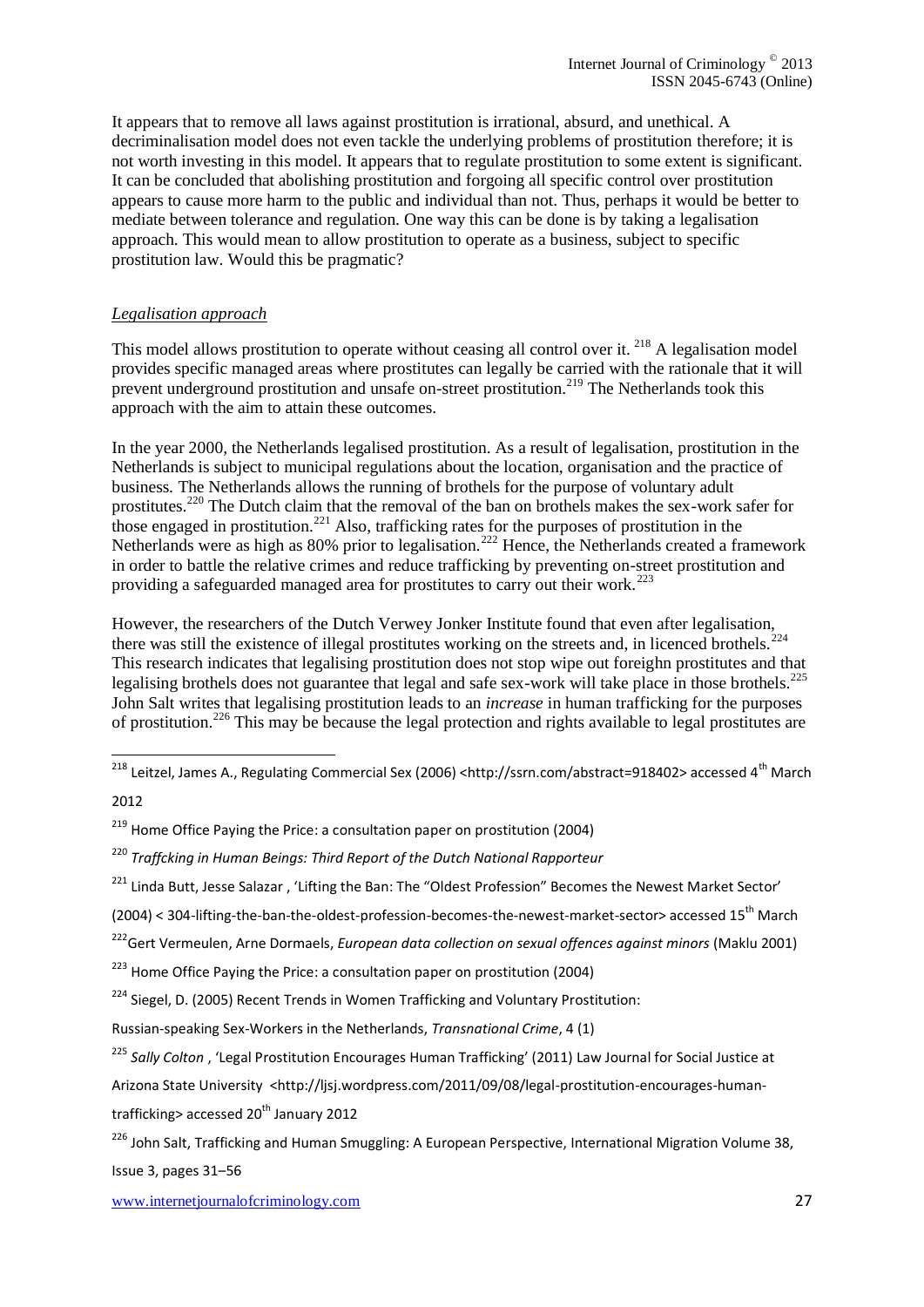It appears that to remove all laws against prostitution is irrational, absurd, and unethical. A decriminalisation model does not even tackle the underlying problems of prostitution therefore; it is not worth investing in this model. It appears that to regulate prostitution to some extent is significant. It can be concluded that abolishing prostitution and forgoing all specific control over prostitution appears to cause more harm to the public and individual than not. Thus, perhaps it would be better to mediate between tolerance and regulation. One way this can be done is by taking a legalisation approach. This would mean to allow prostitution to operate as a business, subject to specific prostitution law. Would this be pragmatic?

#### *Legalisation approach*

This model allows prostitution to operate without ceasing all control over it. <sup>218</sup> A legalisation model provides specific managed areas where prostitutes can legally be carried with the rationale that it will prevent underground prostitution and unsafe on-street prostitution.<sup>219</sup> The Netherlands took this approach with the aim to attain these outcomes.

In the year 2000, the Netherlands legalised prostitution. As a result of legalisation, prostitution in the Netherlands is subject to municipal regulations about the location, organisation and the practice of business. The Netherlands allows the running of brothels for the purpose of voluntary adult prostitutes.<sup>220</sup> The Dutch claim that the removal of the ban on brothels makes the sex-work safer for those engaged in prostitution.<sup>221</sup> Also, trafficking rates for the purposes of prostitution in the Netherlands were as high as 80% prior to legalisation.<sup>222</sup> Hence, the Netherlands created a framework in order to battle the relative crimes and reduce trafficking by preventing on-street prostitution and providing a safeguarded managed area for prostitutes to carry out their work.<sup>223</sup>

However, the researchers of the Dutch Verwey Jonker Institute found that even after legalisation, there was still the existence of illegal prostitutes working on the streets and, in licenced brothels. This research indicates that legalising prostitution does not stop wipe out foreighn prostitutes and that legalising brothels does not guarantee that legal and safe sex-work will take place in those brothels.<sup>225</sup> John Salt writes that legalising prostitution leads to an *increase* in human trafficking for the purposes of prostitution.<sup>226</sup> This may be because the legal protection and rights available to legal prostitutes are

1

trafficking> accessed  $20<sup>th</sup>$  January 2012

[Issue 3, p](http://onlinelibrary.wiley.com/doi/10.1111/imig.2000.38.issue-3/issuetoc)ages 31–56

<sup>&</sup>lt;sup>218</sup> Leitzel, James A., Regulating Commercial Sex (2006) <http://ssrn.com/abstract=918402> accessed 4<sup>th</sup> March

<sup>2012</sup>

 $219$  Home Office Paying the Price: a consultation paper on prostitution (2004)

<sup>220</sup> *Traffcking in Human Beings: Third Report of the Dutch National Rapporteur*

<sup>&</sup>lt;sup>221</sup> Linda Butt, Jesse Salazar, 'Lifting the Ban: The "Oldest Profession" Becomes the Newest Market Sector'

<sup>(2004) &</sup>lt; 304-lifting-the-ban-the-oldest-profession-becomes-the-newest-market-sector> accessed 15th March

<sup>222</sup>Gert Vermeulen, Arne Dormaels, *European data collection on sexual offences against minors* (Maklu 2001)

 $223$  Home Office Paying the Price: a consultation paper on prostitution (2004)

<sup>&</sup>lt;sup>224</sup> Siegel, D. (2005) Recent Trends in Women Trafficking and Voluntary Prostitution:

Russian-speaking Sex-Workers in the Netherlands, *Transnational Crime*, 4 (1)

<sup>225</sup> *Sally Colton* , 'Legal Prostitution Encourages Human Trafficking' (2011) [Law Journal for Social Justice at](http://ljsj.wordpress.com/author/ljsj/) 

[Arizona State University](http://ljsj.wordpress.com/author/ljsj/) <http://lisj.wordpress.com/2011/09/08/legal-prostitution-encourages-human-

<sup>&</sup>lt;sup>226</sup> John Salt, Trafficking and Human Smuggling: A European Perspective, International Migration Volume 38,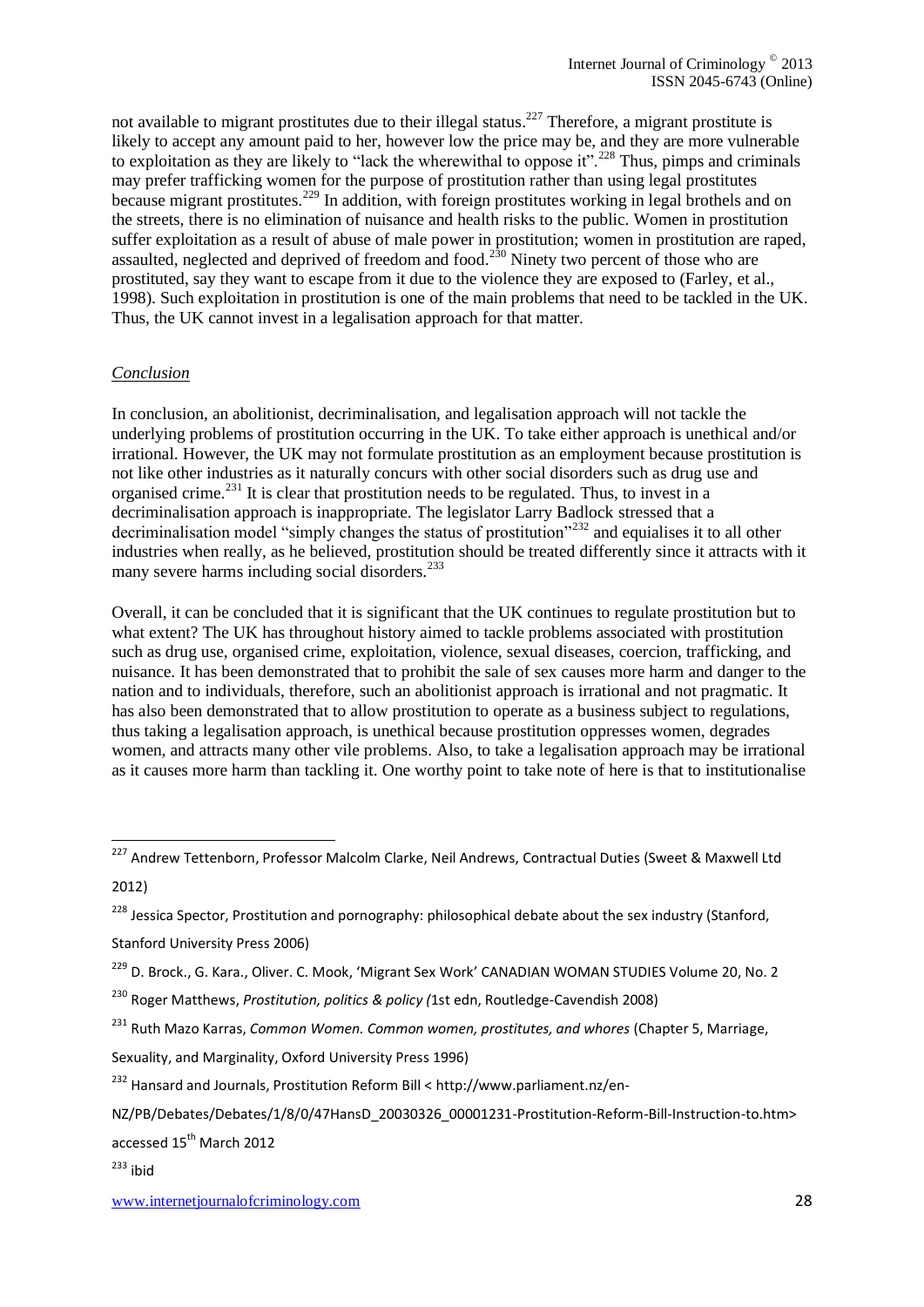not available to migrant prostitutes due to their illegal status.<sup>227</sup> Therefore, a migrant prostitute is likely to accept any amount paid to her, however low the price may be, and they are more vulnerable to exploitation as they are likely to "lack the wherewithal to oppose it".<sup>228</sup> Thus, pimps and criminals may prefer trafficking women for the purpose of prostitution rather than using legal prostitutes because migrant prostitutes.<sup>229</sup> In addition, with foreign prostitutes working in legal brothels and on the streets, there is no elimination of nuisance and health risks to the public. Women in prostitution suffer exploitation as a result of abuse of male power in prostitution; women in prostitution are raped, assaulted, neglected and deprived of freedom and food.<sup>230</sup> Ninety two percent of those who are prostituted, say they want to escape from it due to the violence they are exposed to (Farley, et al., 1998). Such exploitation in prostitution is one of the main problems that need to be tackled in the UK. Thus, the UK cannot invest in a legalisation approach for that matter.

### *Conclusion*

In conclusion, an abolitionist, decriminalisation, and legalisation approach will not tackle the underlying problems of prostitution occurring in the UK. To take either approach is unethical and/or irrational. However, the UK may not formulate prostitution as an employment because prostitution is not like other industries as it naturally concurs with other social disorders such as drug use and organised crime.<sup>231</sup> It is clear that prostitution needs to be regulated. Thus, to invest in a decriminalisation approach is inappropriate. The legislator Larry Badlock stressed that a decriminalisation model "simply changes the status of prostitution"<sup>232</sup> and equialises it to all other industries when really, as he believed, prostitution should be treated differently since it attracts with it many severe harms including social disorders. $^{233}$ 

Overall, it can be concluded that it is significant that the UK continues to regulate prostitution but to what extent? The UK has throughout history aimed to tackle problems associated with prostitution such as drug use, organised crime, exploitation, violence, sexual diseases, coercion, trafficking, and nuisance. It has been demonstrated that to prohibit the sale of sex causes more harm and danger to the nation and to individuals, therefore, such an abolitionist approach is irrational and not pragmatic. It has also been demonstrated that to allow prostitution to operate as a business subject to regulations, thus taking a legalisation approach, is unethical because prostitution oppresses women, degrades women, and attracts many other vile problems. Also, to take a legalisation approach may be irrational as it causes more harm than tackling it. One worthy point to take note of here is that to institutionalise

Stanford University Press 2006)

Sexuality, and Marginality, Oxford University Press 1996)

accessed 15<sup>th</sup> March 2012

 $233$  ibid

1

<sup>&</sup>lt;sup>227</sup> Andrew Tettenborn, Professor Malcolm Clarke, Neil Andrews[, Contractual Duties](http://bookshop.blackwell.co.uk/jsp/display_product_info.jsp;jsessionid=DC6A4AE7D030C2983CA0EDAB838B0C77.bobcatp1?isbn=9780414041950) (Sweet & Maxwell Ltd 2012)

<sup>&</sup>lt;sup>228</sup> Jessica Spector, Prostitution and pornography: philosophical debate about the sex industry (Stanford,

<sup>&</sup>lt;sup>229</sup> D. Brock., G. Kara., Oliver. C. Mook, '[Migrant Sex Work](http://www.google.co.uk/url?sa=t&rct=j&q=Debi+Brock+Beyond+Images:+Hookers+and+Feminists+book&source=web&cd=6&ved=0CEoQFjAF&url=http%3A%2F%2Fpi.library.yorku.ca%2Fojs%2Findex.php%2Fcws%2Farticle%2Fdownload%2F7614%2F6745&ei=M2c4T5OBAZOn8gPfyK3RAg&usg=AFQjCNHsFAPs_s2DIGA4YTWQwgyqbgSTEw)' CANADIAN WOMAN STUDIES Volume 20, No. 2

<sup>230</sup> Roger Matthews, *Prostitution, politics & policy (*1st edn, Routledge-Cavendish 2008)

<sup>231</sup> Ruth Mazo Karras, *Common Women. Common women, prostitutes, and whores* (Chapter 5, Marriage,

<sup>232</sup> Hansard and Journals, Prostitution Reform Bill [< http://www.parliament.nz/en-](http://www.parliament.nz/en-NZ/PB/Debates/Debates/1/8/0/47HansD_20030326_00001231-Prostitution-Reform-Bill-Instruction-to.htm)

[NZ/PB/Debates/Debates/1/8/0/47HansD\\_20030326\\_00001231-Prostitution-Reform-Bill-Instruction-to.htm>](http://www.parliament.nz/en-NZ/PB/Debates/Debates/1/8/0/47HansD_20030326_00001231-Prostitution-Reform-Bill-Instruction-to.htm)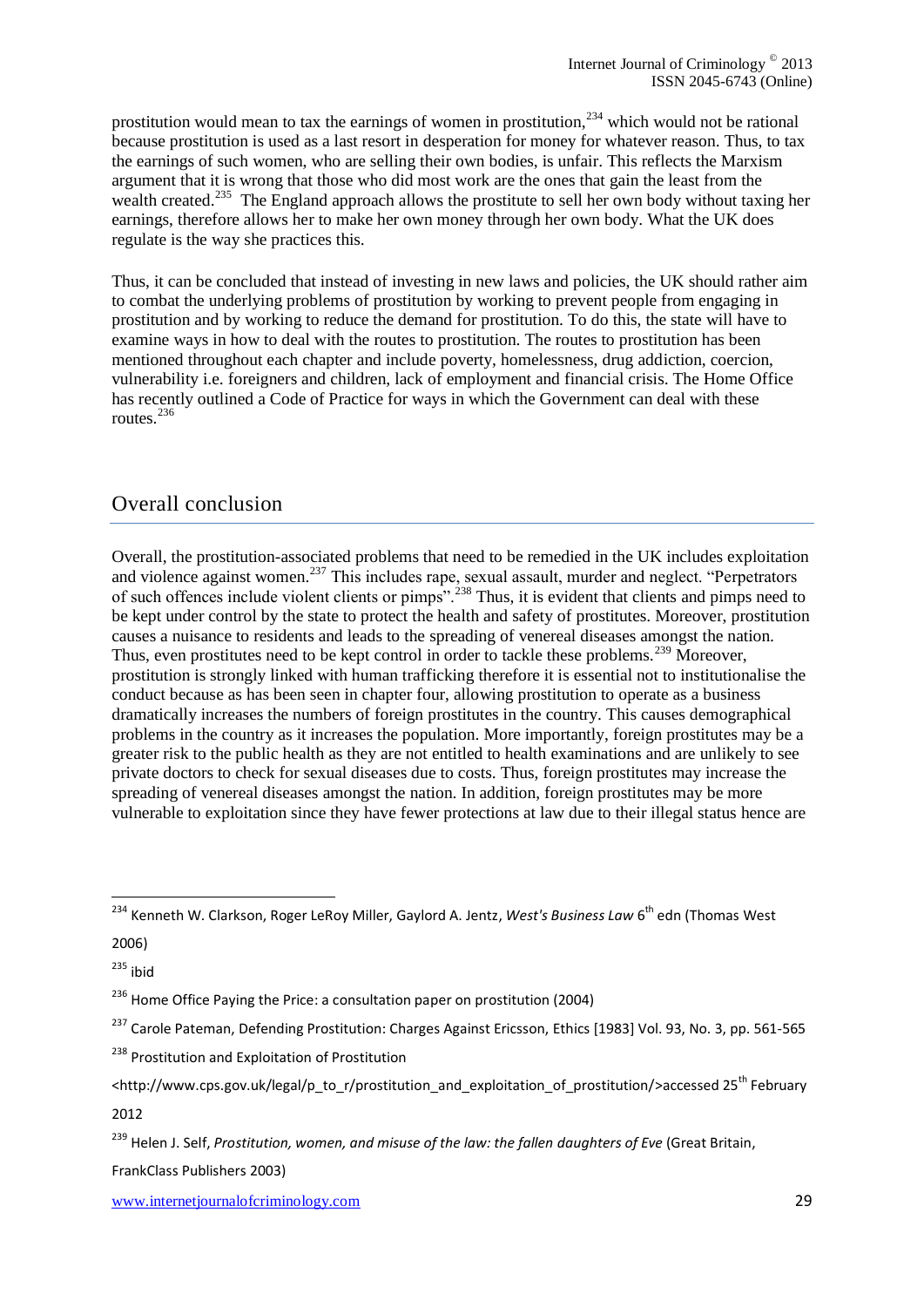prostitution would mean to tax the earnings of women in prostitution,  $^{234}$  which would not be rational because prostitution is used as a last resort in desperation for money for whatever reason. Thus, to tax the earnings of such women, who are selling their own bodies, is unfair. This reflects the Marxism argument that it is wrong that those who did most work are the ones that gain the least from the wealth created.<sup>235</sup> The England approach allows the prostitute to sell her own body without taxing her earnings, therefore allows her to make her own money through her own body. What the UK does regulate is the way she practices this.

Thus, it can be concluded that instead of investing in new laws and policies, the UK should rather aim to combat the underlying problems of prostitution by working to prevent people from engaging in prostitution and by working to reduce the demand for prostitution. To do this, the state will have to examine ways in how to deal with the routes to prostitution. The routes to prostitution has been mentioned throughout each chapter and include poverty, homelessness, drug addiction, coercion, vulnerability i.e. foreigners and children, lack of employment and financial crisis. The Home Office has recently outlined a Code of Practice for ways in which the Government can deal with these routes.<sup>236</sup>

# Overall conclusion

Overall, the prostitution-associated problems that need to be remedied in the UK includes exploitation and violence against women.<sup>237</sup> This includes rape, sexual assault, murder and neglect. "Perpetrators" of such offences include violent clients or pimps".<sup>238</sup> Thus, it is evident that clients and pimps need to be kept under control by the state to protect the health and safety of prostitutes. Moreover, prostitution causes a nuisance to residents and leads to the spreading of venereal diseases amongst the nation. Thus, even prostitutes need to be kept control in order to tackle these problems.<sup>239</sup> Moreover, prostitution is strongly linked with human trafficking therefore it is essential not to institutionalise the conduct because as has been seen in chapter four, allowing prostitution to operate as a business dramatically increases the numbers of foreign prostitutes in the country. This causes demographical problems in the country as it increases the population. More importantly, foreign prostitutes may be a greater risk to the public health as they are not entitled to health examinations and are unlikely to see private doctors to check for sexual diseases due to costs. Thus, foreign prostitutes may increase the spreading of venereal diseases amongst the nation. In addition, foreign prostitutes may be more vulnerable to exploitation since they have fewer protections at law due to their illegal status hence are

 $235$  ibid

1

<sup>&</sup>lt;sup>234</sup> Kenneth W. Clarkson, Roger LeRoy Miller, Gaylord A. Jentz, *West's Business Law* 6<sup>th</sup> edn (Thomas West 2006)

 $236$  Home Office Paying the Price: a consultation paper on prostitution (2004)

<sup>&</sup>lt;sup>237</sup> Carole Pateman, Defending Prostitution: Charges Against Ericsson, [Ethics](http://www.jstor.org/action/showPublication?journalCode=ethics) [1983] Vol. 93, No. 3, pp. 561-565

<sup>&</sup>lt;sup>238</sup> Prostitution and Exploitation of Prostitution

[<sup>&</sup>lt;http://www.cps.gov.uk/legal/p\\_to\\_r/prostitution\\_and\\_exploitation\\_of\\_prostitution/>](http://www.cps.gov.uk/legal/p_to_r/prostitution_and_exploitation_of_prostitution/)accessed 25<sup>th</sup> February 2012

<sup>239</sup> Helen J. Self, *Prostitution, women, and misuse of the law: the fallen daughters of Eve* (Great Britain,

FrankClass Publishers 2003)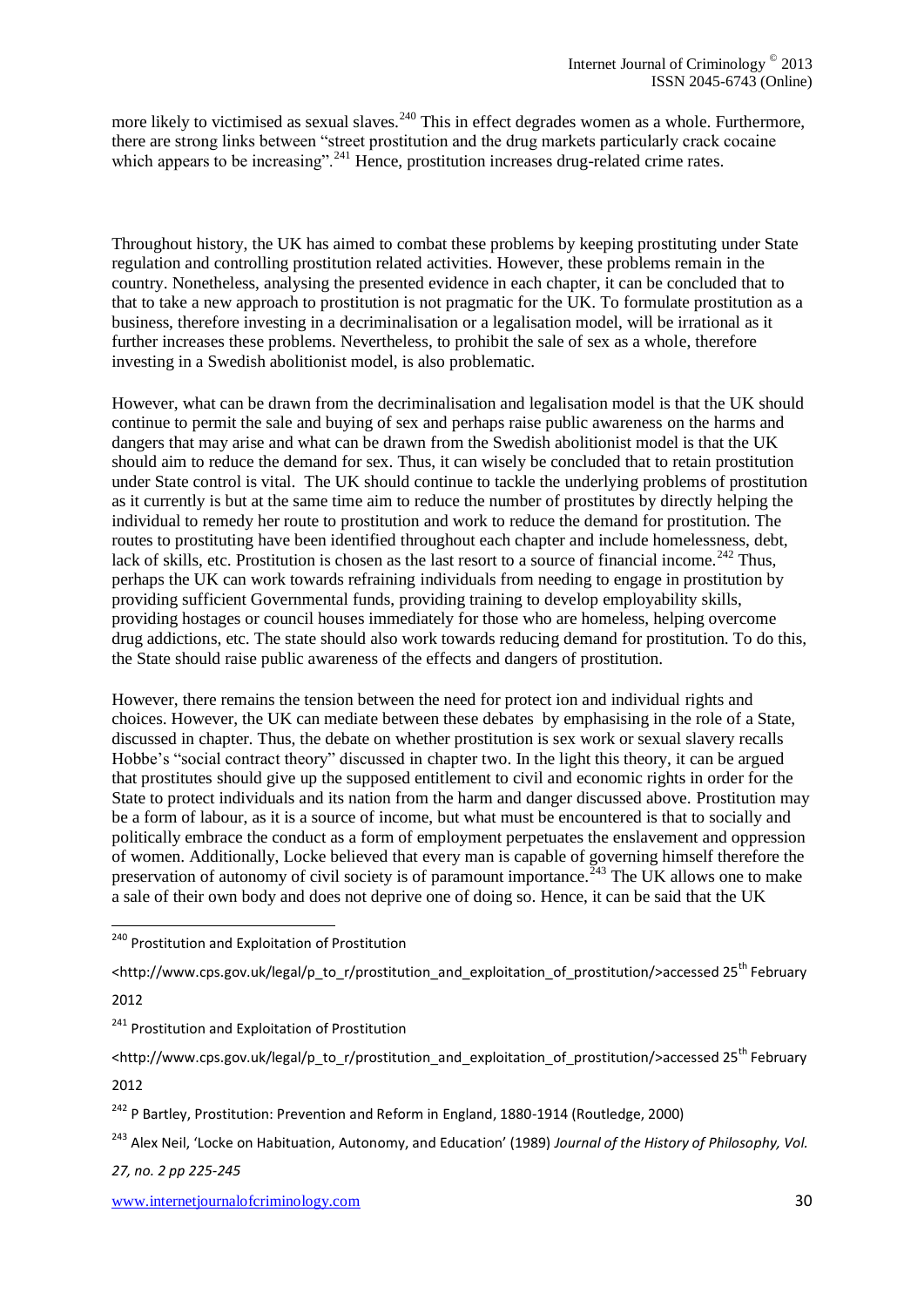more likely to victimised as sexual slaves.  $240$  This in effect degrades women as a whole. Furthermore, there are strong links between "street prostitution and the drug markets particularly crack cocaine which appears to be increasing".<sup>241</sup> Hence, prostitution increases drug-related crime rates.

Throughout history, the UK has aimed to combat these problems by keeping prostituting under State regulation and controlling prostitution related activities. However, these problems remain in the country. Nonetheless, analysing the presented evidence in each chapter, it can be concluded that to that to take a new approach to prostitution is not pragmatic for the UK. To formulate prostitution as a business, therefore investing in a decriminalisation or a legalisation model, will be irrational as it further increases these problems. Nevertheless, to prohibit the sale of sex as a whole, therefore investing in a Swedish abolitionist model, is also problematic.

However, what can be drawn from the decriminalisation and legalisation model is that the UK should continue to permit the sale and buying of sex and perhaps raise public awareness on the harms and dangers that may arise and what can be drawn from the Swedish abolitionist model is that the UK should aim to reduce the demand for sex. Thus, it can wisely be concluded that to retain prostitution under State control is vital. The UK should continue to tackle the underlying problems of prostitution as it currently is but at the same time aim to reduce the number of prostitutes by directly helping the individual to remedy her route to prostitution and work to reduce the demand for prostitution. The routes to prostituting have been identified throughout each chapter and include homelessness, debt, lack of skills, etc. Prostitution is chosen as the last resort to a source of financial income.<sup>242</sup> Thus, perhaps the UK can work towards refraining individuals from needing to engage in prostitution by providing sufficient Governmental funds, providing training to develop employability skills, providing hostages or council houses immediately for those who are homeless, helping overcome drug addictions, etc. The state should also work towards reducing demand for prostitution. To do this, the State should raise public awareness of the effects and dangers of prostitution.

However, there remains the tension between the need for protect ion and individual rights and choices. However, the UK can mediate between these debates by emphasising in the role of a State, discussed in chapter. Thus, the debate on whether prostitution is sex work or sexual slavery recalls Hobbe's "social contract theory" discussed in chapter two. In the light this theory, it can be argued that prostitutes should give up the supposed entitlement to civil and economic rights in order for the State to protect individuals and its nation from the harm and danger discussed above. Prostitution may be a form of labour, as it is a source of income, but what must be encountered is that to socially and politically embrace the conduct as a form of employment perpetuates the enslavement and oppression of women. Additionally, Locke believed that every man is capable of governing himself therefore the preservation of autonomy of civil society is of paramount importance.  $243$  The UK allows one to make a sale of their own body and does not deprive one of doing so. Hence, it can be said that the UK

[<http://www.cps.gov.uk/legal/p\\_to\\_r/prostitution\\_and\\_exploitation\\_of\\_prostitution/>](http://www.cps.gov.uk/legal/p_to_r/prostitution_and_exploitation_of_prostitution/)accessed 25<sup>th</sup> February

2012

1

*27, no. 2 pp 225-245*

<sup>&</sup>lt;sup>240</sup> Prostitution and Exploitation of Prostitution

<sup>&</sup>lt;sup>241</sup> Prostitution and Exploitation of Prostitution

[<sup>&</sup>lt;http://www.cps.gov.uk/legal/p\\_to\\_r/prostitution\\_and\\_exploitation\\_of\\_prostitution/>](http://www.cps.gov.uk/legal/p_to_r/prostitution_and_exploitation_of_prostitution/)accessed 25<sup>th</sup> February 2012

<sup>&</sup>lt;sup>242</sup> P Bartley, Prostitution: Prevention and Reform in England, 1880-1914 (Routledge, 2000)

<sup>243</sup> Alex Neil, 'Locke on Habituation, Autonomy, and Education' (1989) *Journal of the History of Philosophy, Vol.*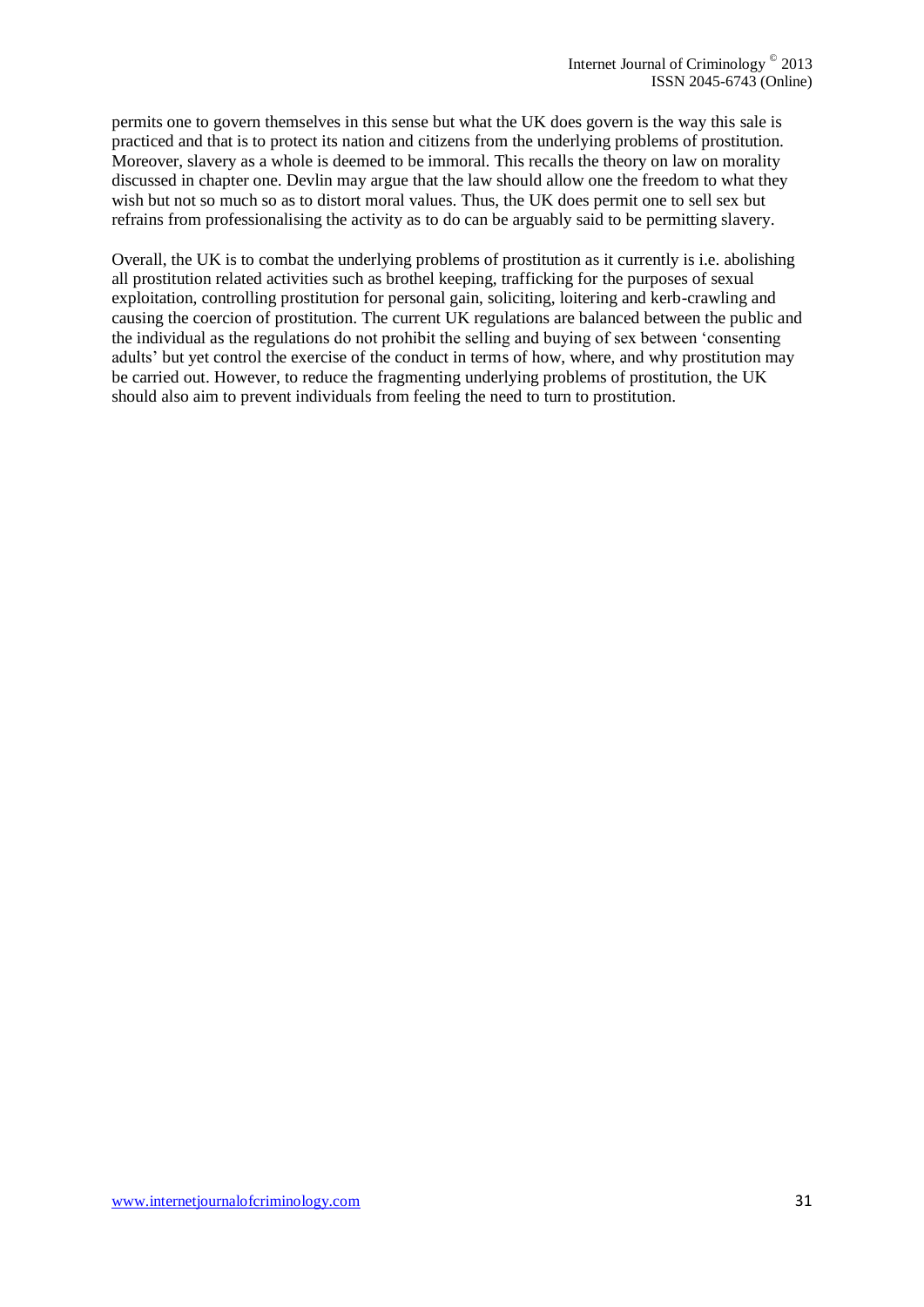permits one to govern themselves in this sense but what the UK does govern is the way this sale is practiced and that is to protect its nation and citizens from the underlying problems of prostitution. Moreover, slavery as a whole is deemed to be immoral. This recalls the theory on law on morality discussed in chapter one. Devlin may argue that the law should allow one the freedom to what they wish but not so much so as to distort moral values. Thus, the UK does permit one to sell sex but refrains from professionalising the activity as to do can be arguably said to be permitting slavery.

Overall, the UK is to combat the underlying problems of prostitution as it currently is i.e. abolishing all prostitution related activities such as brothel keeping, trafficking for the purposes of sexual exploitation, controlling prostitution for personal gain, soliciting, loitering and kerb-crawling and causing the coercion of prostitution. The current UK regulations are balanced between the public and the individual as the regulations do not prohibit the selling and buying of sex between 'consenting adults' but yet control the exercise of the conduct in terms of how, where, and why prostitution may be carried out. However, to reduce the fragmenting underlying problems of prostitution, the UK should also aim to prevent individuals from feeling the need to turn to prostitution.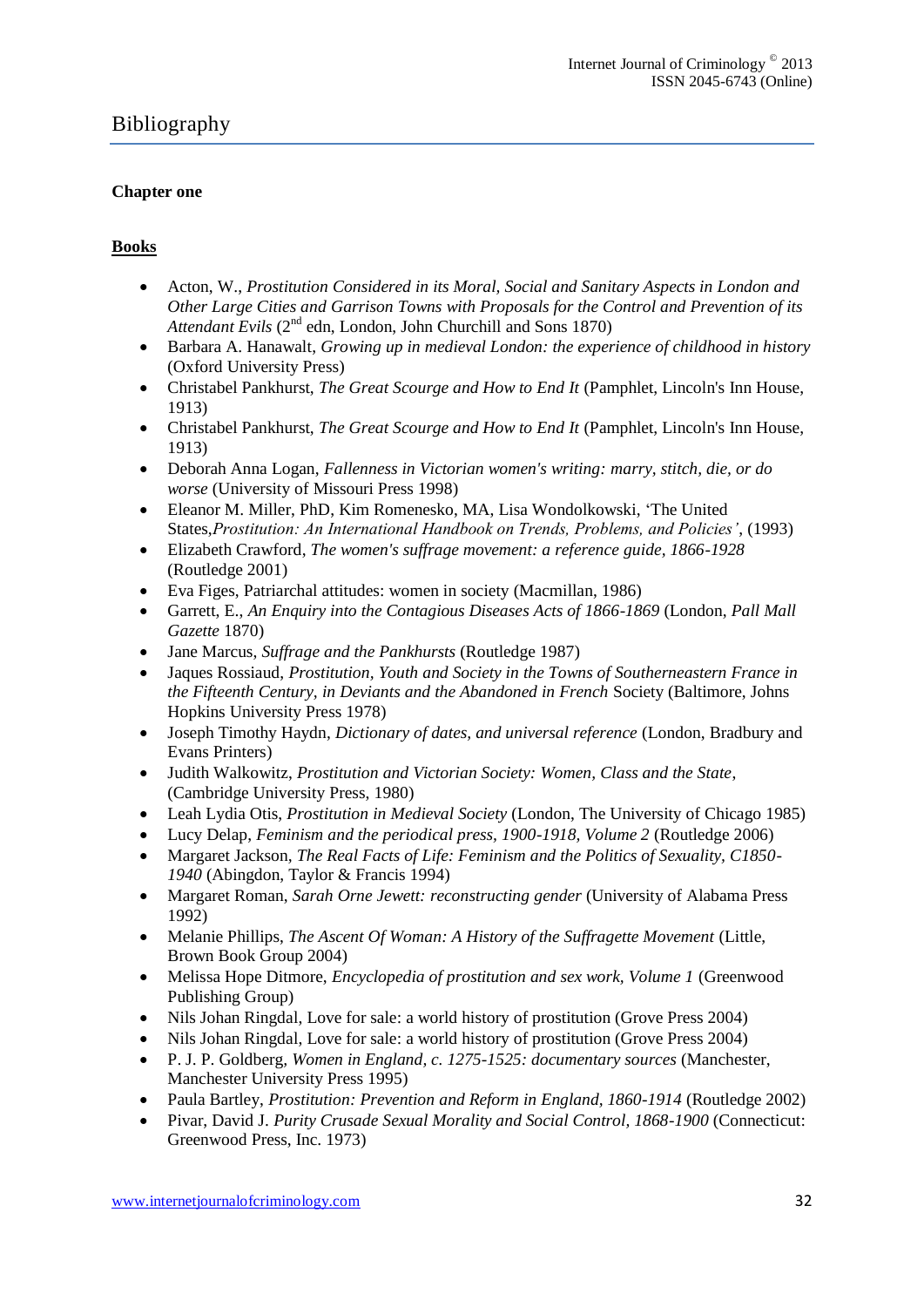# Bibliography

### **Chapter one**

### **Books**

- Acton, W., *Prostitution Considered in its Moral, Social and Sanitary Aspects in London and Other Large Cities and Garrison Towns with Proposals for the Control and Prevention of its*  Attendant Evils (2<sup>nd</sup> edn, London, John Churchill and Sons 1870)
- Barbara A. Hanawalt, *Growing up in medieval London: the experience of childhood in history* [\(Oxford University Press\)](http://books.google.co.uk/url?client=ca-print-oxford_us&format=googleprint&num=0&channel=BTB-ca-print-oxford_us+BTB-ISBN:0195093844&q=http://www.oup.com/us/catalog/general/subject/%3Fview%3Dusa%26view%3Dusa%26ci%3D9780195093841%26cp%3D24297&usg=AFQjCNGtxkVdE1ko2UeXSPXtpeuF3NIyPw&source=gbs_buy_r)
- Christabel Pankhurst, *The Great Scourge and How to End It* (Pamphlet, Lincoln's Inn House, 1913)
- Christabel Pankhurst, *The Great Scourge and How to End It* (Pamphlet, Lincoln's Inn House, 1913)
- [Deborah Anna Logan,](http://www.google.co.uk/search?tbo=p&tbm=bks&q=inauthor:%22Deborah+Anna+Logan%22) *Fallenness in Victorian women's writing: marry, stitch, die, or do worse* (University of Missouri Press 1998)
- [Eleanor M. Miller, PhD,](http://prostitution.procon.org/viewsource.asp?ID=7982) [Kim Romenesko, MA,](http://prostitution.procon.org/viewsource.asp?ID=7986) [Lisa Wondolkowski,](http://prostitution.procon.org/viewsource.asp?ID=7987) 'The United States,*Prostitution: An International Handbook on Trends, Problems, and Policies'*, (1993)
- Elizabeth Crawford, *The women's suffrage movement: a reference guide, 1866-1928*  (Routledge 2001)
- [Eva Figes,](http://www.google.co.uk/search?tbo=p&tbm=bks&q=inauthor:%22Eva+Figes%22) Patriarchal attitudes: women in society (Macmillan, 1986)
- Garrett, E., *An Enquiry into the Contagious Diseases Acts of 1866-1869* (London, *Pall Mall Gazette* 1870)
- Jane Marcus, *Suffrage and the Pankhursts* (Routledge 1987)
- Jaques Rossiaud, *Prostitution, Youth and Society in the Towns of Southerneastern France in the Fifteenth Century, in Deviants and the Abandoned in French* Society (Baltimore, Johns Hopkins University Press 1978)
- Joseph Timothy Haydn, *Dictionary of dates, and universal reference* (London, Bradbury and Evans Printers)
- Judith Walkowitz, *Prostitution and Victorian Society: Women, Class and the State*, (Cambridge University Press, 1980)
- Leah Lydia Otis, *Prostitution in Medieval Society* (London, The University of Chicago 1985)
- Lucy Delap, *Feminism and the periodical press, 1900-1918, Volume 2* (Routledge 2006)
- Margaret Jackson*, The Real Facts of Life: Feminism and the Politics of Sexuality, C1850- 1940* (Abingdon, Taylor & Francis 1994)
- [Margaret Roman,](http://www.google.co.uk/search?tbo=p&tbm=bks&q=inauthor:%22Margaret+Roman%22) *Sarah Orne Jewett: reconstructing gender* (University of Alabama Press 1992)
- [Melanie Phillips,](http://www.amazon.co.uk/Melanie-Phillips/e/B001K8CD4W/ref=ntt_athr_dp_pel_1/277-1606113-9400016) *The Ascent Of Woman: A History of the Suffragette Movement* (Little, Brown Book Group 2004)
- Melissa Hope Ditmore, *Encyclopedia of prostitution and sex work, Volume 1* (Greenwood Publishing Group)
- [Nils Johan Ringdal,](http://www.google.co.uk/search?tbo=p&tbm=bks&q=inauthor:%22Nils+Johan+Ringdal%22) Love for sale: a world history of prostitution (Grove Press 2004)
- [Nils Johan Ringdal,](http://www.google.co.uk/search?tbo=p&tbm=bks&q=inauthor:%22Nils+Johan+Ringdal%22) Love for sale: a world history of prostitution (Grove Press 2004)
- P. J. P. Goldberg*, Women in England, c. 1275-1525: documentary sources* (Manchester, Manchester University Press 1995)
- Paula Bartley, *Prostitution: Prevention and Reform in England, 1860-1914* (Routledge 2002)
- Pivar, David J. *Purity Crusade Sexual Morality and Social Control, 1868-1900* (Connecticut: Greenwood Press, Inc. 1973)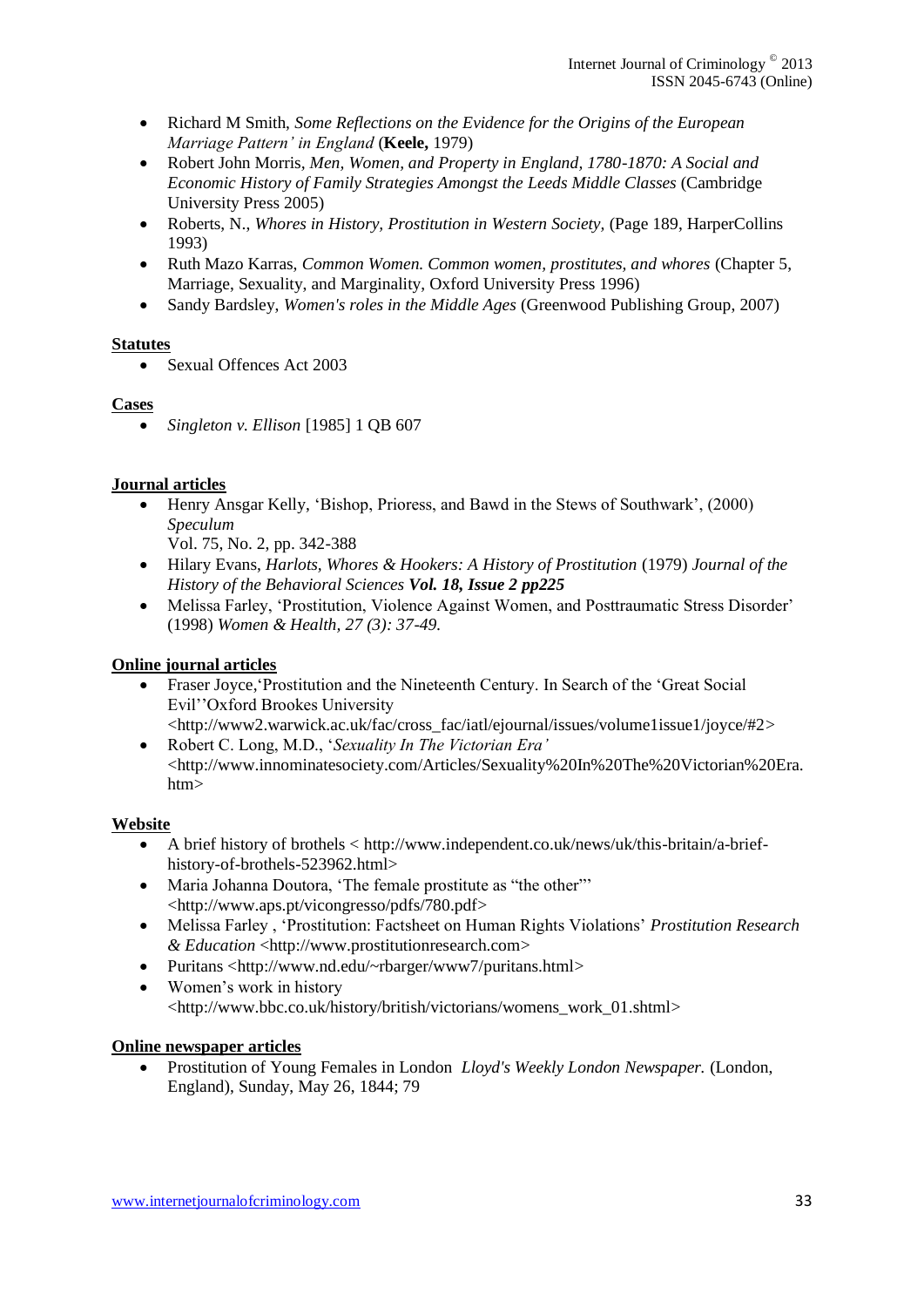- Richard M Smith, *Some Reflections on the Evidence for the Origins of the European Marriage Pattern' in England* (**Keele,** 1979)
- Robert John Morris*, Men, Women, and Property in England, 1780-1870: A Social and Economic History of Family Strategies Amongst the Leeds Middle Classes* (Cambridge University Press 2005)
- Roberts, N., *Whores in History, Prostitution in Western Society,* (Page 189, HarperCollins 1993)
- Ruth Mazo Karras, *Common Women. Common women, prostitutes, and whores* (Chapter 5, Marriage, Sexuality, and Marginality, Oxford University Press 1996)
- Sandy Bardsley, *Women's roles in the Middle Ages* (Greenwood Publishing Group, 2007)

### **Statutes**

• Sexual Offences Act 2003

### **Cases**

*Singleton v. Ellison* [1985] 1 QB 607

### **Journal articles**

- [Henry Ansgar Kelly,](http://prostitution.procon.org/viewsource.asp?ID=3564) 'Bishop, Prioress, and Bawd in the Stews of Southwark', (2000) *Speculum*
	- Vol. 75, No. 2, pp. 342-388
- [Hilary Evans,](http://prostitution.procon.org/viewsource.asp?ID=3493) *Harlots, Whores & Hookers: A History of Prostitution* (1979) *Journal of the History of the Behavioral Sciences Vol. 18, Issue 2 pp225*
- Melissa Farley, 'Prostitution, Violence Against Women, and Posttraumatic Stress Disorder' (1998) *Women & Health, 27 (3): 37-49.*

# **Online journal articles**

- Fraser Joyce, 'Prostitution and the Nineteenth Century. In Search of the 'Great Social Evil''Oxford Brookes University
	- [<http://www2.warwick.ac.uk/fac/cross\\_fac/iatl/ejournal/issues/volume1issue1/joyce/#2>](http://www2.warwick.ac.uk/fac/cross_fac/iatl/ejournal/issues/volume1issue1/joyce/#2)
- Robert C. Long, M.D., '*Sexuality In The Victorian Era'*  [<http://www.innominatesociety.com/Articles/Sexuality%20In%20The%20Victorian%20Era.](http://www.innominatesociety.com/Articles/Sexuality%20In%20The%20Victorian%20Era.htm) [htm>](http://www.innominatesociety.com/Articles/Sexuality%20In%20The%20Victorian%20Era.htm)

### **Website**

- A brief history of brothels < [http://www.independent.co.uk/news/uk/this-britain/a-brief](http://www.independent.co.uk/news/uk/this-britain/a-brief-history-of-brothels-523962.html)[history-of-brothels-523962.html>](http://www.independent.co.uk/news/uk/this-britain/a-brief-history-of-brothels-523962.html)
- Maria Johanna Doutora, 'The female prostitute as "the other"' [<http://www.aps.pt/vicongresso/pdfs/780.pdf>](http://www.aps.pt/vicongresso/pdfs/780.pdf)
- Melissa Farley , 'Prostitution: Factsheet on Human Rights Violations' *Prostitution Research & Education* [<http://www.prostitutionresearch.com>](http://www.prostitutionresearch.com/)
- Puritans [<http://www.nd.edu/~rbarger/www7/puritans.html>](http://www.nd.edu/~rbarger/www7/puritans.html)
- Women's work in history [<http://www.bbc.co.uk/history/british/victorians/womens\\_work\\_01.shtml>](http://www.bbc.co.uk/history/british/victorians/womens_work_01.shtml)

### **Online newspaper articles**

 Prostitution of Young Females in London *Lloyd's Weekly London Newspaper.* (London, England), Sunday, May 26, 1844; 79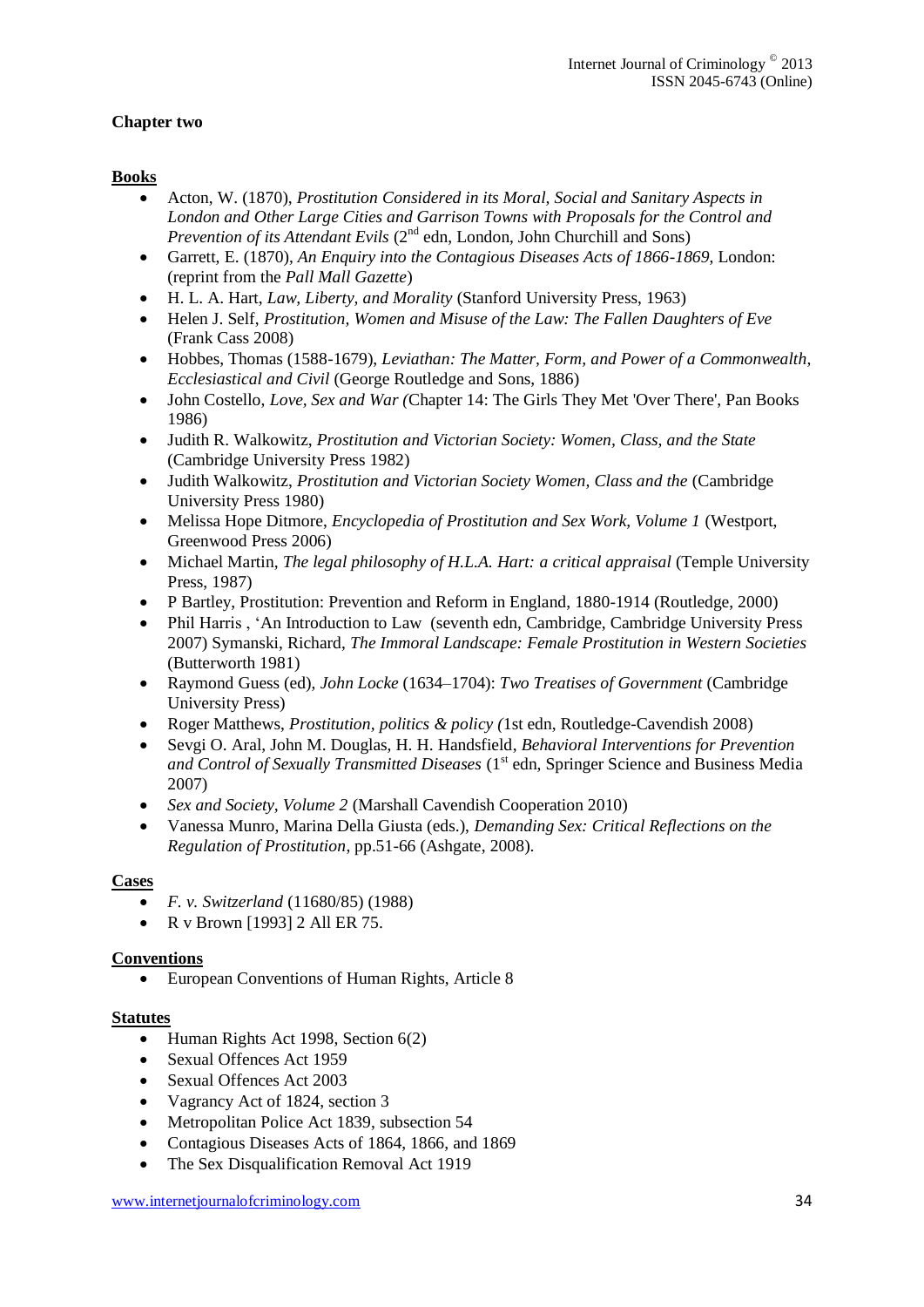### **Chapter two**

### **Books**

- Acton, W. (1870), *Prostitution Considered in its Moral, Social and Sanitary Aspects in London and Other Large Cities and Garrison Towns with Proposals for the Control and Prevention of its Attendant Evils* (2<sup>nd</sup> edn, London, John Churchill and Sons)
- Garrett, E. (1870), *An Enquiry into the Contagious Diseases Acts of 1866-1869*, London: (reprint from the *Pall Mall Gazette*)
- [H. L. A. Hart,](http://www.google.co.uk/search?tbo=p&tbm=bks&q=inauthor:%22H.+L.+A.+Hart%22) *Law, Liberty, and Morality* (Stanford University Press, 1963)
- Helen J. Self, *Prostitution, Women and Misuse of the Law: The Fallen Daughters of Eve* (Frank Cass 2008)
- Hobbes, Thomas (1588-1679), *Leviathan: The Matter, Form, and Power of a Commonwealth, Ecclesiastical and Civil* (George Routledge and Sons, 1886)
- John Costello, *Love, Sex and War (*Chapter 14: The Girls They Met 'Over There', Pan Books 1986)
- Judith R. Walkowitz, *Prostitution and Victorian Society: Women, Class, and the State* (Cambridge University Press 1982)
- Judith Walkowitz, *Prostitution and Victorian Society Women, Class and the* (Cambridge University Press 1980)
- Melissa Hope Ditmore, *Encyclopedia of Prostitution and Sex Work, Volume 1* (Westport, Greenwood Press 2006)
- [Michael Martin,](http://www.google.co.uk/search?tbo=p&tbm=bks&q=inauthor:%22Michael+Martin%22) *The legal philosophy of H.L.A. Hart: a critical appraisal* (Temple University Press, 1987)
- P Bartley, Prostitution: Prevention and Reform in England, 1880-1914 (Routledge, 2000)
- Phil Harris , 'An Introduction to Law (seventh edn, Cambridge, Cambridge University Press 2007) [Symanski, Richard,](http://www.abebooks.com/servlet/SearchResults?an=Symanski%2C+Richard) *The Immoral Landscape: Female Prostitution in Western Societies* (Butterworth 1981)
- Raymond Guess (ed), *John Locke* (1634–1704): *[Two Treatises of Government](http://www.google.co.uk/url?sa=t&rct=j&q=Two+Treatises+of+Government+john+locke%23&source=web&cd=3&ved=0CEMQFjAC&url=http%3A%2F%2Fwww.sparknotes.com%2Fphilosophy%2Fjohnlocke%2Fsection2.rhtml&ei=x72KT-SxK4zE8QOqqsXsCQ&usg=AFQjCNEGndnkxtsElslq39rf4Y3PGETlkA)* (Cambridge University Press)
- Roger Matthews, *Prostitution, politics & policy (*1st edn, Routledge-Cavendish 2008)
- Sevgi O. Aral, John M. Douglas, H. H. Handsfield, *Behavioral Interventions for Prevention*  and Control of Sexually Transmitted Diseases (1<sup>st</sup> edn, Springer Science and Business Media 2007)
- *Sex and Society, Volume 2* (Marshall Cavendish Cooperation 2010)
- Vanessa Munro, Marina Della Giusta (eds.), *Demanding Sex: Critical Reflections on the Regulation of Prostitution*, pp.51-66 (Ashgate, 2008).

### **Cases**

- *F. v. Switzerland* (11680/85) (1988)
- R v Brown [1993] 2 All ER 75.

### **Conventions**

European Conventions of Human Rights, Article 8

#### **Statutes**

- $\bullet$  Human Rights Act 1998, Section 6(2)
- Sexual Offences Act 1959
- Sexual Offences Act 2003
- Vagrancy Act of 1824, section 3
- Metropolitan Police Act 1839, subsection 54
- Contagious Diseases Acts of 1864, 1866, and 1869
- The Sex Disqualification Removal Act 1919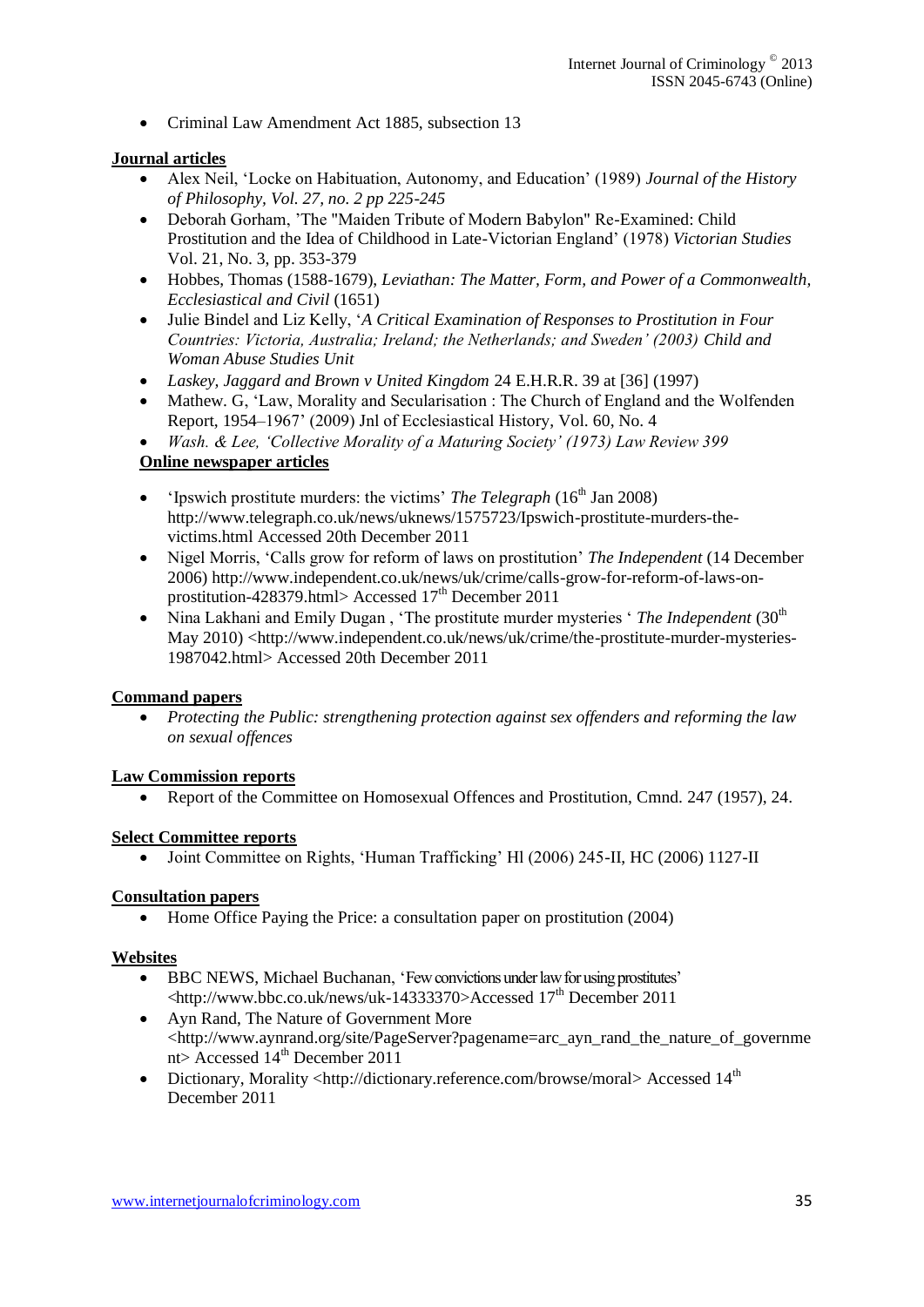• Criminal Law Amendment Act 1885, subsection 13

### **Journal articles**

- Alex Neil, 'Locke on Habituation, Autonomy, and Education' (1989) *Journal of the History of Philosophy, Vol. 27, no. 2 pp 225-245*
- Deborah Gorham, 'The "Maiden Tribute of Modern Babylon" Re-Examined: Child Prostitution and the Idea of Childhood in Late-Victorian England' (1978) *Victorian Studies* Vol. 21, No. 3, pp. 353-379
- Hobbes, Thomas (1588-1679), *Leviathan: The Matter, Form, and Power of a Commonwealth, Ecclesiastical and Civil* (1651)
- Julie Bindel and Liz Kelly, '*A Critical Examination of Responses to Prostitution in Four Countries: Victoria, Australia; Ireland; the Netherlands; and Sweden' (2003) Child and Woman Abuse Studies Unit*
- *Laskey, Jaggard and Brown v United Kingdom* 24 E.H.R.R. 39 at [36] (1997)
- Mathew. G, 'Law, Morality and Secularisation : The Church of England and the Wolfenden Report, 1954–1967' (2009) Jnl of Ecclesiastical History, Vol. 60, No. 4
- *Wash. & Lee, 'Collective Morality of a Maturing Society' (1973) Law Review 399*

### **Online newspaper articles**

- 'Ipswich prostitute murders: the victims' *The Telegraph* ( $16<sup>th</sup>$  Jan 2008) [http://www.telegraph.co.uk/news/uknews/1575723/Ipswich-prostitute-murders-the](http://www.telegraph.co.uk/news/uknews/1575723/Ipswich-prostitute-murders-the-victims.html)[victims.html](http://www.telegraph.co.uk/news/uknews/1575723/Ipswich-prostitute-murders-the-victims.html) Accessed 20th December 2011
- Nigel Morris, 'Calls grow for reform of laws on prostitution' *The Independent* (14 December 2006) [http://www.independent.co.uk/news/uk/crime/calls-grow-for-reform-of-laws-on](http://www.independent.co.uk/news/uk/crime/calls-grow-for-reform-of-laws-on-prostitution-428379.html)[prostitution-428379.html>](http://www.independent.co.uk/news/uk/crime/calls-grow-for-reform-of-laws-on-prostitution-428379.html) Accessed  $17<sup>th</sup>$  December 2011
- Nina Lakhani and Emily Dugan, 'The prostitute murder mysteries ' The Independent (30<sup>th</sup>) May 2010) [<http://www.independent.co.uk/news/uk/crime/the-prostitute-murder-mysteries-](http://www.independent.co.uk/news/uk/crime/the-prostitute-murder-mysteries-1987042.html)[1987042.html>](http://www.independent.co.uk/news/uk/crime/the-prostitute-murder-mysteries-1987042.html) Accessed 20th December 2011

#### **Command papers**

 *Protecting the Public: strengthening protection against sex offenders and reforming the law on sexual offences* 

#### **Law Commission reports**

• Report of the Committee on Homosexual Offences and Prostitution, Cmnd. 247 (1957), 24.

#### **Select Committee reports**

Joint Committee on Rights, 'Human Trafficking' Hl (2006) 245-II, HC (2006) 1127-II

#### **Consultation papers**

• Home Office Paying the Price: a consultation paper on prostitution (2004)

#### **Websites**

- BBC NEWS, Michael Buchanan, 'Few convictions under law for using prostitutes' [<http://www.bbc.co.uk/news/uk-14333370>](http://www.bbc.co.uk/news/uk-14333370)Accessed 17<sup>th</sup> December 2011
- Ayn Rand, The Nature of Government More <http://www.aynrand.org/site/PageServer?pagename=arc\_ayn\_rand\_the\_nature\_of\_governme nt> Accessed  $14<sup>th</sup>$  December 2011
- Dictionary, Morality [<http://dictionary.reference.com/browse/moral>](http://dictionary.reference.com/browse/moral) Accessed 14<sup>th</sup> December 2011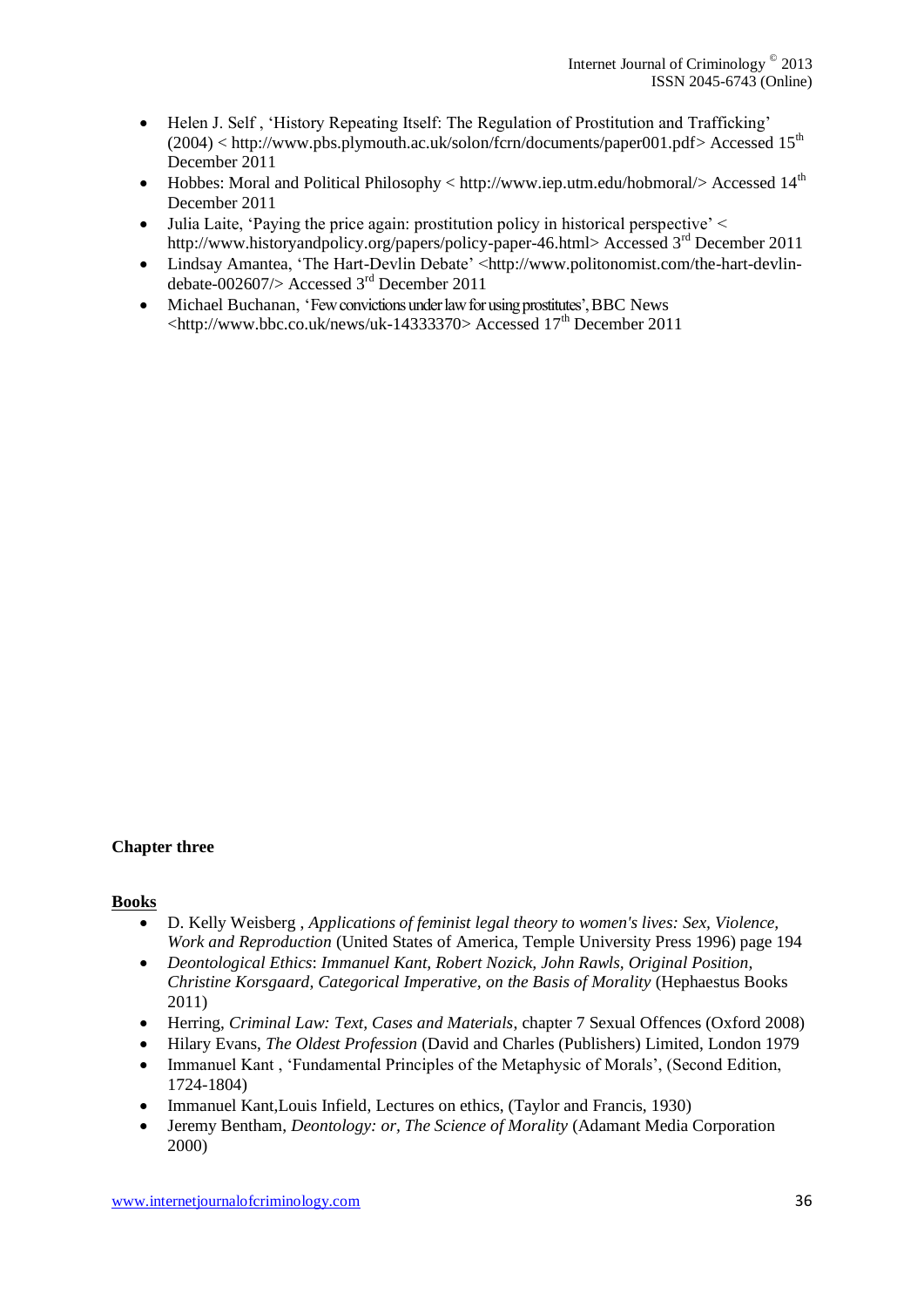- Helen J. Self , 'History Repeating Itself: The Regulation of Prostitution and Trafficking'  $(2004)$  < [http://www.pbs.plymouth.ac.uk/solon/fcrn/documents/paper001.pdf>](http://www.pbs.plymouth.ac.uk/solon/fcrn/documents/paper001.pdf) Accessed 15<sup>th</sup> December 2011
- Hobbes: Moral and Political Philosophy  $\lt$  http://www.iep.utm.edu/hobmoral/ $\gt$  Accessed 14<sup>th</sup> December 2011
- Julia Laite, 'Paying the price again: prostitution policy in historical perspective' < [http://www.historyandpolicy.org/papers/policy-paper-46.html>](http://www.historyandpolicy.org/papers/policy-paper-46.html) Accessed 3<sup>rd</sup> December 2011
- [Lindsay Amantea,](http://www.politonomist.com/author/lamantea/) 'The Hart-Devlin Debate' [<http://www.politonomist.com/the-hart-devlin](http://www.politonomist.com/the-hart-devlin-debate-002607/)[debate-002607/>](http://www.politonomist.com/the-hart-devlin-debate-002607/) Accessed 3rd December 2011
- Michael Buchanan, 'Few convictions under law for using prostitutes', BBC News  $\lt$ http://www.bbc.co.uk/news/uk-14333370> Accessed 17<sup>th</sup> December 2011

#### **Chapter three**

#### **Books**

- D. Kelly Weisberg , *Applications of feminist legal theory to women's lives: Sex, Violence, Work and Reproduction* (United States of America, Temple University Press 1996) page 194
- *Deontological Ethics*: *Immanuel Kant, Robert Nozick, John Rawls, Original Position, Christine Korsgaard, Categorical Imperative, on the Basis of Morality* (Hephaestus Books 2011)
- Herring, *Criminal Law: Text, Cases and Materials*, chapter 7 Sexual Offences (Oxford 2008)
- Hilary Evans, *The Oldest Profession* (David and Charles (Publishers) Limited, London 1979
- Immanuel Kant, 'Fundamental Principles of the Metaphysic of Morals', (Second Edition, 1724-1804)
- Immanuel Kant,Louis Infield, Lectures on ethics, (Taylor and Francis, 1930)
- Jeremy Bentham, *Deontology: or, The Science of Morality* (Adamant Media Corporation 2000)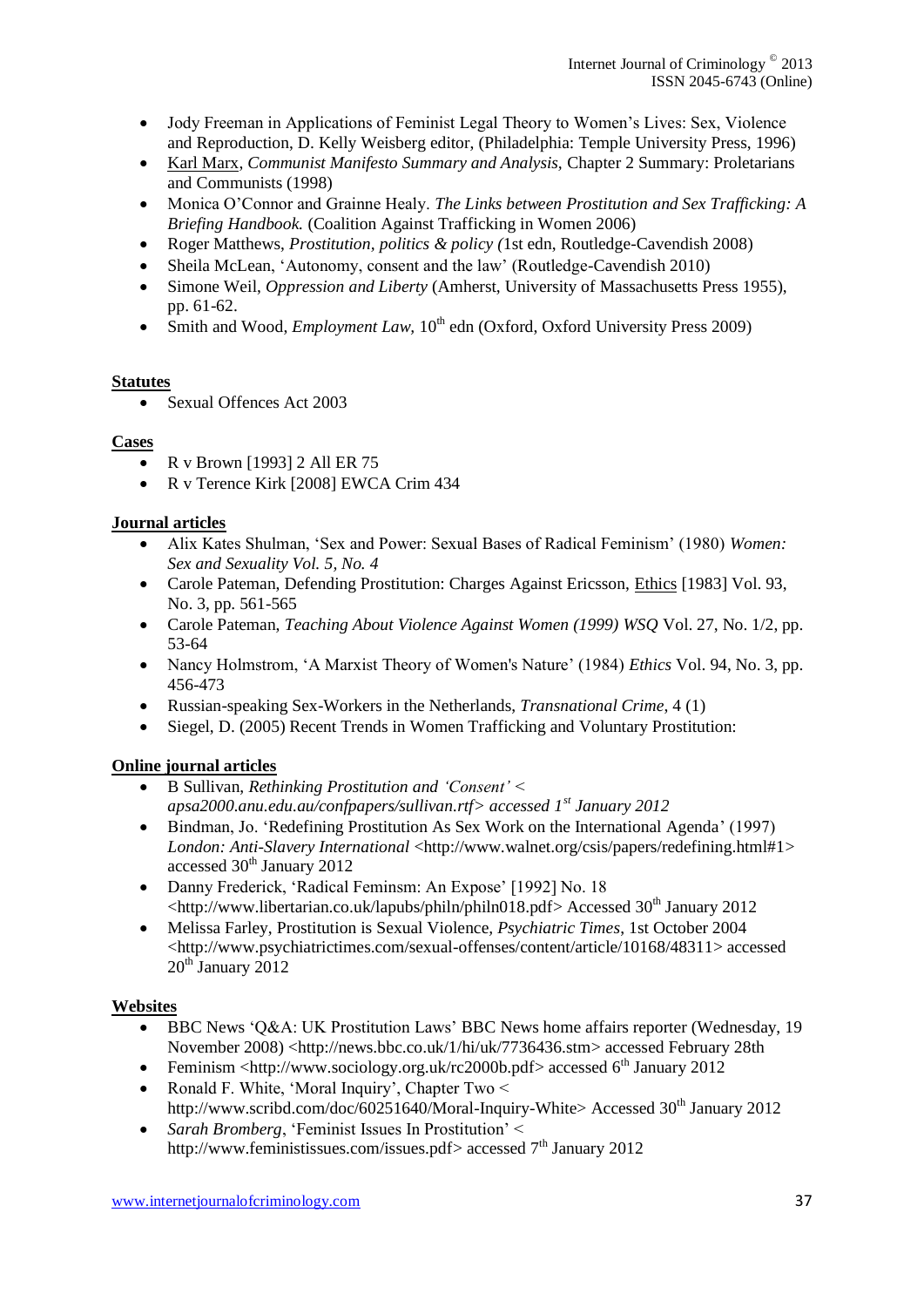- Jody Freeman in Applications of Feminist Legal Theory to Women's Lives: Sex, Violence and Reproduction, D. Kelly Weisberg editor, (Philadelphia: Temple University Press, 1996)
- [Karl Marx,](http://www.gradesaver.com/author/karl-marx/) *Communist Manifesto Summary and Analysis,* Chapter 2 Summary: Proletarians and Communists (1998)
- Monica O'Connor and Grainne Healy. *The Links between Prostitution and Sex Trafficking: A Briefing Handbook.* (Coalition Against Trafficking in Women 2006)
- Roger Matthews, *Prostitution, politics & policy (*1st edn, Routledge-Cavendish 2008)
- Sheila McLean, 'Autonomy, consent and the law' (Routledge-Cavendish 2010)
- Simone Weil, *Oppression and Liberty* (Amherst, University of Massachusetts Press 1955), pp. 61-62.
- $\bullet$  Smith and Wood, *Employment Law*,  $10^{th}$  edn (Oxford, Oxford University Press 2009)

### **Statutes**

• Sexual Offences Act 2003

### **Cases**

- $\bullet$  R v Brown [1993] 2 All ER 75
- R v Terence Kirk [2008] EWCA Crim 434

### **Journal articles**

- Alix Kates Shulman, 'Sex and Power: Sexual Bases of Radical Feminism' (1980) *Women: Sex and Sexuality Vol. 5, No. 4*
- Carole Pateman, Defending Prostitution: Charges Against Ericsson, *Ethics* [1983] Vol. 93, No. 3, pp. 561-565
- Carole Pateman, *Teaching About Violence Against Women (1999) WSQ* Vol. 27, No. 1/2, pp. 53-64
- Nancy Holmstrom, 'A Marxist Theory of Women's Nature' (1984) *Ethics* Vol. 94, No. 3, pp. 456-473
- Russian-speaking Sex-Workers in the Netherlands, *Transnational Crime*, 4 (1)
- Siegel, D. (2005) Recent Trends in Women Trafficking and Voluntary Prostitution:

### **Online journal articles**

- B Sullivan, *Rethinking Prostitution and 'Consent' < apsa2000.anu.edu.au/confpapers/sullivan.rtf> accessed 1st January 2012*
- Bindman, Jo. 'Redefining Prostitution As Sex Work on the International Agenda' (1997) *London: Anti-Slavery International* [<http://www.walnet.org/csis/papers/redefining.html#1>](http://www.walnet.org/csis/papers/redefining.html#1) accessed  $30<sup>th</sup>$  January 2012
- Danny Frederick, 'Radical Feminsm: An Expose' [1992] No. 18 [<http://www.libertarian.co.uk/lapubs/philn/philn018.pdf>](http://www.libertarian.co.uk/lapubs/philn/philn018.pdf) Accessed 30<sup>th</sup> January 2012
- Melissa Farley, Prostitution is Sexual Violence*, Psychiatric Times*, 1st October 2004 [<http://www.psychiatrictimes.com/sexual-offenses/content/article/10168/48311>](http://www.psychiatrictimes.com/sexual-offenses/content/article/10168/48311) accessed 20<sup>th</sup> January 2012

### **Websites**

- BBC News 'Q&A: UK Prostitution Laws' BBC News home affairs reporter (Wednesday, 19 November 2008) [<http://news.bbc.co.uk/1/hi/uk/7736436.stm>](http://news.bbc.co.uk/1/hi/uk/7736436.stm) accessed February 28th
- Feminism  $\langle \frac{http://www.sociology.org.uk/rc2000b.pdf}{\rangle}$  accessed 6<sup>th</sup> January 2012
- Ronald F. White, 'Moral Inquiry', Chapter Two  $\leq$ [http://www.scribd.com/doc/60251640/Moral-Inquiry-White>](http://www.scribd.com/doc/60251640/Moral-Inquiry-White) Accessed  $30<sup>th</sup>$  January 2012
- *Sarah Bromberg*, 'Feminist Issues In Prostitution' < [http://www.feministissues.com/issues.pdf>](http://www.feministissues.com/issues.pdf) accessed 7<sup>th</sup> January 2012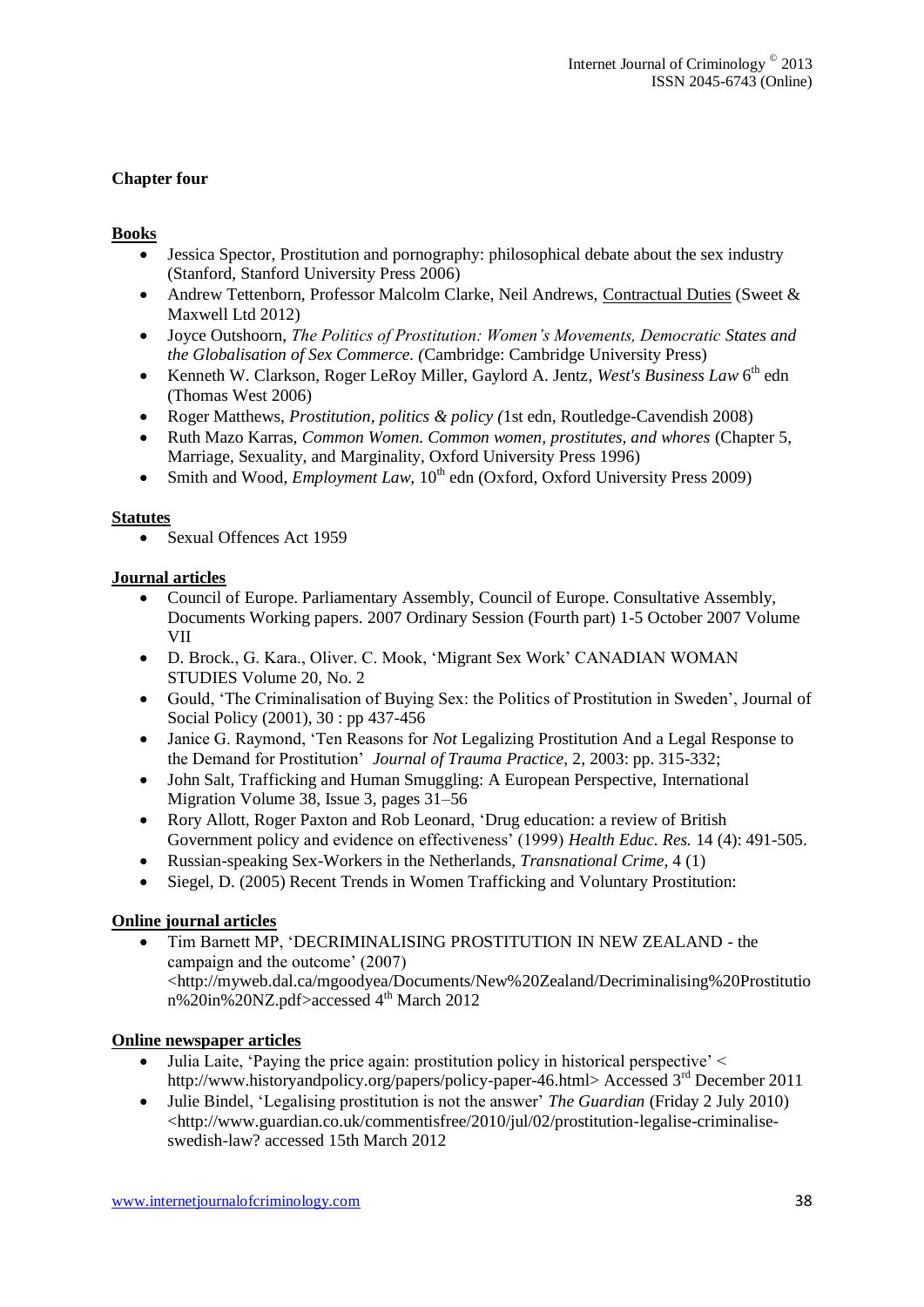### **Chapter four**

### **Books**

- Jessica Spector, Prostitution and pornography: philosophical debate about the sex industry (Stanford, Stanford University Press 2006)
- Andrew Tettenborn, Professor Malcolm Clarke, Neil Andrews, [Contractual Duties](http://bookshop.blackwell.co.uk/jsp/display_product_info.jsp;jsessionid=DC6A4AE7D030C2983CA0EDAB838B0C77.bobcatp1?isbn=9780414041950) (Sweet & Maxwell Ltd 2012)
- Joyce Outshoorn, *The Politics of Prostitution: Women's Movements, Democratic States and the Globalisation of Sex Commerce. (*Cambridge: Cambridge University Press)
- Kenneth W. Clarkson, Roger LeRoy Miller, Gaylord A. Jentz, *West's Business Law* 6 th edn (Thomas West 2006)
- Roger Matthews, *Prostitution, politics & policy (*1st edn, Routledge-Cavendish 2008)
- Ruth Mazo Karras, *Common Women. Common women, prostitutes, and whores* (Chapter 5, Marriage, Sexuality, and Marginality, Oxford University Press 1996)
- Smith and Wood, *Employment Law*, 10<sup>th</sup> edn (Oxford, Oxford University Press 2009)

#### **Statutes**

• Sexual Offences Act 1959

### **Journal articles**

- Council of Europe. Parliamentary Assembly, Council of Europe. Consultative Assembly, Documents Working papers. 2007 Ordinary Session (Fourth part) 1-5 October 2007 Volume VII
- D. Brock., G. Kara., Oliver. C. Mook, ['Migrant Sex Work'](http://www.google.co.uk/url?sa=t&rct=j&q=Debi+Brock+Beyond+Images:+Hookers+and+Feminists+book&source=web&cd=6&ved=0CEoQFjAF&url=http%3A%2F%2Fpi.library.yorku.ca%2Fojs%2Findex.php%2Fcws%2Farticle%2Fdownload%2F7614%2F6745&ei=M2c4T5OBAZOn8gPfyK3RAg&usg=AFQjCNHsFAPs_s2DIGA4YTWQwgyqbgSTEw) CANADIAN WOMAN STUDIES Volume 20, No. 2
- Gould, 'The Criminalisation of Buying Sex: the Politics of Prostitution in Sweden', [Journal of](http://journals.cambridge.org/action/displayJournal?jid=JSP)  [Social Policy](http://journals.cambridge.org/action/displayJournal?jid=JSP) (2001), 30 : pp 437-456
- Janice G. Raymond, 'Ten Reasons for *Not* Legalizing Prostitution And a Legal Response to the Demand for Prostitution' *Journal of Trauma Practice*, 2, 2003: pp. 315-332;
- John Salt, Trafficking and Human Smuggling: A European Perspective, International Migration [Volume 38, Issue 3, p](http://onlinelibrary.wiley.com/doi/10.1111/imig.2000.38.issue-3/issuetoc)ages 31–56
- [Rory Allott,](http://her.oxfordjournals.org/search?author1=Rory+Allott&sortspec=date&submit=Submit) [Roger Paxton](http://her.oxfordjournals.org/search?author1=Roger+Paxton&sortspec=date&submit=Submit) and [Rob Leonard,](http://her.oxfordjournals.org/search?author1=Rob+Leonard&sortspec=date&submit=Submit) 'Drug education: a review of British Government policy and evidence on effectiveness' (1999) *Health Educ. Res.* 14 (4): 491-505.
- Russian-speaking Sex-Workers in the Netherlands, *Transnational Crime*, 4 (1)
- Siegel, D. (2005) Recent Trends in Women Trafficking and Voluntary Prostitution:

### **Online journal articles**

 Tim Barnett MP, 'DECRIMINALISING PROSTITUTION IN NEW ZEALAND - the campaign and the outcome' (2007) [<http://myweb.dal.ca/mgoodyea/Documents/New%20Zealand/Decriminalising%20Prostitutio](http://myweb.dal.ca/mgoodyea/Documents/New%20Zealand/Decriminalising%20Prostitution%20in%20NZ.pdf) [n%20in%20NZ.pdf>](http://myweb.dal.ca/mgoodyea/Documents/New%20Zealand/Decriminalising%20Prostitution%20in%20NZ.pdf)accessed 4th March 2012

### **Online newspaper articles**

- Julia Laite, 'Paying the price again: prostitution policy in historical perspective' < [http://www.historyandpolicy.org/papers/policy-paper-46.html>](http://www.historyandpolicy.org/papers/policy-paper-46.html) Accessed 3rd December 2011
- [Julie Bindel,](http://www.guardian.co.uk/profile/juliebindel) 'Legalising prostitution is not the answer' *The Guardian* (Friday 2 July 2010) <http://www.guardian.co.uk/commentisfree/2010/jul/02/prostitution-legalise-criminaliseswedish-law? accessed 15th March 2012